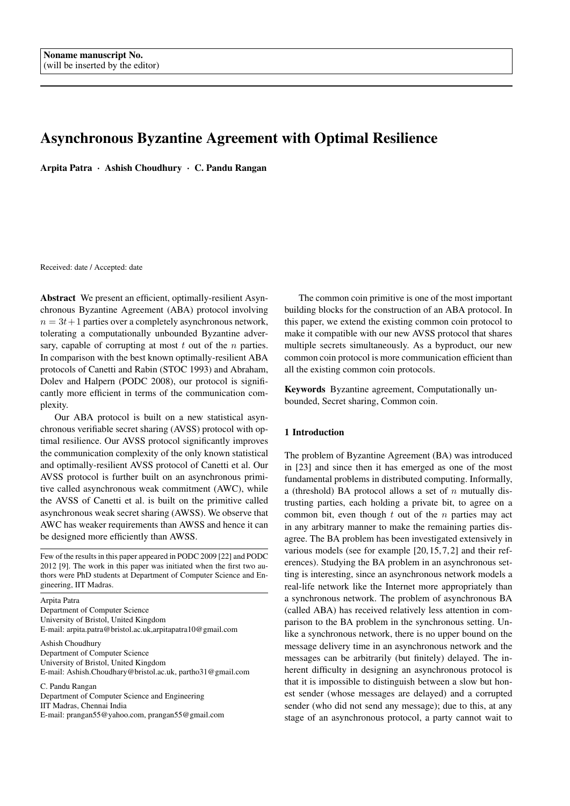# Asynchronous Byzantine Agreement with Optimal Resilience

Arpita Patra · Ashish Choudhury · C. Pandu Rangan

Received: date / Accepted: date

Abstract We present an efficient, optimally-resilient Asynchronous Byzantine Agreement (ABA) protocol involving  $n = 3t + 1$  parties over a completely asynchronous network, tolerating a computationally unbounded Byzantine adversary, capable of corrupting at most  $t$  out of the  $n$  parties. In comparison with the best known optimally-resilient ABA protocols of Canetti and Rabin (STOC 1993) and Abraham, Dolev and Halpern (PODC 2008), our protocol is significantly more efficient in terms of the communication complexity.

Our ABA protocol is built on a new statistical asynchronous verifiable secret sharing (AVSS) protocol with optimal resilience. Our AVSS protocol significantly improves the communication complexity of the only known statistical and optimally-resilient AVSS protocol of Canetti et al. Our AVSS protocol is further built on an asynchronous primitive called asynchronous weak commitment (AWC), while the AVSS of Canetti et al. is built on the primitive called asynchronous weak secret sharing (AWSS). We observe that AWC has weaker requirements than AWSS and hence it can be designed more efficiently than AWSS.

Few of the results in this paper appeared in PODC 2009 [22] and PODC 2012 [9]. The work in this paper was initiated when the first two authors were PhD students at Department of Computer Science and Engineering, IIT Madras.

Arpita Patra Department of Computer Science University of Bristol, United Kingdom E-mail: arpita.patra@bristol.ac.uk,arpitapatra10@gmail.com

Ashish Choudhury Department of Computer Science University of Bristol, United Kingdom E-mail: Ashish.Choudhary@bristol.ac.uk, partho31@gmail.com

C. Pandu Rangan Department of Computer Science and Engineering IIT Madras, Chennai India E-mail: prangan55@yahoo.com, prangan55@gmail.com

The common coin primitive is one of the most important building blocks for the construction of an ABA protocol. In this paper, we extend the existing common coin protocol to make it compatible with our new AVSS protocol that shares multiple secrets simultaneously. As a byproduct, our new common coin protocol is more communication efficient than all the existing common coin protocols.

Keywords Byzantine agreement, Computationally unbounded, Secret sharing, Common coin.

# 1 Introduction

The problem of Byzantine Agreement (BA) was introduced in [23] and since then it has emerged as one of the most fundamental problems in distributed computing. Informally, a (threshold) BA protocol allows a set of  $n$  mutually distrusting parties, each holding a private bit, to agree on a common bit, even though  $t$  out of the  $n$  parties may act in any arbitrary manner to make the remaining parties disagree. The BA problem has been investigated extensively in various models (see for example [20, 15, 7, 2] and their references). Studying the BA problem in an asynchronous setting is interesting, since an asynchronous network models a real-life network like the Internet more appropriately than a synchronous network. The problem of asynchronous BA (called ABA) has received relatively less attention in comparison to the BA problem in the synchronous setting. Unlike a synchronous network, there is no upper bound on the message delivery time in an asynchronous network and the messages can be arbitrarily (but finitely) delayed. The inherent difficulty in designing an asynchronous protocol is that it is impossible to distinguish between a slow but honest sender (whose messages are delayed) and a corrupted sender (who did not send any message); due to this, at any stage of an asynchronous protocol, a party cannot wait to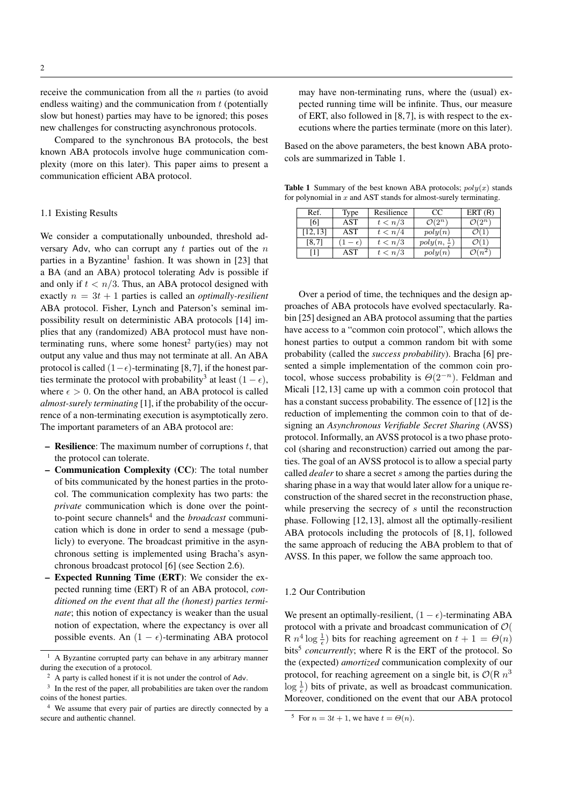receive the communication from all the n parties (to avoid endless waiting) and the communication from  $t$  (potentially slow but honest) parties may have to be ignored; this poses new challenges for constructing asynchronous protocols.

Compared to the synchronous BA protocols, the best known ABA protocols involve huge communication complexity (more on this later). This paper aims to present a communication efficient ABA protocol.

### 1.1 Existing Results

We consider a computationally unbounded, threshold adversary Adv, who can corrupt any  $t$  parties out of the  $n$ parties in a Byzantine<sup>1</sup> fashion. It was shown in [23] that a BA (and an ABA) protocol tolerating Adv is possible if and only if  $t < n/3$ . Thus, an ABA protocol designed with exactly  $n = 3t + 1$  parties is called an *optimally-resilient* ABA protocol. Fisher, Lynch and Paterson's seminal impossibility result on deterministic ABA protocols [14] implies that any (randomized) ABA protocol must have nonterminating runs, where some honest<sup>2</sup> party(ies) may not output any value and thus may not terminate at all. An ABA protocol is called  $(1-\epsilon)$ -terminating [8,7], if the honest parties terminate the protocol with probability<sup>3</sup> at least  $(1 - \epsilon)$ , where  $\epsilon > 0$ . On the other hand, an ABA protocol is called *almost-surely terminating* [1], if the probability of the occurrence of a non-terminating execution is asymptotically zero. The important parameters of an ABA protocol are:

- **Resilience:** The maximum number of corruptions  $t$ , that the protocol can tolerate.
- Communication Complexity (CC): The total number of bits communicated by the honest parties in the protocol. The communication complexity has two parts: the *private* communication which is done over the pointto-point secure channels<sup>4</sup> and the *broadcast* communication which is done in order to send a message (publicly) to everyone. The broadcast primitive in the asynchronous setting is implemented using Bracha's asynchronous broadcast protocol [6] (see Section 2.6).
- Expected Running Time (ERT): We consider the expected running time (ERT) R of an ABA protocol, *conditioned on the event that all the (honest) parties terminate*; this notion of expectancy is weaker than the usual notion of expectation, where the expectancy is over all possible events. An  $(1 - \epsilon)$ -terminating ABA protocol

may have non-terminating runs, where the (usual) expected running time will be infinite. Thus, our measure of ERT, also followed in [8, 7], is with respect to the executions where the parties terminate (more on this later).

Based on the above parameters, the best known ABA protocols are summarized in Table 1.

**Table 1** Summary of the best known ABA protocols;  $poly(x)$  stands for polynomial in  $x$  and AST stands for almost-surely terminating.

| Ref.     | Type | Resilience | CC                            | ERT(R)             |
|----------|------|------------|-------------------------------|--------------------|
| [6]      | AST  | t < n/3    | $\mathcal{O}(2^n)$            | $\mathcal{O}(2^n)$ |
| [12, 13] | AST  | t < n/4    | poly(n)                       |                    |
| [8, 7]   |      | t < n/3    | $poly(n, \frac{1}{\epsilon})$ |                    |
|          | AST  | t < n/3    | poly(n)                       | $\sqrt{n^2}$       |

Over a period of time, the techniques and the design approaches of ABA protocols have evolved spectacularly. Rabin [25] designed an ABA protocol assuming that the parties have access to a "common coin protocol", which allows the honest parties to output a common random bit with some probability (called the *success probability*). Bracha [6] presented a simple implementation of the common coin protocol, whose success probability is  $\Theta(2^{-n})$ . Feldman and Micali [12, 13] came up with a common coin protocol that has a constant success probability. The essence of [12] is the reduction of implementing the common coin to that of designing an *Asynchronous Verifiable Secret Sharing* (AVSS) protocol. Informally, an AVSS protocol is a two phase protocol (sharing and reconstruction) carried out among the parties. The goal of an AVSS protocol is to allow a special party called *dealer* to share a secret s among the parties during the sharing phase in a way that would later allow for a unique reconstruction of the shared secret in the reconstruction phase, while preserving the secrecy of s until the reconstruction phase. Following [12, 13], almost all the optimally-resilient ABA protocols including the protocols of [8, 1], followed the same approach of reducing the ABA problem to that of AVSS. In this paper, we follow the same approach too.

# 1.2 Our Contribution

We present an optimally-resilient,  $(1 - \epsilon)$ -terminating ABA protocol with a private and broadcast communication of O( R  $n^4$  log  $\frac{1}{\epsilon}$ ) bits for reaching agreement on  $t + 1 = \Theta(n)$ bits<sup>5</sup> concurrently; where R is the ERT of the protocol. So the (expected) *amortized* communication complexity of our protocol, for reaching agreement on a single bit, is  $\mathcal{O}(R n^3)$  $\log \frac{1}{\epsilon}$ ) bits of private, as well as broadcast communication. Moreover, conditioned on the event that our ABA protocol

<sup>&</sup>lt;sup>1</sup> A Byzantine corrupted party can behave in any arbitrary manner during the execution of a protocol.

<sup>2</sup> A party is called honest if it is not under the control of Adv.

<sup>3</sup> In the rest of the paper, all probabilities are taken over the random coins of the honest parties.

<sup>4</sup> We assume that every pair of parties are directly connected by a secure and authentic channel.

<sup>&</sup>lt;sup>5</sup> For  $n = 3t + 1$ , we have  $t = \Theta(n)$ .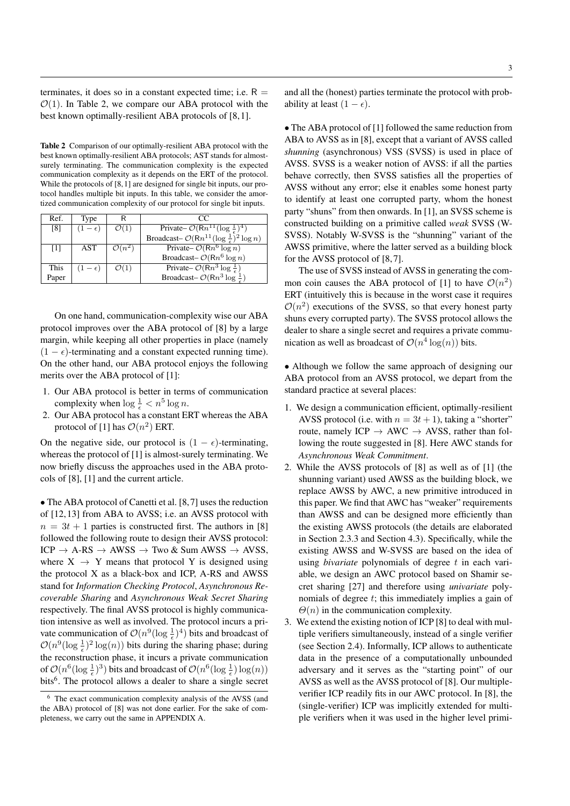terminates, it does so in a constant expected time; i.e.  $R =$  $\mathcal{O}(1)$ . In Table 2, we compare our ABA protocol with the best known optimally-resilient ABA protocols of [8, 1].

Table 2 Comparison of our optimally-resilient ABA protocol with the best known optimally-resilient ABA protocols; AST stands for almostsurely terminating. The communication complexity is the expected communication complexity as it depends on the ERT of the protocol. While the protocols of [8, 1] are designed for single bit inputs, our protocol handles multiple bit inputs. In this table, we consider the amortized communication complexity of our protocol for single bit inputs.

| Ref.              | Type           |                    | 70                                                                  |
|-------------------|----------------|--------------------|---------------------------------------------------------------------|
| [8]               | $(1-\epsilon)$ | $\mathcal{O}(1)$   | Private– $\mathcal{O}(Rn^{11}(\log \frac{1}{\epsilon})^4)$          |
|                   |                |                    | Broadcast- $\mathcal{O}(Rn^{11}(\log \frac{1}{\epsilon})^2 \log n)$ |
| $\lceil 1 \rceil$ | AST            | $\mathcal{O}(n^2)$ | Private- $\mathcal{O}(Rn^6 \log n)$                                 |
|                   |                |                    | Broadcast- $\mathcal{O}(Rn^6 \log n)$                               |
| This              | $(1-\epsilon)$ | $\mathcal{O}(1)$   | Private– $\mathcal{O}(Rn^3 \log \frac{1}{\epsilon})$                |
| Paper             |                |                    | Broadcast- $\mathcal{O}(Rn^3 \log^{\frac{1}{2}})$                   |

On one hand, communication-complexity wise our ABA protocol improves over the ABA protocol of [8] by a large margin, while keeping all other properties in place (namely  $(1 - \epsilon)$ -terminating and a constant expected running time). On the other hand, our ABA protocol enjoys the following merits over the ABA protocol of [1]:

- 1. Our ABA protocol is better in terms of communication complexity when  $\log \frac{1}{\epsilon} < n^5 \log n$ .
- 2. Our ABA protocol has a constant ERT whereas the ABA protocol of [1] has  $\mathcal{O}(n^2)$  ERT.

On the negative side, our protocol is  $(1 - \epsilon)$ -terminating, whereas the protocol of [1] is almost-surely terminating. We now briefly discuss the approaches used in the ABA protocols of [8], [1] and the current article.

• The ABA protocol of Canetti et al. [8,7] uses the reduction of [12, 13] from ABA to AVSS; i.e. an AVSS protocol with  $n = 3t + 1$  parties is constructed first. The authors in [8] followed the following route to design their AVSS protocol:  $ICP \rightarrow A-RS \rightarrow AWSS \rightarrow Two & Sum AWSS \rightarrow AVSS,$ where  $X \rightarrow Y$  means that protocol Y is designed using the protocol X as a black-box and ICP, A-RS and AWSS stand for *Information Checking Protocol*, *Asynchronous Recoverable Sharing* and *Asynchronous Weak Secret Sharing* respectively. The final AVSS protocol is highly communication intensive as well as involved. The protocol incurs a private communication of  $\mathcal{O}(n^9(\log{\frac{1}{\epsilon}})^4)$  bits and broadcast of  $\mathcal{O}(n^9(\log \frac{1}{\epsilon})^2 \log(n))$  bits during the sharing phase; during the reconstruction phase, it incurs a private communication of  $\mathcal{O}(n^6(\log{\frac{1}{\epsilon}})^3)$  bits and broadcast of  $\mathcal{O}(n^6(\log{\frac{1}{\epsilon}})\log(n))$ bits<sup>6</sup>. The protocol allows a dealer to share a single secret

and all the (honest) parties terminate the protocol with probability at least  $(1 - \epsilon)$ .

• The ABA protocol of [1] followed the same reduction from ABA to AVSS as in [8], except that a variant of AVSS called *shunning* (asynchronous) VSS (SVSS) is used in place of AVSS. SVSS is a weaker notion of AVSS: if all the parties behave correctly, then SVSS satisfies all the properties of AVSS without any error; else it enables some honest party to identify at least one corrupted party, whom the honest party "shuns" from then onwards. In [1], an SVSS scheme is constructed building on a primitive called *weak* SVSS (W-SVSS). Notably W-SVSS is the "shunning" variant of the AWSS primitive, where the latter served as a building block for the AVSS protocol of [8, 7].

The use of SVSS instead of AVSS in generating the common coin causes the ABA protocol of [1] to have  $\mathcal{O}(n^2)$ ERT (intuitively this is because in the worst case it requires  $\mathcal{O}(n^2)$  executions of the SVSS, so that every honest party shuns every corrupted party). The SVSS protocol allows the dealer to share a single secret and requires a private communication as well as broadcast of  $\mathcal{O}(n^4 \log(n))$  bits.

• Although we follow the same approach of designing our ABA protocol from an AVSS protocol, we depart from the standard practice at several places:

- 1. We design a communication efficient, optimally-resilient AVSS protocol (i.e. with  $n = 3t + 1$ ), taking a "shorter" route, namely ICP  $\rightarrow$  AWC  $\rightarrow$  AVSS, rather than following the route suggested in [8]. Here AWC stands for *Asynchronous Weak Commitment*.
- 2. While the AVSS protocols of [8] as well as of [1] (the shunning variant) used AWSS as the building block, we replace AWSS by AWC, a new primitive introduced in this paper. We find that AWC has "weaker" requirements than AWSS and can be designed more efficiently than the existing AWSS protocols (the details are elaborated in Section 2.3.3 and Section 4.3). Specifically, while the existing AWSS and W-SVSS are based on the idea of using *bivariate* polynomials of degree t in each variable, we design an AWC protocol based on Shamir secret sharing [27] and therefore using *univariate* polynomials of degree t; this immediately implies a gain of  $\Theta(n)$  in the communication complexity.
- 3. We extend the existing notion of ICP [8] to deal with multiple verifiers simultaneously, instead of a single verifier (see Section 2.4). Informally, ICP allows to authenticate data in the presence of a computationally unbounded adversary and it serves as the "starting point" of our AVSS as well as the AVSS protocol of [8]. Our multipleverifier ICP readily fits in our AWC protocol. In [8], the (single-verifier) ICP was implicitly extended for multiple verifiers when it was used in the higher level primi-

<sup>6</sup> The exact communication complexity analysis of the AVSS (and the ABA) protocol of [8] was not done earlier. For the sake of completeness, we carry out the same in APPENDIX A.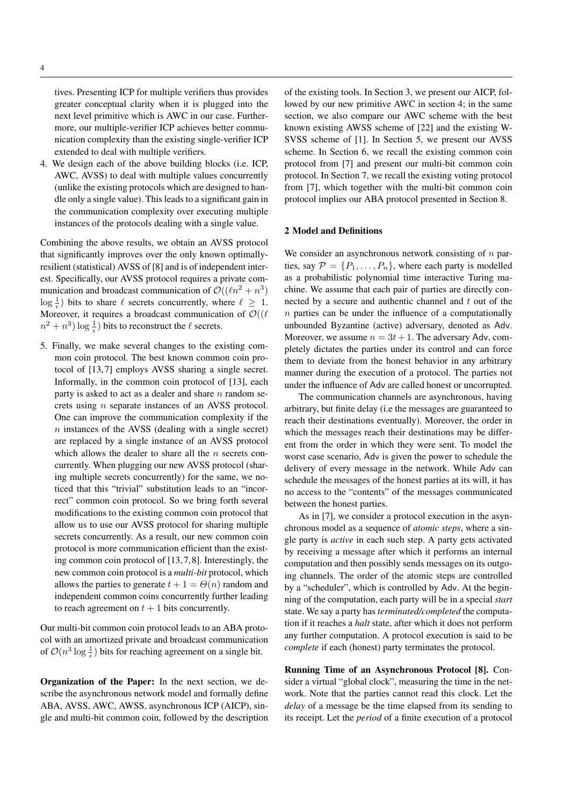tives. Presenting ICP for multiple verifiers thus provides greater conceptual clarity when it is plugged into the next level primitive which is AWC in our case. Furthermore, our multiple-verifier ICP achieves better communication complexity than the existing single-verifier ICP extended to deal with multiple verifiers.

4. We design each of the above building blocks (i.e. ICP, AWC, AVSS) to deal with multiple values concurrently (unlike the existing protocols which are designed to handle only a single value). This leads to a significant gain in the communication complexity over executing multiple instances of the protocols dealing with a single value.

Combining the above results, we obtain an AVSS protocol that significantly improves over the only known optimallyresilient (statistical) AVSS of [8] and is of independent interest. Specifically, our AVSS protocol requires a private communication and broadcast communication of  $\mathcal{O}((\ell n^2 + n^3))$  $\log \frac{1}{\epsilon}$ ) bits to share  $\ell$  secrets concurrently, where  $\ell \geq 1$ . Moreover, it requires a broadcast communication of  $\mathcal{O}((\ell))$  $(n^2 + n^3) \log \frac{1}{\epsilon})$  bits to reconstruct the  $\ell$  secrets.

5. Finally, we make several changes to the existing common coin protocol. The best known common coin protocol of [13, 7] employs AVSS sharing a single secret. Informally, in the common coin protocol of [13], each party is asked to act as a dealer and share  $n$  random secrets using n separate instances of an AVSS protocol. One can improve the communication complexity if the  $n$  instances of the AVSS (dealing with a single secret) are replaced by a single instance of an AVSS protocol which allows the dealer to share all the  $n$  secrets concurrently. When plugging our new AVSS protocol (sharing multiple secrets concurrently) for the same, we noticed that this "trivial" substitution leads to an "incorrect" common coin protocol. So we bring forth several modifications to the existing common coin protocol that allow us to use our AVSS protocol for sharing multiple secrets concurrently. As a result, our new common coin protocol is more communication efficient than the existing common coin protocol of [13, 7, 8]. Interestingly, the new common coin protocol is a *multi-bit* protocol, which allows the parties to generate  $t + 1 = \Theta(n)$  random and independent common coins concurrently further leading to reach agreement on  $t + 1$  bits concurrently.

Our multi-bit common coin protocol leads to an ABA protocol with an amortized private and broadcast communication of  $\mathcal{O}(n^3 \log \frac{1}{\epsilon})$  bits for reaching agreement on a single bit.

Organization of the Paper: In the next section, we describe the asynchronous network model and formally define ABA, AVSS, AWC, AWSS, asynchronous ICP (AICP), single and multi-bit common coin, followed by the description of the existing tools. In Section 3, we present our AICP, followed by our new primitive AWC in section 4; in the same section, we also compare our AWC scheme with the best known existing AWSS scheme of [22] and the existing W-SVSS scheme of [1]. In Section 5, we present our AVSS scheme. In Section 6, we recall the existing common coin protocol from [7] and present our multi-bit common coin protocol. In Section 7, we recall the existing voting protocol from [7], which together with the multi-bit common coin protocol implies our ABA protocol presented in Section 8.

### 2 Model and Definitions

We consider an asynchronous network consisting of  $n$  parties, say  $\mathcal{P} = \{P_1, \ldots, P_n\}$ , where each party is modelled as a probabilistic polynomial time interactive Turing machine. We assume that each pair of parties are directly connected by a secure and authentic channel and  $t$  out of the  $n$  parties can be under the influence of a computationally unbounded Byzantine (active) adversary, denoted as Adv. Moreover, we assume  $n = 3t + 1$ . The adversary Adv, completely dictates the parties under its control and can force them to deviate from the honest behavior in any arbitrary manner during the execution of a protocol. The parties not under the influence of Adv are called honest or uncorrupted.

The communication channels are asynchronous, having arbitrary, but finite delay (i.e the messages are guaranteed to reach their destinations eventually). Moreover, the order in which the messages reach their destinations may be different from the order in which they were sent. To model the worst case scenario, Adv is given the power to schedule the delivery of every message in the network. While Adv can schedule the messages of the honest parties at its will, it has no access to the "contents" of the messages communicated between the honest parties.

As in [7], we consider a protocol execution in the asynchronous model as a sequence of *atomic steps*, where a single party is *active* in each such step. A party gets activated by receiving a message after which it performs an internal computation and then possibly sends messages on its outgoing channels. The order of the atomic steps are controlled by a "scheduler", which is controlled by Adv. At the beginning of the computation, each party will be in a special *start* state. We say a party has *terminated/completed* the computation if it reaches a *halt* state, after which it does not perform any further computation. A protocol execution is said to be *complete* if each (honest) party terminates the protocol.

Running Time of an Asynchronous Protocol [8]. Consider a virtual "global clock", measuring the time in the network. Note that the parties cannot read this clock. Let the *delay* of a message be the time elapsed from its sending to its receipt. Let the *period* of a finite execution of a protocol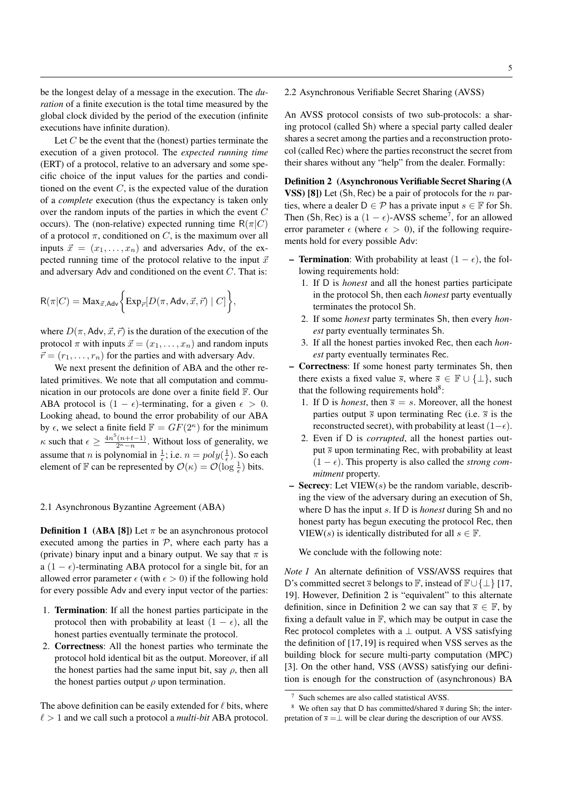be the longest delay of a message in the execution. The *duration* of a finite execution is the total time measured by the global clock divided by the period of the execution (infinite executions have infinite duration).

Let  $C$  be the event that the (honest) parties terminate the execution of a given protocol. The *expected running time* (ERT) of a protocol, relative to an adversary and some specific choice of the input values for the parties and conditioned on the event  $C$ , is the expected value of the duration of a *complete* execution (thus the expectancy is taken only over the random inputs of the parties in which the event C occurs). The (non-relative) expected running time  $R(\pi|C)$ of a protocol  $\pi$ , conditioned on C, is the maximum over all inputs  $\vec{x} = (x_1, \ldots, x_n)$  and adversaries Adv, of the expected running time of the protocol relative to the input  $\vec{x}$ and adversary Adv and conditioned on the event C. That is:

$$
\mathsf{R}(\pi|C) = \text{Max}_{\vec{x},\text{Adv}}\bigg\{\text{Exp}_{\vec{r}}[D(\pi,\text{Adv},\vec{x},\vec{r})\mid C]\bigg\},
$$

where  $D(\pi, \text{Adv}, \vec{x}, \vec{r})$  is the duration of the execution of the protocol  $\pi$  with inputs  $\vec{x} = (x_1, \ldots, x_n)$  and random inputs  $\vec{r} = (r_1, \ldots, r_n)$  for the parties and with adversary Adv.

We next present the definition of ABA and the other related primitives. We note that all computation and communication in our protocols are done over a finite field F. Our ABA protocol is  $(1 - \epsilon)$ -terminating, for a given  $\epsilon > 0$ . Looking ahead, to bound the error probability of our ABA by  $\epsilon$ , we select a finite field  $\mathbb{F} = GF(2^{\kappa})$  for the minimum  $\kappa$  such that  $\epsilon \geq \frac{4n^5(n+t-1)}{2^{\kappa}-n}$ . Without loss of generality, we assume that *n* is polynomial in  $\frac{1}{\epsilon}$ ; i.e.  $n = poly(\frac{1}{\epsilon})$ . So each element of  $\mathbb F$  can be represented by  $\mathcal O(\kappa)=\mathcal O(\log\frac{1}{\epsilon})$  bits.

### 2.1 Asynchronous Byzantine Agreement (ABA)

**Definition 1** (ABA [8]) Let  $\pi$  be an asynchronous protocol executed among the parties in  $P$ , where each party has a (private) binary input and a binary output. We say that  $\pi$  is a (1 –  $\epsilon$ )-terminating ABA protocol for a single bit, for an allowed error parameter  $\epsilon$  (with  $\epsilon > 0$ ) if the following hold for every possible Adv and every input vector of the parties:

- 1. Termination: If all the honest parties participate in the protocol then with probability at least  $(1 - \epsilon)$ , all the honest parties eventually terminate the protocol.
- 2. Correctness: All the honest parties who terminate the protocol hold identical bit as the output. Moreover, if all the honest parties had the same input bit, say  $\rho$ , then all the honest parties output  $\rho$  upon termination.

The above definition can be easily extended for  $\ell$  bits, where  $\ell > 1$  and we call such a protocol a *multi-bit* ABA protocol.

# 2.2 Asynchronous Verifiable Secret Sharing (AVSS)

An AVSS protocol consists of two sub-protocols: a sharing protocol (called Sh) where a special party called dealer shares a secret among the parties and a reconstruction protocol (called Rec) where the parties reconstruct the secret from their shares without any "help" from the dealer. Formally:

Definition 2 (Asynchronous Verifiable Secret Sharing (A VSS) [8]) Let (Sh, Rec) be a pair of protocols for the  $n$  parties, where a dealer  $D \in \mathcal{P}$  has a private input  $s \in \mathbb{F}$  for Sh. Then (Sh, Rec) is a  $(1 - \epsilon)$ -AVSS scheme<sup>7</sup>, for an allowed error parameter  $\epsilon$  (where  $\epsilon > 0$ ), if the following requirements hold for every possible Adv:

- **Termination:** With probability at least  $(1 \epsilon)$ , the following requirements hold:
	- 1. If D is *honest* and all the honest parties participate in the protocol Sh, then each *honest* party eventually terminates the protocol Sh.
	- 2. If some *honest* party terminates Sh, then every *honest* party eventually terminates Sh.
	- 3. If all the honest parties invoked Rec, then each *honest* party eventually terminates Rec.
- Correctness: If some honest party terminates Sh, then there exists a fixed value  $\overline{s}$ , where  $\overline{s} \in \mathbb{F} \cup \{\perp\}$ , such that the following requirements hold<sup>8</sup>:
	- 1. If D is *honest*, then  $\overline{s} = s$ . Moreover, all the honest parties output  $\overline{s}$  upon terminating Rec (i.e.  $\overline{s}$  is the reconstructed secret), with probability at least  $(1-\epsilon)$ .
	- 2. Even if D is *corrupted*, all the honest parties output  $\overline{s}$  upon terminating Rec, with probability at least  $(1 - \epsilon)$ . This property is also called the *strong commitment* property.
- Secrecy: Let  $VIEW(s)$  be the random variable, describing the view of the adversary during an execution of Sh, where D has the input s. If D is *honest* during Sh and no honest party has begun executing the protocol Rec, then VIEW(s) is identically distributed for all  $s \in \mathbb{F}$ .

We conclude with the following note:

*Note 1* An alternate definition of VSS/AVSS requires that D's committed secret  $\overline{s}$  belongs to  $\mathbb{F}$ , instead of  $\mathbb{F} \cup {\{\perp\}}$  [17, 19]. However, Definition 2 is "equivalent" to this alternate definition, since in Definition 2 we can say that  $\overline{s} \in \mathbb{F}$ , by fixing a default value in  $\mathbb{F}$ , which may be output in case the Rec protocol completes with a  $\perp$  output. A VSS satisfying the definition of [17, 19] is required when VSS serves as the building block for secure multi-party computation (MPC) [3]. On the other hand, VSS (AVSS) satisfying our definition is enough for the construction of (asynchronous) BA

Such schemes are also called statistical AVSS.

<sup>&</sup>lt;sup>8</sup> We often say that D has committed/shared  $\overline{s}$  during Sh; the interpretation of  $\overline{s} = \perp$  will be clear during the description of our AVSS.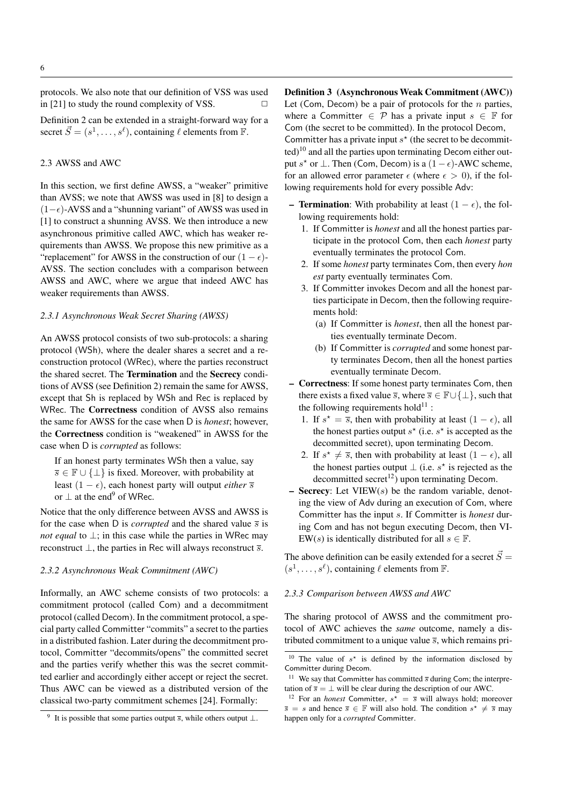protocols. We also note that our definition of VSS was used in [21] to study the round complexity of VSS.  $\Box$ 

Definition 2 can be extended in a straight-forward way for a secret  $\vec{S} = (s^1, \dots, s^\ell)$ , containing  $\ell$  elements from  $\vec{F}$ .

### 2.3 AWSS and AWC

In this section, we first define AWSS, a "weaker" primitive than AVSS; we note that AWSS was used in [8] to design a  $(1-\epsilon)$ -AVSS and a "shunning variant" of AWSS was used in [1] to construct a shunning AVSS. We then introduce a new asynchronous primitive called AWC, which has weaker requirements than AWSS. We propose this new primitive as a "replacement" for AWSS in the construction of our  $(1 - \epsilon)$ -AVSS. The section concludes with a comparison between AWSS and AWC, where we argue that indeed AWC has weaker requirements than AWSS.

### *2.3.1 Asynchronous Weak Secret Sharing (AWSS)*

An AWSS protocol consists of two sub-protocols: a sharing protocol (WSh), where the dealer shares a secret and a reconstruction protocol (WRec), where the parties reconstruct the shared secret. The Termination and the Secrecy conditions of AVSS (see Definition 2) remain the same for AWSS, except that Sh is replaced by WSh and Rec is replaced by WRec. The Correctness condition of AVSS also remains the same for AWSS for the case when D is *honest*; however, the Correctness condition is "weakened" in AWSS for the case when D is *corrupted* as follows:

If an honest party terminates WSh then a value, say  $\overline{s} \in \mathbb{F} \cup \{\perp\}$  is fixed. Moreover, with probability at least  $(1 - \epsilon)$ , each honest party will output *either*  $\overline{s}$ or  $\perp$  at the end<sup>9</sup> of WRec.

Notice that the only difference between AVSS and AWSS is for the case when D is *corrupted* and the shared value  $\overline{s}$  is *not equal* to ⊥; in this case while the parties in WRec may reconstruct  $\perp$ , the parties in Rec will always reconstruct  $\overline{s}$ .

### *2.3.2 Asynchronous Weak Commitment (AWC)*

Informally, an AWC scheme consists of two protocols: a commitment protocol (called Com) and a decommitment protocol (called Decom). In the commitment protocol, a special party called Committer "commits" a secret to the parties in a distributed fashion. Later during the decommitment protocol, Committer "decommits/opens" the committed secret and the parties verify whether this was the secret committed earlier and accordingly either accept or reject the secret. Thus AWC can be viewed as a distributed version of the classical two-party commitment schemes [24]. Formally:

Definition 3 (Asynchronous Weak Commitment (AWC)) Let (Com, Decom) be a pair of protocols for the  $n$  parties, where a Committer  $\in \mathcal{P}$  has a private input  $s \in \mathbb{F}$  for Com (the secret to be committed). In the protocol Decom, Committer has a private input  $s^*$  (the secret to be decommit $ted)$ <sup>10</sup> and all the parties upon terminating Decom either output s<sup>\*</sup> or  $\perp$ . Then (Com, Decom) is a  $(1 - \epsilon)$ -AWC scheme, for an allowed error parameter  $\epsilon$  (where  $\epsilon > 0$ ), if the following requirements hold for every possible Adv:

- **Termination:** With probability at least  $(1 \epsilon)$ , the following requirements hold:
	- 1. If Committer is *honest* and all the honest parties participate in the protocol Com, then each *honest* party eventually terminates the protocol Com.
	- 2. If some *honest* party terminates Com, then every *hon est* party eventually terminates Com.
	- 3. If Committer invokes Decom and all the honest parties participate in Decom, then the following requirements hold:
		- (a) If Committer is *honest*, then all the honest parties eventually terminate Decom.
		- (b) If Committer is *corrupted* and some honest party terminates Decom, then all the honest parties eventually terminate Decom.
- Correctness: If some honest party terminates Com, then there exists a fixed value  $\overline{s}$ , where  $\overline{s} \in \mathbb{F} \cup \{\perp\}$ , such that the following requirements hold $^{11}$  :
	- 1. If  $s^* = \overline{s}$ , then with probability at least  $(1 \epsilon)$ , all the honest parties output  $s^*$  (i.e.  $s^*$  is accepted as the decommitted secret), upon terminating Decom.
	- 2. If  $s^* \neq \overline{s}$ , then with probability at least  $(1 \epsilon)$ , all the honest parties output  $\perp$  (i.e. s<sup>\*</sup> is rejected as the decommitted secret<sup>12</sup>) upon terminating Decom.
- $-$  Secrecy: Let VIEW(s) be the random variable, denoting the view of Adv during an execution of Com, where Committer has the input s. If Committer is *honest* during Com and has not begun executing Decom, then VI-EW(s) is identically distributed for all  $s \in \mathbb{F}$ .

The above definition can be easily extended for a secret  $\vec{S} =$  $(s^1, \ldots, s^\ell)$ , containing  $\ell$  elements from  $\mathbb F$ .

# *2.3.3 Comparison between AWSS and AWC*

The sharing protocol of AWSS and the commitment protocol of AWC achieves the *same* outcome, namely a distributed commitment to a unique value  $\overline{s}$ , which remains pri-

<sup>&</sup>lt;sup>9</sup> It is possible that some parties output  $\overline{s}$ , while others output  $\perp$ .

<sup>&</sup>lt;sup>10</sup> The value of  $s^*$  is defined by the information disclosed by Committer during Decom.

<sup>&</sup>lt;sup>11</sup> We say that Committer has committed  $\bar{s}$  during Com; the interpretation of  $\overline{s} = \perp$  will be clear during the description of our AWC.

<sup>&</sup>lt;sup>12</sup> For an *honest* Committer,  $s^* = \overline{s}$  will always hold; moreover  $\overline{s} = s$  and hence  $\overline{s} \in \mathbb{F}$  will also hold. The condition  $s^* \neq \overline{s}$  may happen only for a *corrupted* Committer.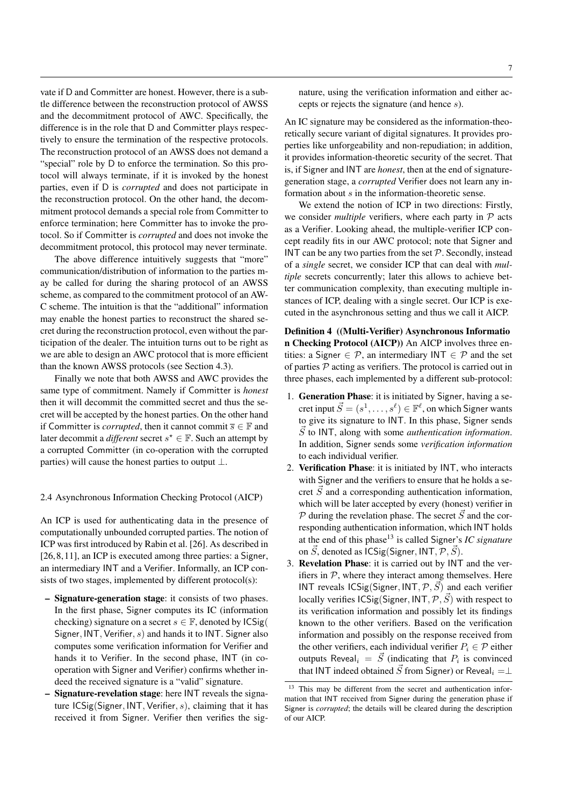vate if D and Committer are honest. However, there is a subtle difference between the reconstruction protocol of AWSS and the decommitment protocol of AWC. Specifically, the difference is in the role that D and Committer plays respectively to ensure the termination of the respective protocols. The reconstruction protocol of an AWSS does not demand a "special" role by D to enforce the termination. So this protocol will always terminate, if it is invoked by the honest parties, even if D is *corrupted* and does not participate in the reconstruction protocol. On the other hand, the decommitment protocol demands a special role from Committer to enforce termination; here Committer has to invoke the protocol. So if Committer is *corrupted* and does not invoke the decommitment protocol, this protocol may never terminate.

The above difference intuitively suggests that "more" communication/distribution of information to the parties may be called for during the sharing protocol of an AWSS scheme, as compared to the commitment protocol of an AW-C scheme. The intuition is that the "additional" information may enable the honest parties to reconstruct the shared secret during the reconstruction protocol, even without the participation of the dealer. The intuition turns out to be right as we are able to design an AWC protocol that is more efficient than the known AWSS protocols (see Section 4.3).

Finally we note that both AWSS and AWC provides the same type of commitment. Namely if Committer is *honest* then it will decommit the committed secret and thus the secret will be accepted by the honest parties. On the other hand if Committer is *corrupted*, then it cannot commit  $\overline{s} \in \mathbb{F}$  and later decommit a *different* secret  $s^* \in \mathbb{F}$ . Such an attempt by a corrupted Committer (in co-operation with the corrupted parties) will cause the honest parties to output  $\perp$ .

### 2.4 Asynchronous Information Checking Protocol (AICP)

An ICP is used for authenticating data in the presence of computationally unbounded corrupted parties. The notion of ICP was first introduced by Rabin et al. [26]. As described in [26, 8, 11], an ICP is executed among three parties: a Signer, an intermediary INT and a Verifier. Informally, an ICP consists of two stages, implemented by different protocol(s):

- Signature-generation stage: it consists of two phases. In the first phase, Signer computes its IC (information checking) signature on a secret  $s \in \mathbb{F}$ , denoted by  $\text{ICSig}($ Signer,  $INT$ , Verifier,  $s$ ) and hands it to INT. Signer also computes some verification information for Verifier and hands it to Verifier. In the second phase, INT (in cooperation with Signer and Verifier) confirms whether indeed the received signature is a "valid" signature.
- Signature-revelation stage: here INT reveals the signature  $ICSig(Signer, INT, Verify, s)$ , claiming that it has received it from Signer. Verifier then verifies the sig-

nature, using the verification information and either accepts or rejects the signature (and hence s).

An IC signature may be considered as the information-theoretically secure variant of digital signatures. It provides properties like unforgeability and non-repudiation; in addition, it provides information-theoretic security of the secret. That is, if Signer and INT are *honest*, then at the end of signaturegeneration stage, a *corrupted* Verifier does not learn any information about s in the information-theoretic sense.

We extend the notion of ICP in two directions: Firstly, we consider *multiple* verifiers, where each party in  $P$  acts as a Verifier. Looking ahead, the multiple-verifier ICP concept readily fits in our AWC protocol; note that Signer and INT can be any two parties from the set  $P$ . Secondly, instead of a *single* secret, we consider ICP that can deal with *multiple* secrets concurrently; later this allows to achieve better communication complexity, than executing multiple instances of ICP, dealing with a single secret. Our ICP is executed in the asynchronous setting and thus we call it AICP.

Definition 4 ((Multi-Verifier) Asynchronous Informatio n Checking Protocol (AICP)) An AICP involves three entities: a Signer  $\in \mathcal{P}$ , an intermediary INT  $\in \mathcal{P}$  and the set of parties  $P$  acting as verifiers. The protocol is carried out in three phases, each implemented by a different sub-protocol:

- 1. Generation Phase: it is initiated by Signer, having a secret input  $\vec{S} = (s^1, \dots, s^\ell) \in \mathbb{F}^\ell$ , on which Signer wants to give its signature to INT. In this phase, Signer sends  $\overrightarrow{S}$  to INT, along with some *authentication information*. In addition, Signer sends some *verification information* to each individual verifier.
- 2. Verification Phase: it is initiated by INT, who interacts with Signer and the verifiers to ensure that he holds a secret  $\vec{S}$  and a corresponding authentication information, which will be later accepted by every (honest) verifier in  $\mathcal P$  during the revelation phase. The secret  $\vec S$  and the corresponding authentication information, which INT holds at the end of this phase<sup>13</sup> is called Signer's *IC signature* on  $\vec{S}$ , denoted as ICSig(Signer, INT,  $\mathcal{P}, \vec{S}$ ).
- 3. Revelation Phase: it is carried out by INT and the verifiers in  $P$ , where they interact among themselves. Here INT reveals ICSig(Signer, INT,  $\mathcal{P}, \vec{S}$ ) and each verifier locally verifies  $\text{ICSig}(\text{Signer}, \text{INT}, \mathcal{P}, \vec{S})$  with respect to its verification information and possibly let its findings known to the other verifiers. Based on the verification information and possibly on the response received from the other verifiers, each individual verifier  $P_i \in \mathcal{P}$  either outputs Reveal<sub>i</sub> =  $\vec{S}$  (indicating that  $P_i$  is convinced that INT indeed obtained  $\vec{S}$  from Signer) or Reveal<sub>i</sub> =⊥

<sup>&</sup>lt;sup>13</sup> This may be different from the secret and authentication information that INT received from Signer during the generation phase if Signer is *corrupted*; the details will be cleared during the description of our AICP.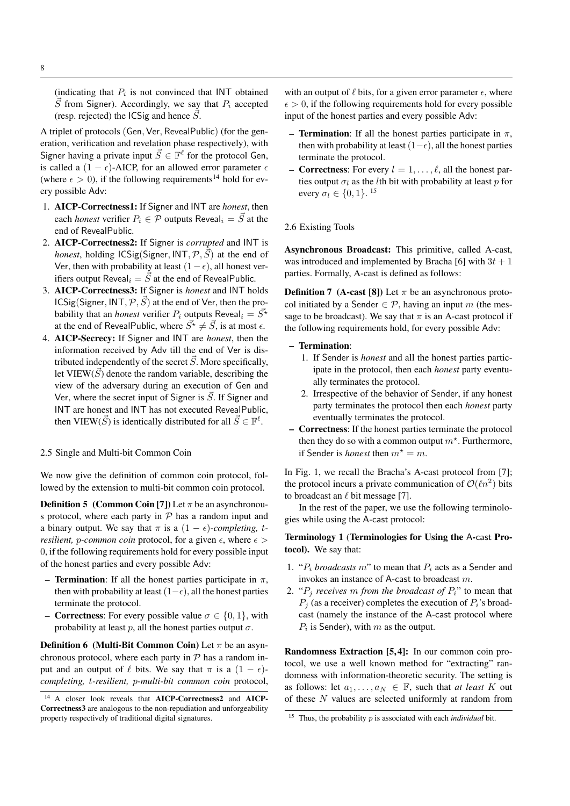(indicating that  $P_i$  is not convinced that INT obtained  $\overline{S}$  from Signer). Accordingly, we say that  $P_i$  accepted (resp. rejected) the ICSig and hence  $\vec{S}$ .

A triplet of protocols (Gen, Ver, RevealPublic) (for the generation, verification and revelation phase respectively), with Signer having a private input  $\vec{S} \in \mathbb{F}^{\ell}$  for the protocol Gen, is called a  $(1 - \epsilon)$ -AICP, for an allowed error parameter  $\epsilon$ (where  $\epsilon > 0$ ), if the following requirements<sup>14</sup> hold for every possible Adv:

- 1. AICP-Correctness1: If Signer and INT are *honest*, then each *honest* verifier  $P_i \in \mathcal{P}$  outputs Reveal<sub>i</sub> =  $\vec{S}$  at the end of RevealPublic.
- 2. AICP-Correctness2: If Signer is *corrupted* and INT is *honest*, holding  $ICSig(Signer, INT, P, S)$  at the end of Ver, then with probability at least  $(1-\epsilon)$ , all honest verifiers output Reveal<sub>i</sub> =  $\vec{S}$  at the end of RevealPublic.
- 3. AICP-Correctness3: If Signer is *honest* and INT holds ICSig(Signer, INT,  $\mathcal{P}, \vec{S}$ ) at the end of Ver, then the probability that an *honest* verifier  $P_i$  outputs Reveal<sub>i</sub> =  $\overline{S^*}$ at the end of RevealPublic, where  $\vec{S}^* \neq \vec{S}$ , is at most  $\epsilon$ .
- 4. AICP-Secrecy: If Signer and INT are *honest*, then the information received by Adv till the end of Ver is distributed independently of the secret  $\vec{S}$ . More specifically, let VIEW( $\vec{S}$ ) denote the random variable, describing the view of the adversary during an execution of Gen and Ver, where the secret input of Signer is  $\vec{S}$ . If Signer and INT are honest and INT has not executed RevealPublic, then VIEW( $\vec{S}$ ) is identically distributed for all  $\vec{S} \in \mathbb{F}^{\ell}$ .

### 2.5 Single and Multi-bit Common Coin

We now give the definition of common coin protocol, followed by the extension to multi-bit common coin protocol.

**Definition 5** (Common Coin [7]) Let  $\pi$  be an asynchronous protocol, where each party in  $P$  has a random input and a binary output. We say that  $\pi$  is a  $(1 - \epsilon)$ -completing, t*resilient, p-common coin* protocol, for a given  $\epsilon$ , where  $\epsilon$  > 0, if the following requirements hold for every possible input of the honest parties and every possible Adv:

- **Termination:** If all the honest parties participate in  $\pi$ , then with probability at least  $(1-\epsilon)$ , all the honest parties terminate the protocol.
- **Correctness:** For every possible value  $\sigma \in \{0, 1\}$ , with probability at least p, all the honest parties output  $\sigma$ .

**Definition 6 (Multi-Bit Common Coin)** Let  $\pi$  be an asynchronous protocol, where each party in  $P$  has a random input and an output of  $\ell$  bits. We say that  $\pi$  is a  $(1 - \epsilon)$ *completing,* t*-resilient,* p*-multi-bit common coin* protocol, with an output of  $\ell$  bits, for a given error parameter  $\epsilon$ , where  $\epsilon > 0$ , if the following requirements hold for every possible input of the honest parties and every possible Adv:

- **Termination**: If all the honest parties participate in  $\pi$ , then with probability at least  $(1-\epsilon)$ , all the honest parties terminate the protocol.
- **Correctness:** For every  $l = 1, \ldots, \ell$ , all the honest parties output  $\sigma_l$  as the *l*th bit with probability at least p for every  $\sigma_l \in \{0, 1\}$ . <sup>15</sup>

### 2.6 Existing Tools

Asynchronous Broadcast: This primitive, called A-cast, was introduced and implemented by Bracha [6] with  $3t + 1$ parties. Formally, A-cast is defined as follows:

**Definition 7** (A-cast [8]) Let  $\pi$  be an asynchronous protocol initiated by a Sender  $\in \mathcal{P}$ , having an input m (the message to be broadcast). We say that  $\pi$  is an A-cast protocol if the following requirements hold, for every possible Adv:

### – Termination:

- 1. If Sender is *honest* and all the honest parties participate in the protocol, then each *honest* party eventually terminates the protocol.
- 2. Irrespective of the behavior of Sender, if any honest party terminates the protocol then each *honest* party eventually terminates the protocol.
- Correctness: If the honest parties terminate the protocol then they do so with a common output  $m^*$ . Furthermore, if Sender is *honest* then  $m^* = m$ .

In Fig. 1, we recall the Bracha's A-cast protocol from [7]; the protocol incurs a private communication of  $\mathcal{O}(\ell n^2)$  bits to broadcast an  $\ell$  bit message [7].

In the rest of the paper, we use the following terminologies while using the A-cast protocol:

# Terminology 1 (Terminologies for Using the A-cast Protocol). We say that:

- 1. " $P_i$  *broadcasts* m" to mean that  $P_i$  acts as a Sender and invokes an instance of A-cast to broadcast m.
- 2. " $P_j$  *receives m from the broadcast of*  $P_i$ " to mean that  $P_i$  (as a receiver) completes the execution of  $P_i$ 's broadcast (namely the instance of the A-cast protocol where  $P_i$  is Sender), with  $m$  as the output.

Randomness Extraction [5,4]: In our common coin protocol, we use a well known method for "extracting" randomness with information-theoretic security. The setting is as follows: let  $a_1, \ldots, a_N \in \mathbb{F}$ , such that *at least* K out of these N values are selected uniformly at random from

<sup>14</sup> A closer look reveals that AICP-Correctness2 and AICP-Correctness3 are analogous to the non-repudiation and unforgeability property respectively of traditional digital signatures.

<sup>&</sup>lt;sup>15</sup> Thus, the probability  $p$  is associated with each *individual* bit.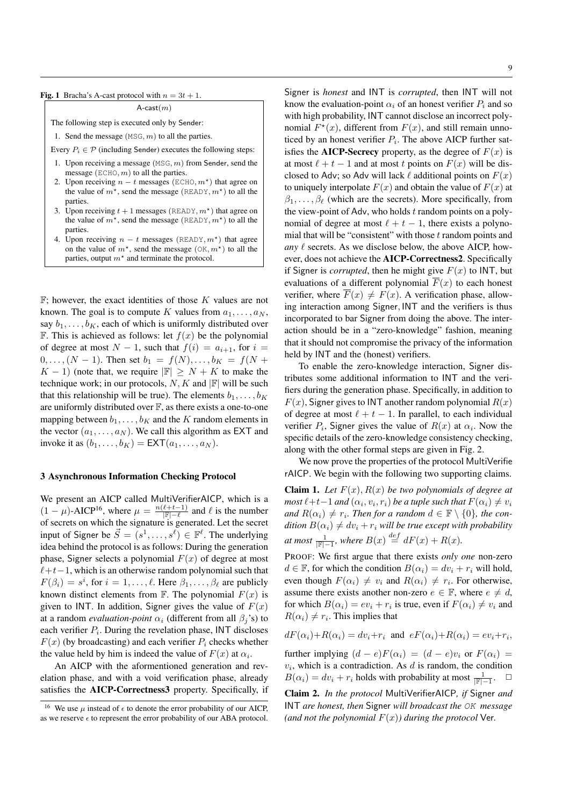$A$ -cast $(m)$ 

The following step is executed only by Sender:

1. Send the message  $(MSG, m)$  to all the parties.

Every  $P_i \in \mathcal{P}$  (including Sender) executes the following steps:

- 1. Upon receiving a message  $(MSG, m)$  from Sender, send the message ( $ECHO, m$ ) to all the parties.
- 2. Upon receiving  $n t$  messages (ECHO,  $m^*$ ) that agree on the value of  $m^*$ , send the message (READY,  $m^*$ ) to all the parties.
- 3. Upon receiving  $t + 1$  messages (READY,  $m^*$ ) that agree on the value of  $m^*$ , send the message (READY,  $m^*$ ) to all the parties.
- 4. Upon receiving  $n t$  messages (READY,  $m^*$ ) that agree on the value of  $m^*$ , send the message (OK,  $m^*$ ) to all the parties, output  $m^*$  and terminate the protocol.

 $\mathbb{F}$ ; however, the exact identities of those K values are not known. The goal is to compute K values from  $a_1, \ldots, a_N$ , say  $b_1, \ldots, b_K$ , each of which is uniformly distributed over F. This is achieved as follows: let  $f(x)$  be the polynomial of degree at most  $N-1$ , such that  $f(i) = a_{i+1}$ , for  $i =$  $0, \ldots, (N-1)$ . Then set  $b_1 = f(N), \ldots, b_K = f(N+1)$  $K - 1$ ) (note that, we require  $|\mathbb{F}| \geq N + K$  to make the technique work; in our protocols, N, K and  $\mathbb{F}$  will be such that this relationship will be true). The elements  $b_1, \ldots, b_K$ are uniformly distributed over  $\mathbb{F}$ , as there exists a one-to-one mapping between  $b_1, \ldots, b_K$  and the K random elements in the vector  $(a_1, \ldots, a_N)$ . We call this algorithm as EXT and invoke it as  $(b_1, \ldots, b_K) = \text{EXT}(a_1, \ldots, a_N)$ .

# 3 Asynchronous Information Checking Protocol

We present an AICP called MultiVerifierAICP, which is a  $(1 - \mu)$ -AICP<sup>16</sup>, where  $\mu = \frac{n(\ell+t-1)}{|\mathbb{F}|-\ell}$  and  $\ell$  is the number of secrets on which the signature is generated. Let the secret input of Signer be  $\vec{S} = (s^1, \ldots, s^\ell) \in \mathbb{F}^\ell$ . The underlying idea behind the protocol is as follows: During the generation phase, Signer selects a polynomial  $F(x)$  of degree at most  $\ell+t-1$ , which is an otherwise random polynomial such that  $F(\beta_i) = s^i$ , for  $i = 1, ..., \ell$ . Here  $\beta_1, ..., \beta_\ell$  are publicly known distinct elements from  $\mathbb F$ . The polynomial  $F(x)$  is given to INT. In addition, Signer gives the value of  $F(x)$ at a random *evaluation-point*  $\alpha_i$  (different from all  $\beta_i$ 's) to each verifier  $P_i$ . During the revelation phase, INT discloses  $F(x)$  (by broadcasting) and each verifier  $P_i$  checks whether the value held by him is indeed the value of  $F(x)$  at  $\alpha_i$ .

An AICP with the aformentioned generation and revelation phase, and with a void verification phase, already satisfies the AICP-Correctness3 property. Specifically, if Signer is *honest* and INT is *corrupted*, then INT will not know the evaluation-point  $\alpha_i$  of an honest verifier  $P_i$  and so with high probability, INT cannot disclose an incorrect polynomial  $F^*(x)$ , different from  $F(x)$ , and still remain unnoticed by an honest verifier  $P_i$ . The above AICP further satisfies the **AICP-Secrecy** property, as the degree of  $F(x)$  is at most  $\ell + t - 1$  and at most t points on  $F(x)$  will be disclosed to Adv; so Adv will lack  $\ell$  additional points on  $F(x)$ to uniquely interpolate  $F(x)$  and obtain the value of  $F(x)$  at  $\beta_1, \ldots, \beta_\ell$  (which are the secrets). More specifically, from the view-point of Adv, who holds  $t$  random points on a polynomial of degree at most  $\ell + t - 1$ , there exists a polynomial that will be "consistent" with those  $t$  random points and *any*  $\ell$  secrets. As we disclose below, the above AICP, however, does not achieve the AICP-Correctness2. Specifically if Signer is *corrupted*, then he might give  $F(x)$  to INT, but evaluations of a different polynomial  $\overline{F}(x)$  to each honest verifier, where  $\overline{F}(x) \neq F(x)$ . A verification phase, allowing interaction among Signer, INT and the verifiers is thus incorporated to bar Signer from doing the above. The interaction should be in a "zero-knowledge" fashion, meaning that it should not compromise the privacy of the information held by INT and the (honest) verifiers.

To enable the zero-knowledge interaction, Signer distributes some additional information to INT and the verifiers during the generation phase. Specifically, in addition to  $F(x)$ , Signer gives to INT another random polynomial  $R(x)$ of degree at most  $\ell + t - 1$ . In parallel, to each individual verifier  $P_i$ , Signer gives the value of  $R(x)$  at  $\alpha_i$ . Now the specific details of the zero-knowledge consistency checking, along with the other formal steps are given in Fig. 2.

We now prove the properties of the protocol MultiVerifie rAICP. We begin with the following two supporting claims.

**Claim 1.** Let  $F(x)$ ,  $R(x)$  be two polynomials of degree at  $\textit{most } \ell + t - 1$  and  $(\alpha_i, v_i, r_i)$  be a tuple such that  $F(\alpha_i) \neq v_i$ and  $R(\alpha_i) \neq r_i$ . Then for a random  $d \in \mathbb{F} \setminus \{0\}$ , the con*dition*  $B(\alpha_i) \neq dv_i + r_i$  *will be true except with probability at most*  $\frac{1}{\mathbb{F}|-1}$ *, where*  $B(x) \stackrel{def}{=} dF(x) + R(x)$ *.* 

PROOF: We first argue that there exists *only one* non-zero  $d \in \mathbb{F}$ , for which the condition  $B(\alpha_i) = dv_i + r_i$  will hold, even though  $F(\alpha_i) \neq v_i$  and  $R(\alpha_i) \neq r_i$ . For otherwise, assume there exists another non-zero  $e \in \mathbb{F}$ , where  $e \neq d$ , for which  $B(\alpha_i) = ev_i + r_i$  is true, even if  $F(\alpha_i) \neq v_i$  and  $R(\alpha_i) \neq r_i$ . This implies that

 $dF(\alpha_i)+R(\alpha_i)=dv_i+r_i$  and  $eF(\alpha_i)+R(\alpha_i)=ev_i+r_i$ ,

further implying  $(d - e)F(\alpha_i) = (d - e)v_i$  or  $F(\alpha_i) =$  $v_i$ , which is a contradiction. As  $d$  is random, the condition  $B(\alpha_i) = dv_i + r_i$  holds with probability at most  $\frac{1}{\mathbb{F}|-1}$ .  $\Box$ 

Claim 2. *In the protocol* MultiVerifierAICP*, if* Signer *and* INT *are honest, then* Signer *will broadcast the* OK *message (and not the polynomial*  $F(x)$ *) during the protocol* Ver.

<sup>&</sup>lt;sup>16</sup> We use  $\mu$  instead of  $\epsilon$  to denote the error probability of our AICP, as we reserve  $\epsilon$  to represent the error probability of our ABA protocol.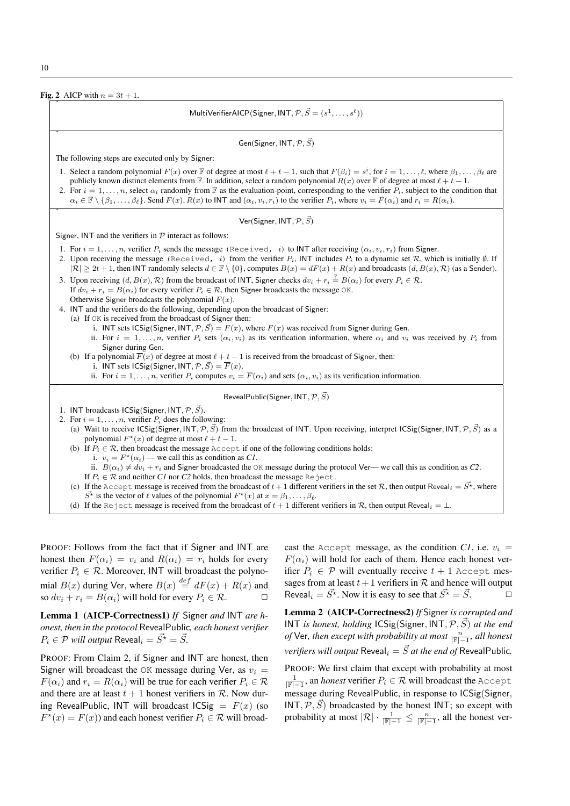10



PROOF: Follows from the fact that if Signer and INT are honest then  $F(\alpha_i) = v_i$  and  $R(\alpha_i) = r_i$  holds for every verifier  $P_i \in \mathcal{R}$ . Moreover, INT will broadcast the polynomial  $B(x)$  during Ver, where  $B(x) \stackrel{def}{=} dF(x) + R(x)$  and so  $dv_i + r_i = B(\alpha_i)$  will hold for every  $P_i \in \mathcal{R}$ .

Lemma 1 (AICP-Correctness1) *If* Signer *and* INT *are honest, then in the protocol* RevealPublic*, each honest verifier*  $P_i \in \mathcal{P}$  *will output* Reveal,  $= \vec{S}^{\star} = \vec{S}$ .

PROOF: From Claim 2, if Signer and INT are honest, then Signer will broadcast the OK message during Ver, as  $v_i$  =  $F(\alpha_i)$  and  $r_i = R(\alpha_i)$  will be true for each verifier  $P_i \in \mathcal{R}$ and there are at least  $t + 1$  honest verifiers in  $R$ . Now during RevealPublic, INT will broadcast  $\text{ICSig} = F(x)$  (so  $F^{\star}(x) = F(x)$  and each honest verifier  $P_i \in \mathcal{R}$  will broadcast the Accept message, as the condition *C1*, i.e.  $v_i$  =  $F(\alpha_i)$  will hold for each of them. Hence each honest verifier  $P_i \in \mathcal{P}$  will eventually receive  $t + 1$  Accept messages from at least  $t+1$  verifiers in  $R$  and hence will output Reveal<sub>i</sub> =  $\vec{S}$ <sup>\*</sup>. Now it is easy to see that  $\vec{S}$ <sup>\*</sup> =  $\vec{S}$ .

Lemma 2 (AICP-Correctness2) *If* Signer *is corrupted and* INT *is honest, holding* ICSig(Signer, INT,  $\mathcal{P}, \vec{S}$ ) *at the end of* Ver, then except with probability at most  $\frac{n}{\sqrt{F-1}}$ , all honest *verifiers will output* Reveal<sub>i</sub> =  $\vec{S}$  *at the end of* RevealPublic.

PROOF: We first claim that except with probability at most  $\frac{1}{\lvert \mathbb{F} \rvert-1}$ , an *honest* verifier  $P_i \in \mathcal{R}$  will broadcast the Accept message during RevealPublic, in response to ICSig(Signer,  $INT, P, \overrightarrow{S}$  broadcasted by the honest INT; so except with probability at most  $|\mathcal{R}| \cdot \frac{1}{|\mathbb{F}|-1} \leq \frac{n}{|\mathbb{F}|-1}$ , all the honest ver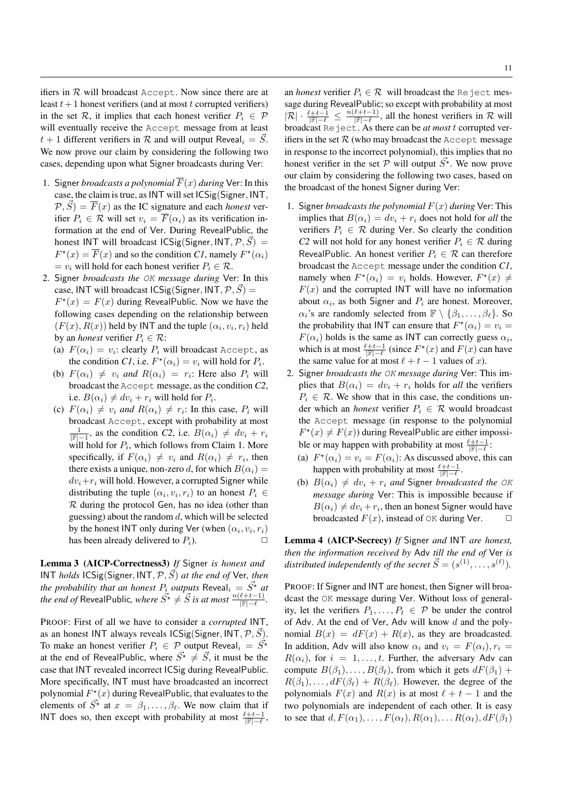ifiers in  $R$  will broadcast Accept. Now since there are at least  $t+1$  honest verifiers (and at most t corrupted verifiers) in the set R, it implies that each honest verifier  $P_i \in \mathcal{P}$ will eventually receive the Accept message from at least  $t + 1$  different verifiers in R and will output Reveal<sub>i</sub> =  $\overline{S}$ . We now prove our claim by considering the following two cases, depending upon what Signer broadcasts during Ver:

- 1. Signer *broadcasts a polynomial*  $\overline{F}(x)$  *during* Ver: In this case, the claim is true, asINT will set ICSig(Signer, INT,  $(\mathcal{P}, \vec{S}) = \overline{F}(x)$  as the IC signature and each *honest* verifier  $P_i \in \mathcal{R}$  will set  $v_i = \overline{F}(\alpha_i)$  as its verification information at the end of Ver. During RevealPublic, the honest INT will broadcast  $\text{ICSig}(\text{Signer}, \text{INT}, \mathcal{P}, \vec{S}) =$  $F^*(x) = \overline{F}(x)$  and so the condition *C1*, namely  $F^*(\alpha_i)$  $= v_i$  will hold for each honest verifier  $P_i \in \mathcal{R}$ .
- 2. Signer *broadcasts the* OK *message during* Ver: In this case, INT will broadcast ICSig(Signer, INT,  $\mathcal{P}, \vec{S}$ ) =  $F^*(x) = F(x)$  during RevealPublic. Now we have the following cases depending on the relationship between  $(F(x), R(x))$  held by INT and the tuple  $(\alpha_i, v_i, r_i)$  held by an *honest* verifier  $P_i \in \mathcal{R}$ :
	- (a)  $F(\alpha_i) = v_i$ : clearly  $P_i$  will broadcast Accept, as the condition *C1*, i.e.  $F^*(\alpha_i) = v_i$  will hold for  $P_i$ .
	- (b)  $F(\alpha_i) \neq v_i$  and  $R(\alpha_i) = r_i$ : Here also  $P_i$  will broadcast the Accept message, as the condition *C2*, i.e.  $B(\alpha_i) \neq dv_i + r_i$  will hold for  $P_i$ .
	- (c)  $F(\alpha_i) \neq v_i$  *and*  $R(\alpha_i) \neq r_i$ : In this case,  $P_i$  will broadcast Accept, except with probability at most  $\frac{1}{\mathbb{F}|-1}$ , as the condition *C2*, i.e. *B*( $\alpha_i$ ) ≠  $dv_i + r_i$ will hold for  $P_i$ , which follows from Claim 1. More specifically, if  $F(\alpha_i) \neq v_i$  and  $R(\alpha_i) \neq r_i$ , then there exists a unique, non-zero d, for which  $B(\alpha_i)$  =  $dv_i+r_i$  will hold. However, a corrupted Signer while distributing the tuple  $(\alpha_i, v_i, r_i)$  to an honest  $P_i \in$  $R$  during the protocol Gen, has no idea (other than guessing) about the random  $d$ , which will be selected by the honest INT only during Ver (when  $(\alpha_i, v_i, r_i)$ has been already delivered to  $P_i$ ).

Lemma 3 (AICP-Correctness3) *If* Signer *is honest and* INT *holds* ICSig(Signer, INT, P,  $\vec{S}$ ) *at the end of* Ver, then *the probability that an honest*  $P_i$  *outputs*  $\text{Reveal}_i = \vec{S^{\star}}$  *at the end of* RevealPublic, where  $\vec{S^{\star}} \neq \vec{S}$  is at most  $\frac{n(\ell+t-1)}{|\mathbb{F}|- \ell}$ .

PROOF: First of all we have to consider a *corrupted* INT, as an honest INT always reveals  $\text{ICSig}(Signer, INT, \mathcal{P}, \overline{S}).$ To make an honest verifier  $P_i \in \mathcal{P}$  output Reveal $i = \vec{S}^*$ at the end of RevealPublic, where  $\vec{S}^* \neq \vec{S}$ , it must be the case that INT revealed incorrect ICSig during RevealPublic. More specifically, INT must have broadcasted an incorrect polynomial  $F^*(x)$  during RevealPublic, that evaluates to the elements of  $\overline{S^*}$  at  $x = \beta_1, \ldots, \beta_\ell$ . We now claim that if INT does so, then except with probability at most  $\frac{\ell+t-1}{|F|-\ell}$ ,

an *honest* verifier  $P_i \in \mathcal{R}$  will broadcast the Reject message during RevealPublic; so except with probability at most  $|\mathcal{R}| \cdot \frac{\ell+t-1}{|\mathbb{F}|- \ell} \leq \frac{n(\ell+t-1)}{|\mathbb{F}|- \ell}$ , all the honest verifiers in R will broadcast Reject. As there can be *at most* t corrupted verifiers in the set  $R$  (who may broadcast the Accept message in response to the incorrect polynomial), this implies that no honest verifier in the set P will output  $\vec{S}^*$ . We now prove our claim by considering the following two cases, based on the broadcast of the honest Signer during Ver:

- 1. Signer *broadcasts the polynomial*  $F(x)$  *during* Ver: This implies that  $B(\alpha_i) = dv_i + r_i$  does not hold for *all* the verifiers  $P_i \in \mathcal{R}$  during Ver. So clearly the condition *C2* will not hold for any honest verifier  $P_i \in \mathcal{R}$  during RevealPublic. An honest verifier  $P_i \in \mathcal{R}$  can therefore broadcast the Accept message under the condition *C1*, namely when  $F^*(\alpha_i) = v_i$  holds. However,  $F^*(x) \neq$  $F(x)$  and the corrupted INT will have no information about  $\alpha_i$ , as both Signer and  $P_i$  are honest. Moreover,  $\alpha_i$ 's are randomly selected from  $\mathbb{F} \setminus {\beta_1, \ldots, \beta_\ell}$ . So the probability that INT can ensure that  $F^*(\alpha_i) = v_i =$  $F(\alpha_i)$  holds is the same as INT can correctly guess  $\alpha_i$ , which is at most  $\frac{\ell+t-1}{\|\mathbb{F}|-\ell}$  (since  $F^*(x)$  and  $F(x)$  can have the same value for at most  $\ell + t - 1$  values of x).
- 2. Signer *broadcasts the* OK *message during* Ver: This implies that  $B(\alpha_i) = dv_i + r_i$  holds for *all* the verifiers  $P_i \in \mathcal{R}$ . We show that in this case, the conditions under which an *honest* verifier  $P_i \in \mathcal{R}$  would broadcast the Accept message (in response to the polynomial  $F^*(x) \neq F(x)$  during RevealPublic are either impossible or may happen with probability at most  $\frac{\ell+t-1}{|\mathbb{F}|- \ell}$ :
	- (a)  $F^*(\alpha_i) = v_i = F(\alpha_i)$ : As discussed above, this can happen with probability at most  $\frac{\ell+t-1}{|\mathbb{F}|-l}$ .
	- (b)  $B(\alpha_i) \neq dv_i + r_i$  *and* Signer *broadcasted the* OK *message during* Ver: This is impossible because if  $B(\alpha_i) \neq dv_i + r_i$ , then an honest Signer would have broadcasted  $F(x)$ , instead of OK during Ver.  $\Box$

Lemma 4 (AICP-Secrecy) *If* Signer *and* INT *are honest, then the information received by* Adv *till the end of* Ver *is* distributed independently of the secret  $\vec{S} = (s^{(1)}, \ldots, s^{(\ell)})$ .

PROOF: If Signer and INT are honest, then Signer will broadcast the OK message during Ver. Without loss of generality, let the verifiers  $P_1, \ldots, P_t \in \mathcal{P}$  be under the control of Adv. At the end of Ver, Adv will know  $d$  and the polynomial  $B(x) = dF(x) + R(x)$ , as they are broadcasted. In addition, Adv will also know  $\alpha_i$  and  $v_i = F(\alpha_i)$ ,  $r_i =$  $R(\alpha_i)$ , for  $i = 1, \ldots, t$ . Further, the adversary Adv can compute  $B(\beta_1), \ldots, B(\beta_\ell)$ , from which it gets  $dF(\beta_1)$  +  $R(\beta_1), \ldots, dF(\beta_\ell) + R(\beta_\ell)$ . However, the degree of the polynomials  $F(x)$  and  $R(x)$  is at most  $\ell + t - 1$  and the two polynomials are independent of each other. It is easy to see that  $d, F(\alpha_1), \ldots, F(\alpha_t), R(\alpha_1), \ldots, R(\alpha_t), dF(\beta_1)$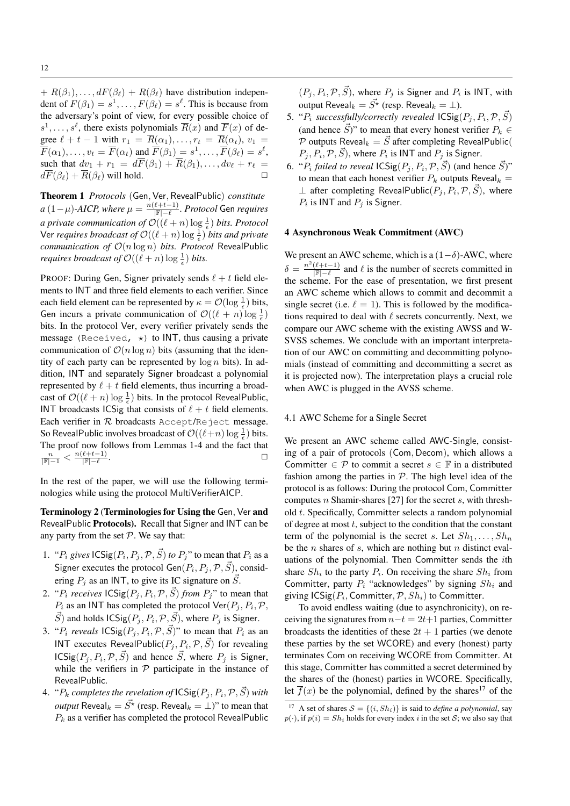+  $R(\beta_1), \ldots, dF(\beta_\ell) + R(\beta_\ell)$  have distribution independent of  $F(\beta_1) = s^1, \dots, F(\beta_\ell) = s^\ell$ . This is because from the adversary's point of view, for every possible choice of  $s^1, \ldots, s^\ell$ , there exists polynomials  $\overline{R}(x)$  and  $\overline{F}(x)$  of degree  $\ell + t - 1$  with  $r_1 = \overline{R}(\alpha_1), \ldots, r_t = \overline{R}(\alpha_t), v_1 =$  $\overline{F}(\alpha_1), \ldots, v_t = \overline{F}(\alpha_t)$  and  $\overline{F}(\beta_1) = s^1, \ldots, \overline{F}(\beta_\ell) = s^\ell,$ such that  $dv_1 + r_1 = d\overline{F}(\beta_1) + \overline{R}(\beta_1), \ldots, dv_{\ell} + r_{\ell}$  $d\overline{F}(\beta_{\ell}) + \overline{R}(\beta_{\ell})$  will hold.  $\square$ 

Theorem 1 *Protocols* (Gen, Ver, RevealPublic) *constitute*  $a\left(1-\mu\right)$ -AICP, where  $\mu=\frac{n(\ell+t-1)}{|\mathbb{F}|-\ell}.$  Protocol Gen requires *a private communication of*  $\mathcal{O}((\ell + n) \log \frac{1}{\epsilon})$  *bits. Protocol* Ver *requires broadcast of*  $\mathcal{O}((\ell + n) \log \frac{1}{\epsilon})$  *bits and private communication of* O(n log n) *bits. Protocol* RevealPublic *requires broadcast of*  $\mathcal{O}((\ell + n) \log \frac{1}{\epsilon})$  *bits.* 

PROOF: During Gen, Signer privately sends  $\ell + t$  field elements to INT and three field elements to each verifier. Since each field element can be represented by  $\kappa = \mathcal{O}(\log \frac{1}{\epsilon})$  bits, Gen incurs a private communication of  $\mathcal{O}((\ell + n) \log \frac{1}{\epsilon})$ bits. In the protocol Ver, every verifier privately sends the message (Received,  $\star$ ) to INT, thus causing a private communication of  $\mathcal{O}(n \log n)$  bits (assuming that the identity of each party can be represented by  $\log n$  bits). In addition, INT and separately Signer broadcast a polynomial represented by  $\ell + t$  field elements, thus incurring a broadcast of  $\mathcal{O}((\ell + n) \log \frac{1}{\epsilon})$  bits. In the protocol RevealPublic, INT broadcasts ICSig that consists of  $\ell + t$  field elements. Each verifier in  $R$  broadcasts Accept/Reject message. So RevealPublic involves broadcast of  $\mathcal{O}((\ell+n) \log \frac{1}{\epsilon})$  bits. The proof now follows from Lemmas 1-4 and the fact that  $\frac{n}{|\mathbb{F}|-1} < \frac{n(\ell+t-1)}{|\mathbb{F}|-1}$ .

In the rest of the paper, we will use the following terminologies while using the protocol MultiVerifierAICP.

Terminology 2 (Terminologies for Using the Gen, Ver and RevealPublic Protocols). Recall that Signer and INT can be any party from the set  $P$ . We say that:

- 1. " $P_i$  gives  $\text{ICSig}(P_i, P_j, \mathcal{P}, \vec{S})$  to  $P_j$ " to mean that  $P_i$  as a Signer executes the protocol Gen $(P_i, P_j, \mathcal{P}, \vec{S})$ , considering  $P_i$  as an INT, to give its IC signature on  $\vec{S}$ .
- 2. " $P_i$  *receives*  $\text{ICSig}(P_j, P_i, \mathcal{P}, \vec{S})$  *from*  $P_j$ " to mean that  $P_i$  as an INT has completed the protocol  $\text{Ver}(P_j, P_i, \mathcal{P}, \mathcal{P})$  $\vec{S}$ ) and holds  $\mathsf{ICSig}(P_j, P_i, \mathcal{P}, \vec{S})$ , where  $P_j$  is Signer.
- 3. " $P_i$  *reveals*  $\text{ICSig}(P_j, P_i, \mathcal{P}, \vec{S})$ " to mean that  $P_i$  as an INT executes RevealPublic $(P_j, P_i, \mathcal{P}, \vec{S})$  for revealing  $\mathsf{ICSig}(P_j, P_i, \mathcal{P}, \vec{S})$  and hence  $\vec{S}$ , where  $P_j$  is Signer, while the verifiers in  $P$  participate in the instance of RevealPublic.
- 4. " $P_k$  completes the revelation of  $\mathsf{ICSig}(P_j, P_i, \mathcal{P}, \vec{S})$  with *output* Reveal<sub>k</sub> =  $\vec{S}$ <sup>\*</sup> (resp. Reveal<sub>k</sub> = ⊥)" to mean that  $P_k$  as a verifier has completed the protocol RevealPublic

 $(P_j, P_i, \mathcal{P}, \vec{S})$ , where  $P_j$  is Signer and  $P_i$  is INT, with output Reveal<sub>k</sub> =  $\vec{S}^{\star}$  (resp. Reveal<sub>k</sub> =  $\perp$ ).

- 5. " $P_i$  successfully/correctly revealed  $\mathsf{ICSig}(P_j, P_i, \mathcal{P}, \vec{S})$ (and hence  $\vec{S}$ )" to mean that every honest verifier  $P_k \in$ P outputs Reveal $_k = \vec{S}$  after completing RevealPublic(  $P_j, P_i, \mathcal{P}, \vec{S}$ , where  $P_i$  is INT and  $P_j$  is Signer.
- 6. " $P_i$  *failed to reveal*  $\textsf{ICSig}(P_j, P_i, \mathcal{P}, \vec{S})$  (and hence  $\vec{S}$ )" to mean that each honest verifier  $P_k$  outputs Reveal $_k =$  $\perp$  after completing RevealPublic $(P_j, P_i, \mathcal{P}, \vec{S})$ , where  $P_i$  is INT and  $P_j$  is Signer.

### 4 Asynchronous Weak Commitment (AWC)

We present an AWC scheme, which is a  $(1-\delta)$ -AWC, where  $\delta = \frac{n^2(\ell+t-1)}{|\mathbb{F}|-\ell}$  and  $\ell$  is the number of secrets committed in the scheme. For the ease of presentation, we first present an AWC scheme which allows to commit and decommit a single secret (i.e.  $\ell = 1$ ). This is followed by the modifications required to deal with  $\ell$  secrets concurrently. Next, we compare our AWC scheme with the existing AWSS and W-SVSS schemes. We conclude with an important interpretation of our AWC on committing and decommitting polynomials (instead of committing and decommitting a secret as it is projected now). The interpretation plays a crucial role when AWC is plugged in the AVSS scheme.

#### 4.1 AWC Scheme for a Single Secret

We present an AWC scheme called AWC-Single, consisting of a pair of protocols (Com, Decom), which allows a Committer  $\in \mathcal{P}$  to commit a secret  $s \in \mathbb{F}$  in a distributed fashion among the parties in  $P$ . The high level idea of the protocol is as follows: During the protocol Com, Committer computes n Shamir-shares [27] for the secret  $s$ , with threshold t. Specifically, Committer selects a random polynomial of degree at most  $t$ , subject to the condition that the constant term of the polynomial is the secret s. Let  $Sh_1, \ldots, Sh_n$ be the  $n$  shares of  $s$ , which are nothing but  $n$  distinct evaluations of the polynomial. Then Committer sends the ith share  $Sh_i$  to the party  $P_i$ . On receiving the share  $Sh_i$  from Committer, party  $P_i$  "acknowledges" by signing  $Sh_i$  and giving  $\mathsf{ICSig}(P_i,\mathsf{Commentter},\mathcal{P},Sh_i)$  to Committer.

To avoid endless waiting (due to asynchronicity), on receiving the signatures from  $n-t = 2t+1$  parties, Committer broadcasts the identities of these  $2t + 1$  parties (we denote these parties by the set WCORE) and every (honest) party terminates Com on receiving WCORE from Committer. At this stage, Committer has committed a secret determined by the shares of the (honest) parties in WCORE. Specifically, let  $\overline{f}(x)$  be the polynomial, defined by the shares<sup>17</sup> of the

A set of shares  $S = \{(i, Sh_i)\}\$ is said to *define a polynomial*, say  $p(\cdot)$ , if  $p(i) = Sh_i$  holds for every index i in the set S; we also say that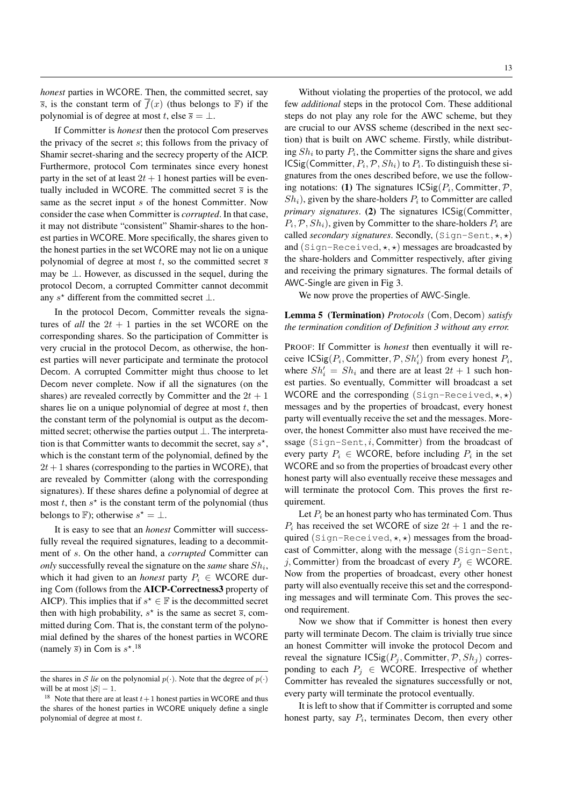*honest* parties in WCORE. Then, the committed secret, say  $\overline{s}$ , is the constant term of  $f(x)$  (thus belongs to  $\mathbb{F}$ ) if the polynomial is of degree at most t, else  $\overline{s} = \perp$ .

If Committer is *honest* then the protocol Com preserves the privacy of the secret s; this follows from the privacy of Shamir secret-sharing and the secrecy property of the AICP. Furthermore, protocol Com terminates since every honest party in the set of at least  $2t + 1$  honest parties will be eventually included in WCORE. The committed secret  $\bar{s}$  is the same as the secret input s of the honest Committer. Now consider the case when Committer is *corrupted*. In that case, it may not distribute "consistent" Shamir-shares to the honest parties in WCORE. More specifically, the shares given to the honest parties in the set WCORE may not lie on a unique polynomial of degree at most t, so the committed secret  $\overline{s}$ may be  $\perp$ . However, as discussed in the sequel, during the protocol Decom, a corrupted Committer cannot decommit any  $s^*$  different from the committed secret  $\perp$ .

In the protocol Decom, Committer reveals the signatures of *all* the  $2t + 1$  parties in the set WCORE on the corresponding shares. So the participation of Committer is very crucial in the protocol Decom, as otherwise, the honest parties will never participate and terminate the protocol Decom. A corrupted Committer might thus choose to let Decom never complete. Now if all the signatures (on the shares) are revealed correctly by Committer and the  $2t + 1$ shares lie on a unique polynomial of degree at most  $t$ , then the constant term of the polynomial is output as the decommitted secret; otherwise the parties output ⊥. The interpretation is that Committer wants to decommit the secret, say  $s^*$ , which is the constant term of the polynomial, defined by the  $2t+1$  shares (corresponding to the parties in WCORE), that are revealed by Committer (along with the corresponding signatures). If these shares define a polynomial of degree at most  $t$ , then  $s^*$  is the constant term of the polynomial (thus belongs to F); otherwise  $s^* = \bot$ .

It is easy to see that an *honest* Committer will successfully reveal the required signatures, leading to a decommitment of s. On the other hand, a *corrupted* Committer can *only* successfully reveal the signature on the *same* share  $Sh_i$ , which it had given to an *honest* party  $P_i \in WCORE$  during Com (follows from the AICP-Correctness3 property of AICP). This implies that if  $s^* \in \mathbb{F}$  is the decommitted secret then with high probability,  $s^*$  is the same as secret  $\overline{s}$ , committed during Com. That is, the constant term of the polynomial defined by the shares of the honest parties in WCORE (namely  $\overline{s}$ ) in Com is  $s^*$ <sup>18</sup>

Without violating the properties of the protocol, we add few *additional* steps in the protocol Com. These additional steps do not play any role for the AWC scheme, but they are crucial to our AVSS scheme (described in the next section) that is built on AWC scheme. Firstly, while distributing  $Sh_i$  to party  $P_i$ , the Committer signs the share and gives  $\textsf{ICSig}(\textsf{Commentter}, P_i, \mathcal{P}, Sh_i)$  to  $P_i$ . To distinguish these signatures from the ones described before, we use the following notations: (1) The signatures  $\mathsf{ICSig}(P_i, \mathsf{Commentter}, P, \mathsf{C})$  $Sh_i$ ), given by the share-holders  $P_i$  to Committer are called *primary signatures*. (2) The signatures ICSig(Committer,  $P_i$ ,  $\mathcal{P}$ ,  $Sh_i$ ), given by Committer to the share-holders  $P_i$  are called *secondary signatures*. Secondly,  $(Sign-Sent, \star, \star)$ and (Sign-Received,  $\star$ ,  $\star$ ) messages are broadcasted by the share-holders and Committer respectively, after giving and receiving the primary signatures. The formal details of AWC-Single are given in Fig 3.

We now prove the properties of AWC-Single.

# Lemma 5 (Termination) *Protocols* (Com, Decom) *satisfy the termination condition of Definition 3 without any error.*

PROOF: If Committer is *honest* then eventually it will receive  $\textsf{ICSig}(P_i, \textsf{Committer}, \mathcal{P}, Sh'_i)$  from every honest  $P_i$ , where  $Sh'_i = Sh_i$  and there are at least  $2t + 1$  such honest parties. So eventually, Committer will broadcast a set WCORE and the corresponding  $(Sign-Received, \star, \star)$ messages and by the properties of broadcast, every honest party will eventually receive the set and the messages. Moreover, the honest Committer also must have received the message  $(Sign-Sent, i, Committee)$  from the broadcast of every party  $P_i \in WCORE$ , before including  $P_i$  in the set WCORE and so from the properties of broadcast every other honest party will also eventually receive these messages and will terminate the protocol Com. This proves the first requirement.

Let  $P_i$  be an honest party who has terminated Com. Thus  $P_i$  has received the set WCORE of size  $2t + 1$  and the required (Sign-Received,  $\star$ ,  $\star$ ) messages from the broadcast of Committer, along with the message (Sign-Sent, j, Committer) from the broadcast of every  $P_i \in WCORE$ . Now from the properties of broadcast, every other honest party will also eventually receive this set and the corresponding messages and will terminate Com. This proves the second requirement.

Now we show that if Committer is honest then every party will terminate Decom. The claim is trivially true since an honest Committer will invoke the protocol Decom and reveal the signature  $\text{ICSig}(P_j, \text{Committer}, \mathcal{P}, Sh_j)$  corresponding to each  $P_j \in WCORE$ . Irrespective of whether Committer has revealed the signatures successfully or not, every party will terminate the protocol eventually.

It is left to show that if Committer is corrupted and some honest party, say  $P_i$ , terminates Decom, then every other

the shares in S *lie* on the polynomial  $p(\cdot)$ . Note that the degree of  $p(\cdot)$ will be at most  $|S| - 1$ .

<sup>&</sup>lt;sup>18</sup> Note that there are at least  $t+1$  honest parties in WCORE and thus the shares of the honest parties in WCORE uniquely define a single polynomial of degree at most t.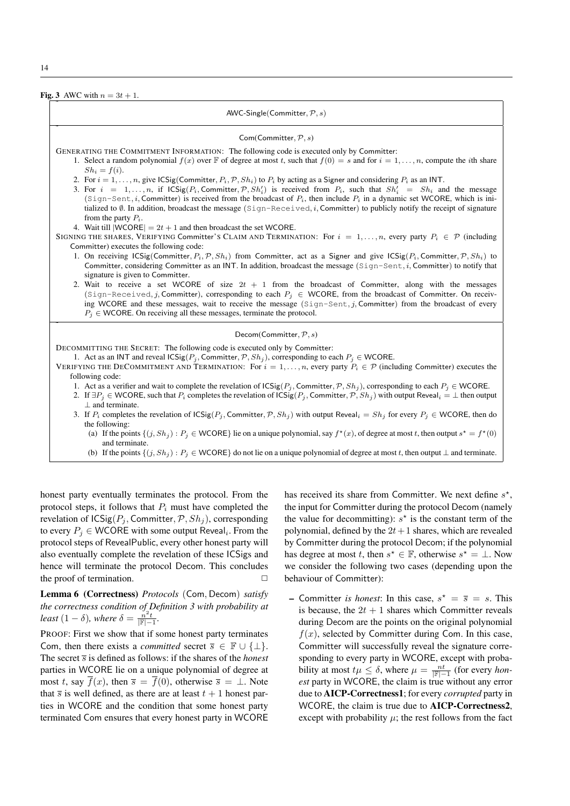Fig. 3 AWC with  $n = 3t + 1$ .

˜ AWC-Single(Committer,  $P, s$ ) ˜ Com(Committer,  $P, s$ ) GENERATING THE COMMITMENT INFORMATION: The following code is executed only by Committer: 1. Select a random polynomial  $f(x)$  over  $\mathbb F$  of degree at most t, such that  $f(0) = s$  and for  $i = 1, \ldots, n$ , compute the *i*th share  $Sh_i = f(i).$ 2. For  $i = 1, \ldots, n$ , give ICSig(Committer,  $P_i$ ,  $\mathcal{P}, Sh_i$ ) to  $P_i$  by acting as a Signer and considering  $P_i$  as an INT. 3. For  $i = 1, \ldots, n$ , if  $\text{ICSig}(P_i, \text{Commentter}, P, Sh'_i)$  is received from  $P_i$ , such that  $Sh'_i = Sh_i$  and the message (Sign-Sent, *i*, Committer) is received from the broadcast of  $P_i$ , then include  $P_i$  in a dynamic set WCORE, which is initialized to  $\emptyset$ . In addition, broadcast the message (Sign-Received, i, Committer) to publicly notify the receipt of signature from the party  $P_i$ . 4. Wait till  $|WCORE| = 2t + 1$  and then broadcast the set WCORE. SIGNING THE SHARES, VERIFYING Committer's CLAIM AND TERMINATION: For  $i = 1, \ldots, n$ , every party  $P_i \in \mathcal{P}$  (including Committer) executes the following code: 1. On receiving ICSig(Committer,  $P_i$ ,  $\mathcal{P}, Sh_i$ ) from Committer, act as a Signer and give ICSig( $P_i$ , Committer,  $\mathcal{P}, Sh_i$ ) to Committer, considering Committer as an INT. In addition, broadcast the message  $(Sign-Sent, i, Committee)$  to notify that signature is given to Committer. 2. Wait to receive a set WCORE of size  $2t + 1$  from the broadcast of Committer, along with the messages (Sign-Received, j, Committer), corresponding to each  $P_i \in WCORE$ , from the broadcast of Committer. On receiving WCORE and these messages, wait to receive the message (Sign-Sent, j, Committer) from the broadcast of every  $P_i \in$  WCORE. On receiving all these messages, terminate the protocol. ˜ Decom(Committer,  $P, s$ ) DECOMMITTING THE SECRET: The following code is executed only by Committer: 1. Act as an INT and reveal  $\text{ICSig}(P_i, \text{Committer}, \mathcal{P}, Sh_i)$ , corresponding to each  $P_i \in \text{WCORE}$ . VERIFYING THE DECOMMITMENT AND TERMINATION: For  $i = 1, \ldots, n$ , every party  $P_i \in \mathcal{P}$  (including Committer) executes the following code: 1. Act as a verifier and wait to complete the revelation of  $\text{ICSig}(P_i, \text{Committer}, \mathcal{P}, Sh_i)$ , corresponding to each  $P_i \in \text{WCORE}$ . 2. If  $\exists P_j \in \text{WCORE}$ , such that  $P_i$  completes the revelation of  $\text{ICSig}(P_j, \text{Committer}, \mathcal{P}, Sh_j)$  with output Reveal $_i = \perp$  then output ⊥ and terminate. 3. If  $P_i$  completes the revelation of  $\text{ICSig}(P_i, \text{Committer}, \mathcal{P}, Sh_i)$  with output Reveal $_i = Sh_i$  for every  $P_i \in \text{WCORE}$ , then do the following: (a) If the points  $\{(j, Sh_j) : P_j \in \text{WCORE}\}$  lie on a unique polynomial, say  $f^*(x)$ , of degree at most t, then output  $s^* = f^*(0)$ and terminate. (b) If the points  $\{(j, Sh_j) : P_j \in \text{WCORE}\}\$  do not lie on a unique polynomial of degree at most t, then output  $\perp$  and terminate.

honest party eventually terminates the protocol. From the protocol steps, it follows that  $P_i$  must have completed the revelation of  $\text{ICSig}(P_j, \text{Committer}, \mathcal{P}, Sh_j)$ , corresponding to every  $P_j \in \mathsf{WCORE}$  with some output Reveal<sub>i</sub>. From the protocol steps of RevealPublic, every other honest party will also eventually complete the revelation of these ICSigs and hence will terminate the protocol Decom. This concludes the proof of termination.  $\Box$ 

Lemma 6 (Correctness) *Protocols* (Com, Decom) *satisfy the correctness condition of Definition 3 with probability at least*  $(1 - \delta)$ *, where*  $\delta = \frac{n^2 t}{|\mathbb{F}|-1}$ *.* 

PROOF: First we show that if some honest party terminates Com, then there exists a *committed* secret  $\overline{s} \in \mathbb{F} \cup \{\perp\}.$ The secret  $\overline{s}$  is defined as follows: if the shares of the *honest* parties in WCORE lie on a unique polynomial of degree at most t, say  $\overline{f}(x)$ , then  $\overline{s} = \overline{f}(0)$ , otherwise  $\overline{s} = \perp$ . Note that  $\overline{s}$  is well defined, as there are at least  $t + 1$  honest parties in WCORE and the condition that some honest party terminated Com ensures that every honest party in WCORE

has received its share from Committer. We next define  $s^*$ , the input for Committer during the protocol Decom (namely the value for decommitting):  $s^*$  is the constant term of the polynomial, defined by the  $2t+1$  shares, which are revealed by Committer during the protocol Decom; if the polynomial has degree at most t, then  $s^* \in \mathbb{F}$ , otherwise  $s^* = \bot$ . Now we consider the following two cases (depending upon the behaviour of Committer):

- Committer *is honest*: In this case,  $s^* = \overline{s} = s$ . This is because, the  $2t + 1$  shares which Committer reveals during Decom are the points on the original polynomial  $f(x)$ , selected by Committer during Com. In this case, Committer will successfully reveal the signature corresponding to every party in WCORE, except with probability at most  $t\mu \leq \delta$ , where  $\mu = \frac{nt}{\|\mathbb{F}| - 1}$  (for every *honest* party in WCORE, the claim is true without any error due to AICP-Correctness1; for every *corrupted* party in WCORE, the claim is true due to AICP-Correctness2, except with probability  $\mu$ ; the rest follows from the fact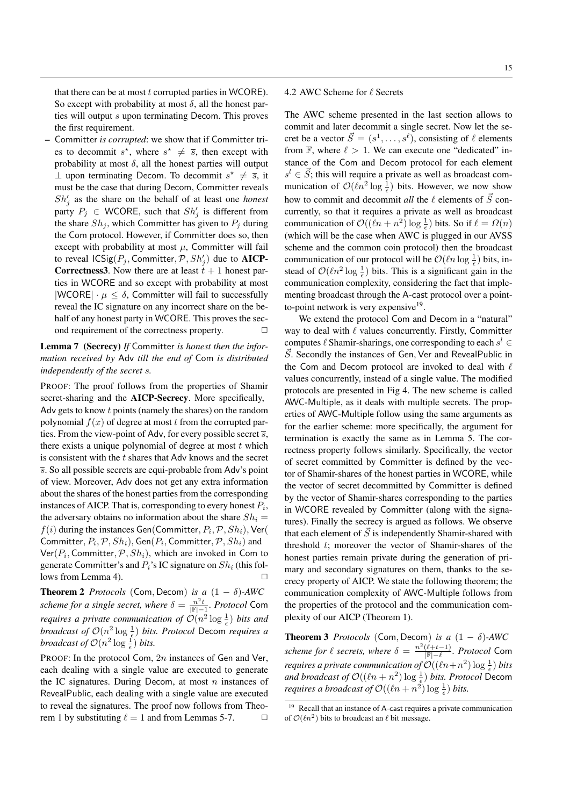– Committer *is corrupted*: we show that if Committer tries to decommit  $s^*$ , where  $s^* \neq \overline{s}$ , then except with probability at most  $\delta$ , all the honest parties will output ⊥ upon terminating Decom. To decommit  $s^* \neq \overline{s}$ , it must be the case that during Decom, Committer reveals  $Sh'_j$  as the share on the behalf of at least one *honest* party  $P_j \in WCORE$ , such that  $Sh'_j$  is different from the share  $Sh_j$ , which Committer has given to  $P_j$  during the Com protocol. However, if Committer does so, then except with probability at most  $\mu$ , Committer will fail to reveal  $\mathsf{ICSig}(P_j, \mathsf{Commentter}, \mathcal{P}, Sh'_j)$  due to  $\mathbf{AICP}$ -**Correctness3.** Now there are at least  $t + 1$  honest parties in WCORE and so except with probability at most  $|WCORE| \cdot \mu \leq \delta$ , Committer will fail to successfully reveal the IC signature on any incorrect share on the behalf of any honest party in WCORE. This proves the second requirement of the correctness property.  $\Box$ 

Lemma 7 (Secrecy) *If* Committer *is honest then the information received by* Adv *till the end of* Com *is distributed independently of the secret* s*.*

PROOF: The proof follows from the properties of Shamir secret-sharing and the AICP-Secrecy. More specifically, Adv gets to know  $t$  points (namely the shares) on the random polynomial  $f(x)$  of degree at most t from the corrupted parties. From the view-point of Adv, for every possible secret  $\overline{s}$ , there exists a unique polynomial of degree at most  $t$  which is consistent with the  $t$  shares that Adv knows and the secret  $\overline{s}$ . So all possible secrets are equi-probable from Adv's point of view. Moreover, Adv does not get any extra information about the shares of the honest parties from the corresponding instances of AICP. That is, corresponding to every honest  $P_i$ , the adversary obtains no information about the share  $Sh_i =$  $f(i)$  during the instances Gen(Committer,  $P_i$ ,  $\mathcal{P}, Sh_i$ ), Ver( Committer,  $P_i, \mathcal{P}, Sh_i),$  Gen $(P_i,$  Committer,  $\mathcal{P}, Sh_i)$  and  $\mathsf{Ver}(P_i, \mathsf{Comment}$ ter,  $\mathcal{P}, Sh_i),$  which are invoked in Com to generate Committer's and  $P_i$ 's IC signature on  $Sh_i$  (this follows from Lemma 4).

**Theorem 2** *Protocols* (Com, Decom) *is a*  $(1 - \delta)$ *-AWC scheme for a single secret, where*  $\delta = \frac{n^2 t}{\mathbb{F}|-1}$ *. Protocol* Com *requires a private communication of*  $\mathcal{O}(n^2 \log \frac{1}{\epsilon})$  *bits and broadcast of*  $O(n^2 \log \frac{1}{\epsilon})$  *bits. Protocol* Decom *requires a broadcast of*  $O(n^2 \log \frac{1}{\epsilon})$  *bits.* 

PROOF: In the protocol Com, 2n instances of Gen and Ver, each dealing with a single value are executed to generate the IC signatures. During Decom, at most  $n$  instances of RevealPublic, each dealing with a single value are executed to reveal the signatures. The proof now follows from Theorem 1 by substituting  $\ell = 1$  and from Lemmas 5-7.  $\Box$ 

# 4.2 AWC Scheme for  $\ell$  Secrets

The AWC scheme presented in the last section allows to commit and later decommit a single secret. Now let the secret be a vector  $\vec{S} = (s^1, \dots, s^\ell)$ , consisting of  $\ell$  elements from  $\mathbb{F}$ , where  $\ell > 1$ . We can execute one "dedicated" instance of the Com and Decom protocol for each element  $s^l \in \vec{S}$ ; this will require a private as well as broadcast communication of  $\mathcal{O}(\ln^2 \log \frac{1}{\epsilon})$  bits. However, we now show how to commit and decommit *all* the  $\ell$  elements of  $\vec{S}$  concurrently, so that it requires a private as well as broadcast communication of  $\mathcal{O}((\ell n + n^2) \log \frac{1}{\epsilon})$  bits. So if  $\ell = \Omega(n)$ (which will be the case when AWC is plugged in our AVSS scheme and the common coin protocol) then the broadcast communication of our protocol will be  $\mathcal{O}(\ln \log \frac{1}{\epsilon})$  bits, instead of  $\mathcal{O}(\ln^2 \log \frac{1}{\epsilon})$  bits. This is a significant gain in the communication complexity, considering the fact that implementing broadcast through the A-cast protocol over a pointto-point network is very expensive<sup>19</sup>.

We extend the protocol Com and Decom in a "natural" way to deal with  $\ell$  values concurrently. Firstly, Committer computes  $\ell$  Shamir-sharings, one corresponding to each  $s^l$   $\in$  $\vec{S}$ . Secondly the instances of Gen, Ver and RevealPublic in the Com and Decom protocol are invoked to deal with  $\ell$ values concurrently, instead of a single value. The modified protocols are presented in Fig 4. The new scheme is called AWC-Multiple, as it deals with multiple secrets. The properties of AWC-Multiple follow using the same arguments as for the earlier scheme: more specifically, the argument for termination is exactly the same as in Lemma 5. The correctness property follows similarly. Specifically, the vector of secret committed by Committer is defined by the vector of Shamir-shares of the honest parties in WCORE, while the vector of secret decommitted by Committer is defined by the vector of Shamir-shares corresponding to the parties in WCORE revealed by Committer (along with the signatures). Finally the secrecy is argued as follows. We observe that each element of  $\vec{S}$  is independently Shamir-shared with threshold t; moreover the vector of Shamir-shares of the honest parties remain private during the generation of primary and secondary signatures on them, thanks to the secrecy property of AICP. We state the following theorem; the communication complexity of AWC-Multiple follows from the properties of the protocol and the communication complexity of our AICP (Theorem 1).

**Theorem 3** *Protocols* (Com, Decom) *is a*  $(1 - \delta)$ -AWC *scheme for*  $\ell$  *secrets, where*  $\delta = \frac{n^2(\ell+t-1)}{|\mathbb{F}|- \ell}$ *. Protocol* Com *requires a private communication of*  $\mathcal{O}((\ln+n^2)\log\frac{1}{\epsilon})$  *bits and broadcast of*  $\mathcal{O}((\ell n + n^2) \log \frac{1}{\epsilon})$  *bits. Protocol* Decom *requires a broadcast of*  $\mathcal{O}((\ell n + n^2) \log \frac{1}{\epsilon})$  *bits.* 

<sup>&</sup>lt;sup>19</sup> Recall that an instance of A-cast requires a private communication of  $\mathcal{O}(\ell n^2)$  bits to broadcast an  $\ell$  bit message.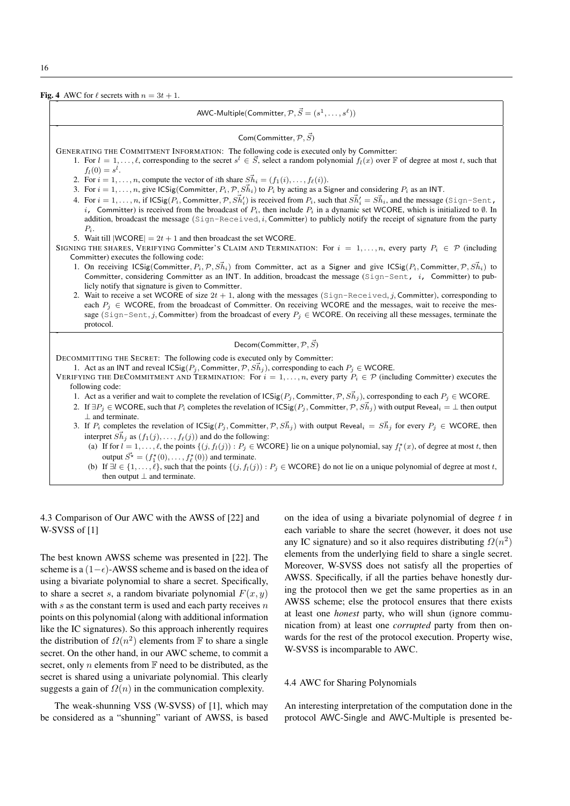Fig. 4 AWC for  $\ell$  secrets with  $n = 3t + 1$ .

| AWC-Multiple(Committer, $\mathcal{P}, \vec{S} = (s^1, \dots, s^\ell)$ )                                                                                                                                                                                                                                                                                                                                                                                                                                                                                                                                                                                                                                                                                                                                                                                                                                                                                                                                                                                                                                                                                                                                                                                                                          |  |  |  |  |  |
|--------------------------------------------------------------------------------------------------------------------------------------------------------------------------------------------------------------------------------------------------------------------------------------------------------------------------------------------------------------------------------------------------------------------------------------------------------------------------------------------------------------------------------------------------------------------------------------------------------------------------------------------------------------------------------------------------------------------------------------------------------------------------------------------------------------------------------------------------------------------------------------------------------------------------------------------------------------------------------------------------------------------------------------------------------------------------------------------------------------------------------------------------------------------------------------------------------------------------------------------------------------------------------------------------|--|--|--|--|--|
| Com(Committer, $\mathcal{P}, \vec{S}$ )                                                                                                                                                                                                                                                                                                                                                                                                                                                                                                                                                                                                                                                                                                                                                                                                                                                                                                                                                                                                                                                                                                                                                                                                                                                          |  |  |  |  |  |
| GENERATING THE COMMITMENT INFORMATION: The following code is executed only by Committer:<br>1. For $l = 1, , \ell$ , corresponding to the secret $s^l \in \mathcal{S}$ , select a random polynomial $f_l(x)$ over $\mathbb F$ of degree at most t, such that<br>$f_l(0) = s^l$ .<br>2. For $i = 1, , n$ , compute the vector of <i>i</i> th share $\vec{Sh}_i = (f_1(i), , f_\ell(i))$ .<br>3. For $i = 1, , n$ , give ICSig(Committer, $P_i$ , $\mathcal{P}, S\vec{h}_i$ ) to $P_i$ by acting as a Signer and considering $P_i$ as an INT.<br>4. For $i = 1, , n$ , if $\text{ICSig}(P_i, \text{Committer}, \mathcal{P}, S\vec{h}_i)$ is received from $P_i$ , such that $S\vec{h}_i' = S\vec{h}_i$ , and the message (Sign-Sent,<br>i, Committer) is received from the broadcast of $P_i$ , then include $P_i$ in a dynamic set WCORE, which is initialized to $\emptyset$ . In<br>addition, broadcast the message (Sign-Received, i, Committer) to publicly notify the receipt of signature from the party<br>$P_i$ .                                                                                                                                                                                                                                                                         |  |  |  |  |  |
| 5. Wait till $ WCORE  = 2t + 1$ and then broadcast the set WCORE.<br>SIGNING THE SHARES, VERIFYING Committer's CLAIM AND TERMINATION: For $i = 1, , n$ , every party $P_i \in \mathcal{P}$ (including<br>Committer) executes the following code:<br>1. On receiving ICSig(Committer, $P_i$ , $\mathcal{P}, S\vec{h}_i$ ) from Committer, act as a Signer and give ICSig( $P_i$ , Committer, $\mathcal{P}, S\vec{h}_i$ ) to<br>Committer, considering Committer as an INT. In addition, broadcast the message (Sign-Sent, i, Committer) to pub-<br>licly notify that signature is given to Committer.<br>2. Wait to receive a set WCORE of size $2t + 1$ , along with the messages (Sign-Received, j, Committer), corresponding to<br>each $P_i \in WCORE$ , from the broadcast of Committer. On receiving WCORE and the messages, wait to receive the mes-<br>sage (Sign-Sent, j, Committer) from the broadcast of every $P_i \in WCORE$ . On receiving all these messages, terminate the<br>protocol.                                                                                                                                                                                                                                                                                           |  |  |  |  |  |
| Decom(Committer, $\mathcal{P}, \vec{S}$ )                                                                                                                                                                                                                                                                                                                                                                                                                                                                                                                                                                                                                                                                                                                                                                                                                                                                                                                                                                                                                                                                                                                                                                                                                                                        |  |  |  |  |  |
| DECOMMITTING THE SECRET: The following code is executed only by Committer:<br>1. Act as an INT and reveal $\text{ICSig}(P_j, \text{Committer}, \mathcal{P}, S\vec{h}_j)$ , corresponding to each $P_i \in \text{WCORE}$ .<br>VERIFYING THE DECOMMITMENT AND TERMINATION: For $i = 1, , n$ , every party $P_i \in \mathcal{P}$ (including Committer) executes the<br>following code:<br>1. Act as a verifier and wait to complete the revelation of $\text{ICSig}(P_i, \text{Committer}, \mathcal{P}, S\vec{h}_i)$ , corresponding to each $P_i \in \text{WCORE}$ .<br>2. If $\exists P_i \in WCORE$ , such that $P_i$ completes the revelation of $\text{ICSig}(P_i, \text{Committer}, \mathcal{P}, S\vec{h}_i)$ with output Reveal $i = \perp$ then output<br>$\perp$ and terminate.<br>3. If $P_i$ completes the revelation of $\text{ICSig}(P_i, \text{Committer}, \mathcal{P}, S\vec{h}_i)$ with output Reveal $_i = S\vec{h}_i$ for every $P_i \in \text{WCORE}$ , then<br>interpret $\vec{Sh}_i$ as $(f_1(j), \ldots, f_\ell(j))$ and do the following:<br>(a) If for $l = 1, , l$ , the points $\{(j, f_l(j)) : P_j \in \text{WCORE}\}\)$ lie on a unique polynomial, say $f_l^*(x)$ , of degree at most t, then<br>output $\vec{S^*} = (f_1^*(0), \ldots, f_{\ell}^*(0))$ and terminate. |  |  |  |  |  |
| (b) If $\exists l \in \{1,\ldots,\ell\}$ , such that the points $\{(j, f_l(j)) : P_j \in WCORE\}$ do not lie on a unique polynomial of degree at most t,<br>then output $\perp$ and terminate.                                                                                                                                                                                                                                                                                                                                                                                                                                                                                                                                                                                                                                                                                                                                                                                                                                                                                                                                                                                                                                                                                                   |  |  |  |  |  |

4.3 Comparison of Our AWC with the AWSS of [22] and W-SVSS of [1]

The best known AWSS scheme was presented in [22]. The scheme is a  $(1-\epsilon)$ -AWSS scheme and is based on the idea of using a bivariate polynomial to share a secret. Specifically, to share a secret s, a random bivariate polynomial  $F(x, y)$ with  $s$  as the constant term is used and each party receives  $n$ points on this polynomial (along with additional information like the IC signatures). So this approach inherently requires the distribution of  $\Omega(n^2)$  elements from F to share a single secret. On the other hand, in our AWC scheme, to commit a secret, only  $n$  elements from  $\mathbb F$  need to be distributed, as the secret is shared using a univariate polynomial. This clearly suggests a gain of  $\Omega(n)$  in the communication complexity.

The weak-shunning VSS (W-SVSS) of [1], which may be considered as a "shunning" variant of AWSS, is based on the idea of using a bivariate polynomial of degree  $t$  in each variable to share the secret (however, it does not use any IC signature) and so it also requires distributing  $\Omega(n^2)$ elements from the underlying field to share a single secret. Moreover, W-SVSS does not satisfy all the properties of AWSS. Specifically, if all the parties behave honestly during the protocol then we get the same properties as in an AWSS scheme; else the protocol ensures that there exists at least one *honest* party, who will shun (ignore communication from) at least one *corrupted* party from then onwards for the rest of the protocol execution. Property wise, W-SVSS is incomparable to AWC.

### 4.4 AWC for Sharing Polynomials

An interesting interpretation of the computation done in the protocol AWC-Single and AWC-Multiple is presented be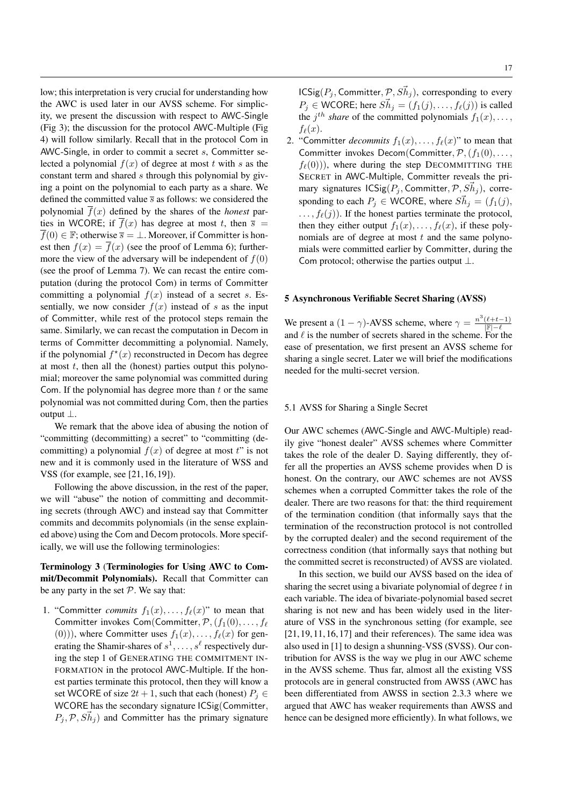low; this interpretation is very crucial for understanding how the AWC is used later in our AVSS scheme. For simplicity, we present the discussion with respect to AWC-Single (Fig 3); the discussion for the protocol AWC-Multiple (Fig 4) will follow similarly. Recall that in the protocol Com in AWC-Single, in order to commit a secret s, Committer selected a polynomial  $f(x)$  of degree at most t with s as the constant term and shared s through this polynomial by giving a point on the polynomial to each party as a share. We defined the committed value  $\bar{s}$  as follows: we considered the polynomial  $f(x)$  defined by the shares of the *honest* parties in WCORE; if  $\overline{f}(x)$  has degree at most t, then  $\overline{s}$  =  $\overline{f}(0) \in \mathbb{F}$ ; otherwise  $\overline{s} = \bot$ . Moreover, if Committer is honest then  $f(x) = \overline{f}(x)$  (see the proof of Lemma 6); furthermore the view of the adversary will be independent of  $f(0)$ (see the proof of Lemma 7). We can recast the entire computation (during the protocol Com) in terms of Committer committing a polynomial  $f(x)$  instead of a secret s. Essentially, we now consider  $f(x)$  instead of s as the input of Committer, while rest of the protocol steps remain the same. Similarly, we can recast the computation in Decom in terms of Committer decommitting a polynomial. Namely, if the polynomial  $f^*(x)$  reconstructed in Decom has degree at most  $t$ , then all the (honest) parties output this polynomial; moreover the same polynomial was committed during Com. If the polynomial has degree more than  $t$  or the same polynomial was not committed during Com, then the parties output ⊥.

We remark that the above idea of abusing the notion of "committing (decommitting) a secret" to "committing (decommitting) a polynomial  $f(x)$  of degree at most t" is not new and it is commonly used in the literature of WSS and VSS (for example, see [21, 16, 19]).

Following the above discussion, in the rest of the paper, we will "abuse" the notion of committing and decommiting secrets (through AWC) and instead say that Committer commits and decommits polynomials (in the sense explained above) using the Com and Decom protocols. More specifically, we will use the following terminologies:

# Terminology 3 (Terminologies for Using AWC to Commit/Decommit Polynomials). Recall that Committer can be any party in the set  $P$ . We say that:

1. "Committer *commits*  $f_1(x), \ldots, f_\ell(x)$ " to mean that Committer invokes Com(Committer,  $\mathcal{P},(f_1(0), \ldots, f_\ell)$ (0))), where Committer uses  $f_1(x), \ldots, f_\ell(x)$  for generating the Shamir-shares of  $s^1, \ldots, s^\ell$  respectively during the step 1 of GENERATING THE COMMITMENT IN-FORMATION in the protocol AWC-Multiple. If the honest parties terminate this protocol, then they will know a set WCORE of size  $2t + 1$ , such that each (honest)  $P_i \in$ WCORE has the secondary signature ICSig(Committer,  $P_j, \mathcal{P}, S\vec{h}_j$  and Committer has the primary signature

 $\textsf{ICSig}(P_j, \textsf{Committer}, \mathcal{P}, S\vec{h}_j)$ , corresponding to every  $P_j \in \text{WCORE}$ ; here  $S\vec{h}_j = (f_1(j), \ldots, f_\ell(j))$  is called the  $j^{th}$  *share* of the committed polynomials  $f_1(x), \ldots$ ,  $f_{\ell}(x)$ .

2. "Committer *decommits*  $f_1(x), \ldots, f_\ell(x)$ " to mean that Committer invokes Decom(Committer,  $P$ ,  $(f_1(0), \ldots,$  $f_{\ell}(0)$ ), where during the step DECOMMITTING THE SECRET in AWC-Multiple, Committer reveals the primary signatures  $\text{ICSig}(P_j, \text{Committer}, \mathcal{P}, S\vec{h}_j)$ , corresponding to each  $P_j \in \text{WCORE}$ , where  $S\vec{h}_j = (f_1(j)),$  $\dots, f_{\ell}(j)$ . If the honest parties terminate the protocol, then they either output  $f_1(x), \ldots, f_\ell(x)$ , if these polynomials are of degree at most  $t$  and the same polynomials were committed earlier by Committer, during the Com protocol; otherwise the parties output  $\bot$ .

# 5 Asynchronous Verifiable Secret Sharing (AVSS)

We present a  $(1 - \gamma)$ -AVSS scheme, where  $\gamma = \frac{n^3(\ell + t - 1)}{|\mathbb{F}| - \ell}$ and  $\ell$  is the number of secrets shared in the scheme. For the ease of presentation, we first present an AVSS scheme for sharing a single secret. Later we will brief the modifications needed for the multi-secret version.

# 5.1 AVSS for Sharing a Single Secret

Our AWC schemes (AWC-Single and AWC-Multiple) readily give "honest dealer" AVSS schemes where Committer takes the role of the dealer D. Saying differently, they offer all the properties an AVSS scheme provides when D is honest. On the contrary, our AWC schemes are not AVSS schemes when a corrupted Committer takes the role of the dealer. There are two reasons for that: the third requirement of the termination condition (that informally says that the termination of the reconstruction protocol is not controlled by the corrupted dealer) and the second requirement of the correctness condition (that informally says that nothing but the committed secret is reconstructed) of AVSS are violated.

In this section, we build our AVSS based on the idea of sharing the secret using a bivariate polynomial of degree  $t$  in each variable. The idea of bivariate-polynomial based secret sharing is not new and has been widely used in the literature of VSS in the synchronous setting (for example, see [21, 19, 11, 16, 17] and their references). The same idea was also used in [1] to design a shunning-VSS (SVSS). Our contribution for AVSS is the way we plug in our AWC scheme in the AVSS scheme. Thus far, almost all the existing VSS protocols are in general constructed from AWSS (AWC has been differentiated from AWSS in section 2.3.3 where we argued that AWC has weaker requirements than AWSS and hence can be designed more efficiently). In what follows, we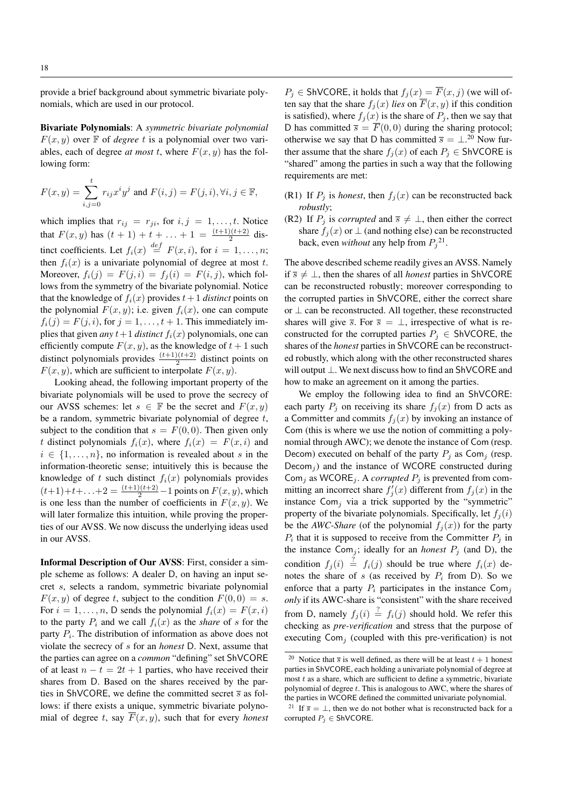provide a brief background about symmetric bivariate polynomials, which are used in our protocol.

Bivariate Polynomials: A *symmetric bivariate polynomial*  $F(x, y)$  over  $\mathbb F$  of *degree* t is a polynomial over two variables, each of degree *at most* t, where  $F(x, y)$  has the following form:

$$
F(x,y)=\sum_{i,j=0}^t r_{ij}x^iy^j\text{ and }F(i,j)=F(j,i),\forall i,j\in\mathbb{F},
$$

which implies that  $r_{ij} = r_{ji}$ , for  $i, j = 1, \ldots, t$ . Notice that  $F(x, y)$  has  $(t + 1) + t + ... + 1 = \frac{(t+1)(t+2)}{2}$  distinct coefficients. Let  $f_i(x) \stackrel{def}{=} F(x, i)$ , for  $i = 1, \ldots, n$ ; then  $f_i(x)$  is a univariate polynomial of degree at most t. Moreover,  $f_i(j) = F(j, i) = f_j(i) = F(i, j)$ , which follows from the symmetry of the bivariate polynomial. Notice that the knowledge of  $f_i(x)$  provides  $t+1$  *distinct* points on the polynomial  $F(x, y)$ ; i.e. given  $f_i(x)$ , one can compute  $f_i(j) = F(j, i)$ , for  $j = 1, \ldots, t + 1$ . This immediately implies that given *any*  $t+1$  *distinct*  $f_i(x)$  polynomials, one can efficiently compute  $F(x, y)$ , as the knowledge of  $t + 1$  such distinct polynomials provides  $\frac{(t+1)(t+2)}{2}$  distinct points on  $F(x, y)$ , which are sufficient to interpolate  $F(x, y)$ .

Looking ahead, the following important property of the bivariate polynomials will be used to prove the secrecy of our AVSS schemes: let  $s \in \mathbb{F}$  be the secret and  $F(x, y)$ be a random, symmetric bivariate polynomial of degree  $t$ , subject to the condition that  $s = F(0, 0)$ . Then given only t distinct polynomials  $f_i(x)$ , where  $f_i(x) = F(x, i)$  and  $i \in \{1, \ldots, n\}$ , no information is revealed about s in the information-theoretic sense; intuitively this is because the knowledge of t such distinct  $f_i(x)$  polynomials provides  $(t+1)+t+\ldots+2=\frac{(t+1)(t+2)}{2}-1$  points on  $F(x, y)$ , which is one less than the number of coefficients in  $F(x, y)$ . We will later formalize this intuition, while proving the properties of our AVSS. We now discuss the underlying ideas used in our AVSS.

Informal Description of Our AVSS: First, consider a simple scheme as follows: A dealer D, on having an input secret s, selects a random, symmetric bivariate polynomial  $F(x, y)$  of degree t, subject to the condition  $F(0, 0) = s$ . For  $i = 1, \ldots, n$ , D sends the polynomial  $f_i(x) = F(x, i)$ to the party  $P_i$  and we call  $f_i(x)$  as the *share* of s for the party  $P_i$ . The distribution of information as above does not violate the secrecy of s for an *honest* D. Next, assume that the parties can agree on a *common* "defining" set ShVCORE of at least  $n - t = 2t + 1$  parties, who have received their shares from D. Based on the shares received by the parties in ShVCORE, we define the committed secret  $\bar{s}$  as follows: if there exists a unique, symmetric bivariate polynomial of degree t, say  $\overline{F}(x, y)$ , such that for every *honest*   $P_j \in \text{ShVCORE, it holds that } f_j(x) = \overline{F}(x, j)$  (we will often say that the share  $f_i(x)$  *lies* on  $\overline{F}(x, y)$  if this condition is satisfied), where  $f_i(x)$  is the share of  $P_i$ , then we say that D has committed  $\overline{s} = \overline{F}(0,0)$  during the sharing protocol; otherwise we say that D has committed  $\bar{s} = \perp^{20}$  Now further assume that the share  $f_i(x)$  of each  $P_i \in ShVCORE$  is "shared" among the parties in such a way that the following requirements are met:

- (R1) If  $P_i$  is *honest*, then  $f_i(x)$  can be reconstructed back *robustly*;
- (R2) If  $P_j$  is *corrupted* and  $\overline{s} \neq \bot$ , then either the correct share  $f_i(x)$  or  $\perp$  (and nothing else) can be reconstructed back, even *without* any help from  $P_j^{21}$ .

The above described scheme readily gives an AVSS. Namely if  $\overline{s}$  ≠ ⊥, then the shares of all *honest* parties in ShVCORE can be reconstructed robustly; moreover corresponding to the corrupted parties in ShVCORE, either the correct share or ⊥ can be reconstructed. All together, these reconstructed shares will give  $\overline{s}$ . For  $\overline{s} = \perp$ , irrespective of what is reconstructed for the corrupted parties  $P_i \in ShVCORE$ , the shares of the *honest* parties in ShVCORE can be reconstructed robustly, which along with the other reconstructed shares will output ⊥. We next discuss how to find an ShVCORE and how to make an agreement on it among the parties.

We employ the following idea to find an ShVCORE: each party  $P_j$  on receiving its share  $f_j(x)$  from D acts as a Committer and commits  $f_i(x)$  by invoking an instance of Com (this is where we use the notion of committing a polynomial through AWC); we denote the instance of Com (resp. Decom) executed on behalf of the party  $P_i$  as Com<sub>j</sub> (resp. Decom<sub>j</sub>) and the instance of WCORE constructed during Com<sub>j</sub> as WCORE<sub>j</sub>. A *corrupted*  $P_j$  is prevented from committing an incorrect share  $f_j'(x)$  different from  $f_j(x)$  in the instance  $Com<sub>i</sub>$  via a trick supported by the "symmetric" property of the bivariate polynomials. Specifically, let  $f_i(i)$ be the *AWC-Share* (of the polynomial  $f_i(x)$ ) for the party  $P_i$  that it is supposed to receive from the Committer  $P_j$  in the instance Com<sub>j</sub>; ideally for an *honest*  $P_j$  (and D), the condition  $f_j(i) \stackrel{?}{=} f_i(j)$  should be true where  $f_i(x)$  denotes the share of s (as received by  $P_i$  from D). So we enforce that a party  $P_i$  participates in the instance Com<sub>j</sub> *only* if its AWC-share is "consistent" with the share received from D, namely  $f_j(i) \stackrel{?}{=} f_i(j)$  should hold. We refer this checking as *pre-verification* and stress that the purpose of executing  $Com<sub>i</sub>$  (coupled with this pre-verification) is not

<sup>&</sup>lt;sup>20</sup> Notice that  $\overline{s}$  is well defined, as there will be at least  $t + 1$  honest parties in ShVCORE, each holding a univariate polynomial of degree at most  $t$  as a share, which are sufficient to define a symmetric, bivariate polynomial of degree t. This is analogous to AWC, where the shares of the parties in WCORE defined the committed univariate polynomial.

<sup>&</sup>lt;sup>21</sup> If  $\overline{s} = \perp$ , then we do not bother what is reconstructed back for a corrupted  $P_i \in ShVCORE$ .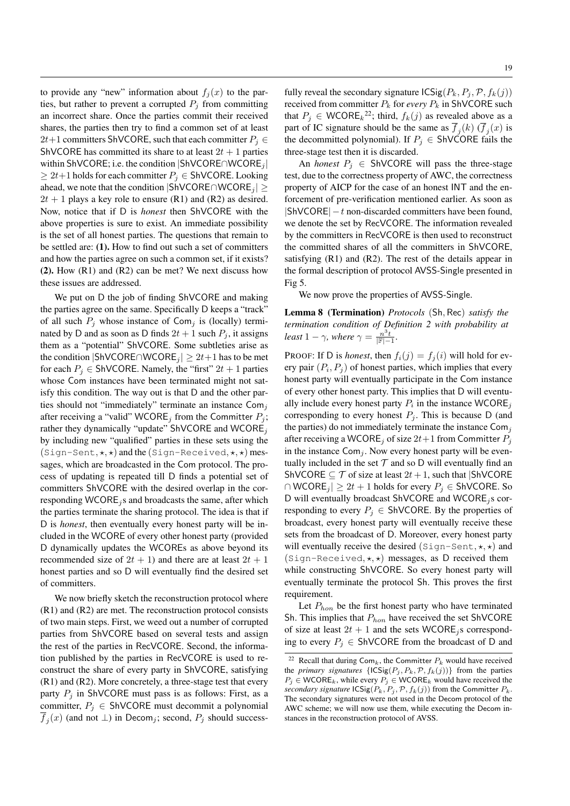to provide any "new" information about  $f_i(x)$  to the parties, but rather to prevent a corrupted  $P_i$  from committing an incorrect share. Once the parties commit their received shares, the parties then try to find a common set of at least 2t+1 committers ShVCORE, such that each committer  $P_i \in$ ShVCORE has committed its share to at least  $2t + 1$  parties within ShVCORE; i.e. the condition |ShVCORE∩WCORE<sub>j</sub> |  $\geq 2t+1$  holds for each committer  $P_i \in ShVCORE$ . Looking ahead, we note that the condition  $|{\sf ShVCORE} \cap {\sf WCORE}_i|$  ≥  $2t + 1$  plays a key role to ensure (R1) and (R2) as desired. Now, notice that if D is *honest* then ShVCORE with the above properties is sure to exist. An immediate possibility is the set of all honest parties. The questions that remain to be settled are: (1). How to find out such a set of committers and how the parties agree on such a common set, if it exists?  $(2)$ . How  $(R1)$  and  $(R2)$  can be met? We next discuss how these issues are addressed.

We put on D the job of finding ShVCORE and making the parties agree on the same. Specifically D keeps a "track" of all such  $P_j$  whose instance of Com<sub>j</sub> is (locally) terminated by D and as soon as D finds  $2t + 1$  such  $P_j$ , it assigns them as a "potential" ShVCORE. Some subtleties arise as the condition  $|{\sf ShVCORE} \cap {\sf WCORE}_i| \geq 2t+1$  has to be met for each  $P_j \in ShVCORE$ . Namely, the "first"  $2t + 1$  parties whose Com instances have been terminated might not satisfy this condition. The way out is that D and the other parties should not "immediately" terminate an instance  $Com<sub>i</sub>$ after receiving a "valid" WCORE<sub>j</sub> from the Committer  $P_i$ ; rather they dynamically "update" ShVCORE and WCORE<sub>j</sub> by including new "qualified" parties in these sets using the  $(Sign-Sent, \star, \star)$  and the  $(Sign-Received, \star, \star)$  messages, which are broadcasted in the Com protocol. The process of updating is repeated till D finds a potential set of committers ShVCORE with the desired overlap in the corresponding WCORE<sub>j</sub>s and broadcasts the same, after which the parties terminate the sharing protocol. The idea is that if D is *honest*, then eventually every honest party will be included in the WCORE of every other honest party (provided D dynamically updates the WCOREs as above beyond its recommended size of  $2t + 1$ ) and there are at least  $2t + 1$ honest parties and so D will eventually find the desired set of committers.

We now briefly sketch the reconstruction protocol where (R1) and (R2) are met. The reconstruction protocol consists of two main steps. First, we weed out a number of corrupted parties from ShVCORE based on several tests and assign the rest of the parties in RecVCORE. Second, the information published by the parties in RecVCORE is used to reconstruct the share of every party in ShVCORE, satisfying (R1) and (R2). More concretely, a three-stage test that every party  $P_i$  in ShVCORE must pass is as follows: First, as a committer,  $P_j \in ShVCORE$  must decommit a polynomial  $f_j(x)$  (and not  $\perp$ ) in Decom<sub>j</sub>; second,  $P_j$  should successfully reveal the secondary signature  $\text{ICSig}(P_k, P_j, \mathcal{P}, f_k(j))$ received from committer  $P_k$  for *every*  $P_k$  in ShVCORE such that  $P_j \in \text{WCORE}_k^{22}$ ; third,  $f_k(j)$  as revealed above as a part of IC signature should be the same as  $f_j(k)$  ( $f_j(x)$  is the decommitted polynomial). If  $P_j \in ShVCORE$  fails the three-stage test then it is discarded.

An *honest*  $P_i \in ShVCORE$  will pass the three-stage test, due to the correctness property of AWC, the correctness property of AICP for the case of an honest INT and the enforcement of pre-verification mentioned earlier. As soon as  $|{\sf ShVCORE}|-t$  non-discarded committers have been found, we denote the set by RecVCORE. The information revealed by the committers in RecVCORE is then used to reconstruct the committed shares of all the committers in ShVCORE, satisfying (R1) and (R2). The rest of the details appear in the formal description of protocol AVSS-Single presented in Fig 5.

We now prove the properties of AVSS-Single.

Lemma 8 (Termination) *Protocols* (Sh, Rec) *satisfy the termination condition of Definition 2 with probability at least*  $1 - \gamma$ *, where*  $\gamma = \frac{n^3 t}{\vert \mathbb{F} \vert - 1}$ *.* 

PROOF: If D is *honest*, then  $f_i(j) = f_j(i)$  will hold for every pair  $(P_i, P_j)$  of honest parties, which implies that every honest party will eventually participate in the Com instance of every other honest party. This implies that D will eventually include every honest party  $P_i$  in the instance WCORE<sub>j</sub> corresponding to every honest  $P_i$ . This is because D (and the parties) do not immediately terminate the instance  $Com<sub>j</sub>$ after receiving a WCORE<sub>j</sub> of size  $2t+1$  from Committer  $P_i$ in the instance  $Com_j$ . Now every honest party will be eventually included in the set  $T$  and so D will eventually find an ShVCORE  $\subseteq \mathcal{T}$  of size at least  $2t + 1$ , such that  $|{\text{ShVCORE}}|$  $\cap$  WCORE<sub>j</sub> $\geq 2t + 1$  holds for every  $P_i \in$  ShVCORE. So D will eventually broadcast ShVCORE and WCORE<sub>j</sub>s corresponding to every  $P_j \in ShVCORE$ . By the properties of broadcast, every honest party will eventually receive these sets from the broadcast of D. Moreover, every honest party will eventually receive the desired  $(Sign-Sent, \star, \star)$  and (Sign-Received,  $\star$ ,  $\star$ ) messages, as D received them while constructing ShVCORE. So every honest party will eventually terminate the protocol Sh. This proves the first requirement.

Let  $P_{hon}$  be the first honest party who have terminated Sh. This implies that  $P_{hon}$  have received the set ShVCORE of size at least  $2t + 1$  and the sets WCORE<sub>j</sub>s corresponding to every  $P_i \in ShVCORE$  from the broadcast of D and

<sup>&</sup>lt;sup>22</sup> Recall that during Com<sub>k</sub>, the Committer  $P_k$  would have received the *primary signatures*  $\{ICSig(P_i, P_k, P, f_k(j))\}$  from the parties  $P_i \in \mathsf{WCORE}_k$ , while every  $P_i \in \mathsf{WCORE}_k$  would have received the *secondary signature*  $\text{ICSig}(P_k, P_j, \mathcal{P}, f_k(j))$  from the Committer  $P_k$ . The secondary signatures were not used in the Decom protocol of the AWC scheme; we will now use them, while executing the Decom instances in the reconstruction protocol of AVSS.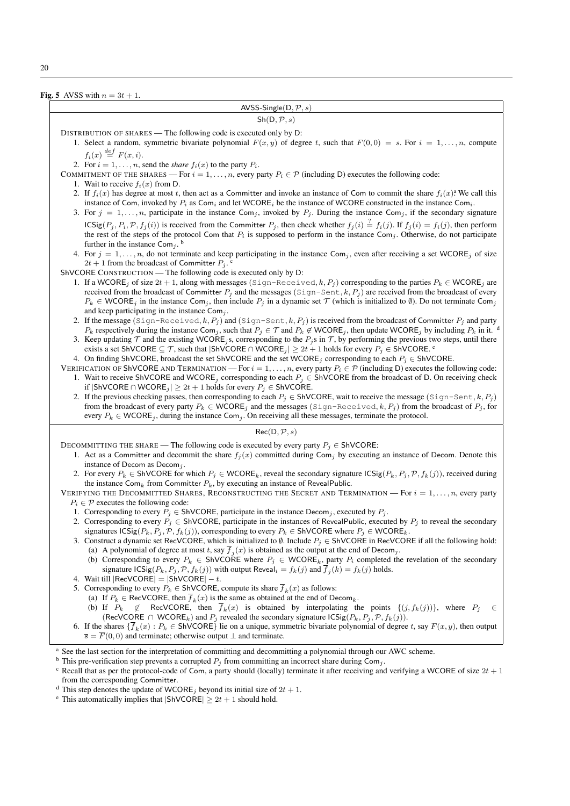Fig. 5 AVSS with  $n = 3t + 1$ .

| AVSS-Single( $D, P, s$ )                                                                                                                                                                                                                                                                                                                                                                                                                                                                                                                                                                                                                                                                                                                                                                      |  |  |  |  |  |
|-----------------------------------------------------------------------------------------------------------------------------------------------------------------------------------------------------------------------------------------------------------------------------------------------------------------------------------------------------------------------------------------------------------------------------------------------------------------------------------------------------------------------------------------------------------------------------------------------------------------------------------------------------------------------------------------------------------------------------------------------------------------------------------------------|--|--|--|--|--|
| Sh(D, P, s)                                                                                                                                                                                                                                                                                                                                                                                                                                                                                                                                                                                                                                                                                                                                                                                   |  |  |  |  |  |
| DISTRIBUTION OF SHARES — The following code is executed only by D:<br>1. Select a random, symmetric bivariate polynomial $F(x, y)$ of degree t, such that $F(0, 0) = s$ . For $i = 1, , n$ , compute                                                                                                                                                                                                                                                                                                                                                                                                                                                                                                                                                                                          |  |  |  |  |  |
| $f_i(x) \stackrel{def}{=} F(x, i).$<br>2. For $i = 1, \ldots, n$ , send the <i>share</i> $f_i(x)$ to the party $P_i$ .<br>COMMITMENT OF THE SHARES — For $i = 1, , n$ , every party $P_i \in \mathcal{P}$ (including D) executes the following code:                                                                                                                                                                                                                                                                                                                                                                                                                                                                                                                                          |  |  |  |  |  |
| 1. Wait to receive $f_i(x)$ from D.                                                                                                                                                                                                                                                                                                                                                                                                                                                                                                                                                                                                                                                                                                                                                           |  |  |  |  |  |
| 2. If $f_i(x)$ has degree at most t, then act as a Committer and invoke an instance of Com to commit the share $f_i(x)$ <sup>2</sup> We call this<br>instance of Com, invoked by $P_i$ as Com <sub>i</sub> and let WCORE <sub>i</sub> be the instance of WCORE constructed in the instance Com <sub>i</sub> .<br>3. For $j = 1, \ldots, n$ , participate in the instance Com <sub>i</sub> , invoked by $P_j$ . During the instance Com <sub>i</sub> , if the secondary signature                                                                                                                                                                                                                                                                                                              |  |  |  |  |  |
| $\text{ICSig}(P_j, P_i, \mathcal{P}, f_j(i))$ is received from the Committer $P_j$ , then check whether $f_j(i) \stackrel{?}{=} f_i(j)$ . If $f_j(i) = f_i(j)$ , then perform<br>the rest of the steps of the protocol Com that $P_i$ is supposed to perform in the instance Com <sub>j</sub> . Otherwise, do not participate<br>further in the instance Com <sub>i</sub> . <sup>b</sup>                                                                                                                                                                                                                                                                                                                                                                                                      |  |  |  |  |  |
| 4. For $j = 1, \ldots, n$ , do not terminate and keep participating in the instance $\text{Com}_j$ , even after receiving a set WCORE, of size<br>$2t + 1$ from the broadcast of Committer $P_j$ .                                                                                                                                                                                                                                                                                                                                                                                                                                                                                                                                                                                            |  |  |  |  |  |
| ShVCORE CONSTRUCTION — The following code is executed only by D:<br>1. If a WCORE <sub>j</sub> of size $2t + 1$ , along with messages (Sign-Received, k, P <sub>j</sub> ) corresponding to the parties $P_k \in WCORE_j$ are<br>received from the broadcast of Committer $P_j$ and the messages (Sign-Sent, k, $P_j$ ) are received from the broadcast of every<br>$P_k \in \text{WCORE}_i$ in the instance Com <sub>i</sub> , then include $P_i$ in a dynamic set $\mathcal T$ (which is initialized to $\emptyset$ ). Do not terminate Com <sub>i</sub><br>and keep participating in the instance $Comj$ .                                                                                                                                                                                  |  |  |  |  |  |
| 2. If the message (Sign-Received, k, $P_j$ ) and (Sign-Sent, k, $P_j$ ) is received from the broadcast of Committer $P_j$ and party<br>$P_k$ respectively during the instance Com <sub>j</sub> , such that $P_j \in \mathcal{T}$ and $P_k \notin \mathsf{WCORE}_j$ , then update $\mathsf{WCORE}_j$ by including $P_k$ in it.<br>3. Keep updating $\mathcal T$ and the existing WCORE <sub>i</sub> s, corresponding to the $P_i$ s in $\mathcal T$ , by performing the previous two steps, until there<br>exists a set ShVCORE $\subseteq \mathcal{T}$ , such that $ \text{ShVCORE} \cap \text{WCORE}_j  \geq 2t + 1$ holds for every $P_j \in \text{ShVCORE}$ .<br>4. On finding ShVCORE, broadcast the set ShVCORE and the set WCORE <sub>j</sub> corresponding to each $P_j \in ShVCORE$ . |  |  |  |  |  |
| VERIFICATION OF SHVCORE AND TERMINATION — For $i = 1, , n$ , every party $P_i \in \mathcal{P}$ (including D) executes the following code:<br>1. Wait to receive ShVCORE and WCORE <sub>j</sub> corresponding to each $P_j \in ShVCORE$ from the broadcast of D. On receiving check<br>if $ {\sf ShVCORE} \cap {\sf WCORE}_j $ ≥ 2t + 1 holds for every $P_j \in {\sf ShVCORE}$ .                                                                                                                                                                                                                                                                                                                                                                                                              |  |  |  |  |  |
| 2. If the previous checking passes, then corresponding to each $P_j \in ShVCORE$ , wait to receive the message (Sign-Sent, k, $P_j$ )<br>from the broadcast of every party $P_k \in WCORE_j$ and the messages (Sign-Received, k, $P_j$ ) from the broadcast of $P_j$ , for<br>every $P_k \in \text{WCORE}_j$ , during the instance Com <sub>j</sub> . On receiving all these messages, terminate the protocol.                                                                                                                                                                                                                                                                                                                                                                                |  |  |  |  |  |
| Rec(D, P, s)                                                                                                                                                                                                                                                                                                                                                                                                                                                                                                                                                                                                                                                                                                                                                                                  |  |  |  |  |  |
| DECOMMITTING THE SHARE — The following code is executed by every party $P_i \in ShVCORE$ :<br>1. Act as a Committer and decommit the share $f_j(x)$ committed during Com <sub>j</sub> by executing an instance of Decom. Denote this<br>instance of Decom as Decom <sub>j</sub> .                                                                                                                                                                                                                                                                                                                                                                                                                                                                                                             |  |  |  |  |  |
| 2. For every $P_k \in ShVCORE$ for which $P_j \in WCORE_k$ , reveal the secondary signature $\text{ICSig}(P_k, P_j, \mathcal{P}, f_k(j))$ , received during<br>the instance $\text{Com}_k$ from Committer $P_k$ , by executing an instance of RevealPublic.                                                                                                                                                                                                                                                                                                                                                                                                                                                                                                                                   |  |  |  |  |  |
| VERIFYING THE DECOMMITTED SHARES, RECONSTRUCTING THE SECRET AND TERMINATION — For $i = 1, , n$ , every party<br>$P_i \in \mathcal{P}$ executes the following code:                                                                                                                                                                                                                                                                                                                                                                                                                                                                                                                                                                                                                            |  |  |  |  |  |
| 1. Corresponding to every $P_i \in ShVCORE$ , participate in the instance Decom <sub>i</sub> , executed by $P_i$ .<br>2. Corresponding to every $P_j \in ShVCORE$ , participate in the instances of RevealPublic, executed by $P_j$ to reveal the secondary                                                                                                                                                                                                                                                                                                                                                                                                                                                                                                                                   |  |  |  |  |  |
| signatures $\text{ICSig}(P_k, P_j, \mathcal{P}, f_k(j))$ , corresponding to every $P_k \in \text{ShVCORE}$ where $P_j \in \text{WCORE}_k$ .<br>3. Construct a dynamic set RecVCORE, which is initialized to $\emptyset$ . Include $P_j \in ShVCORE$ in RecVCORE if all the following hold:<br>(a) A polynomial of degree at most t, say $\overline{f}_i(x)$ is obtained as the output at the end of Decom <sub>j</sub> .                                                                                                                                                                                                                                                                                                                                                                      |  |  |  |  |  |
| (b) Corresponding to every $P_k \in \text{ShVCORE}$ where $P_j \in \text{WCORE}_k$ , party $P_i$ completed the revelation of the secondary<br>signature $\text{ICSig}(P_k, P_j, \mathcal{P}, f_k(j))$ with output Reveal $_i = f_k(j)$ and $\overline{f}_i(k) = f_k(j)$ holds.<br>4. Wait till $ Re$ VCORE $  =  Sh$ VCORE $  - t$ .                                                                                                                                                                                                                                                                                                                                                                                                                                                          |  |  |  |  |  |
| 5. Corresponding to every $P_k \in \text{ShVCORE}$ , compute its share $\overline{f}_k(x)$ as follows:                                                                                                                                                                                                                                                                                                                                                                                                                                                                                                                                                                                                                                                                                        |  |  |  |  |  |
| (a) If $P_k \in \text{RecVCORE}$ , then $\overline{f}_k(x)$ is the same as obtained at the end of Decom <sub>k</sub> .<br>(b) If $P_k \notin \text{RecVCORE}$ , then $\overline{f}_k(x)$ is obtained by interpolating the points $\{(j, f_k(j))\}$ , where $P_j$<br>$\epsilon$                                                                                                                                                                                                                                                                                                                                                                                                                                                                                                                |  |  |  |  |  |
| (RecVCORE $\cap$ WCORE <sub>k</sub> ) and $P_j$ revealed the secondary signature ICSig( $P_k, P_j, \mathcal{P}, f_k(j)$ ).<br>6. If the shares $\{\overline{f}_k(x): P_k \in \text{ShVCORE}\}\$ lie on a unique, symmetric bivariate polynomial of degree t, say $\overline{F}(x, y)$ , then output<br>$\overline{s} = \overline{F}(0,0)$ and terminate; otherwise output $\perp$ and terminate.                                                                                                                                                                                                                                                                                                                                                                                              |  |  |  |  |  |
| <sup>a</sup> See the last section for the interpretation of committing and decommitting a polynomial through our AWC scheme.<br><sup>b</sup> This pre-verification step prevents a corrupted $P_j$ from committing an incorrect share during Com <sub>j</sub> .<br><sup>c</sup> Recall that as per the protocol-code of Com, a party should (locally) terminate it after receiving and verifying a WCORE of size $2t + 1$                                                                                                                                                                                                                                                                                                                                                                     |  |  |  |  |  |
| from the corresponding Committer.<br><sup>d</sup> This step denotes the update of WCORE <sub>j</sub> beyond its initial size of $2t + 1$ .<br><sup>e</sup> This automatically implies that $ \text{ShVCORE}  \geq 2t + 1$ should hold.                                                                                                                                                                                                                                                                                                                                                                                                                                                                                                                                                        |  |  |  |  |  |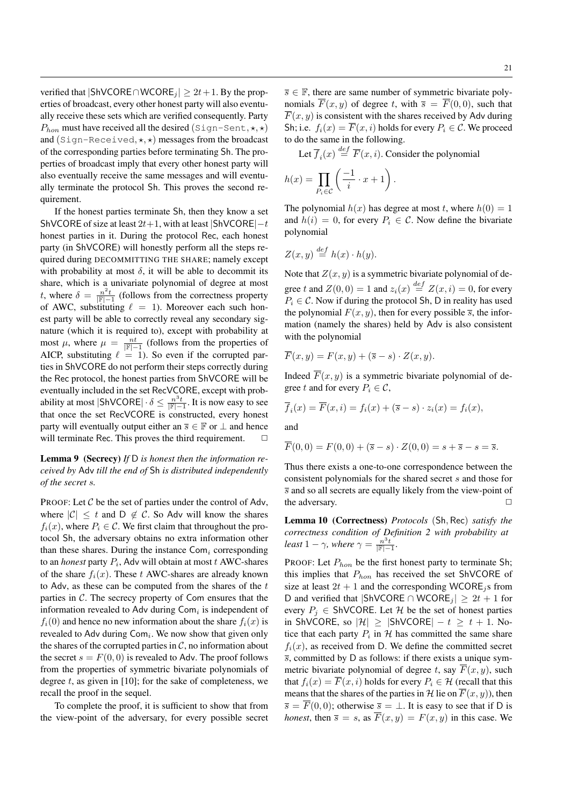verified that  $|{\sf ShVCORE} \cap {\sf WCORE}_i| \geq 2t+1$ . By the properties of broadcast, every other honest party will also eventually receive these sets which are verified consequently. Party  $P_{hon}$  must have received all the desired (Sign-Sent,  $\star$ ,  $\star$ ) and (Sign-Received,  $\star$ ,  $\star$ ) messages from the broadcast of the corresponding parties before terminating Sh. The properties of broadcast imply that every other honest party will also eventually receive the same messages and will eventually terminate the protocol Sh. This proves the second requirement.

If the honest parties terminate Sh, then they know a set ShVCORE of size at least  $2t+1$ , with at least  $|$ ShVCORE $|-t$ honest parties in it. During the protocol Rec, each honest party (in ShVCORE) will honestly perform all the steps required during DECOMMITTING THE SHARE; namely except with probability at most  $\delta$ , it will be able to decommit its share, which is a univariate polynomial of degree at most t, where  $\delta = \frac{n^2 t}{\|\mathbb{F}| - 1}$  (follows from the correctness property of AWC, substituting  $\ell = 1$ ). Moreover each such honest party will be able to correctly reveal any secondary signature (which it is required to), except with probability at most  $\mu$ , where  $\mu = \frac{nt}{\vert \mathbb{F} \vert - 1}$  (follows from the properties of AICP, substituting  $\ell = 1$ ). So even if the corrupted parties in ShVCORE do not perform their steps correctly during the Rec protocol, the honest parties from ShVCORE will be eventually included in the set RecVCORE, except with probability at most  $|\text{ShVCORE}| \cdot \delta \leq \frac{n^3t}{\lvert \mathbb{F} \rvert - 1}$ . It is now easy to see that once the set RecVCORE is constructed, every honest party will eventually output either an  $\overline{s} \in \mathbb{F}$  or  $\perp$  and hence will terminate Rec. This proves the third requirement.  $\Box$ 

# Lemma 9 (Secrecy) *If* D *is honest then the information received by* Adv *till the end of* Sh *is distributed independently of the secret* s*.*

PROOF: Let  $\mathcal C$  be the set of parties under the control of Adv, where  $|\mathcal{C}| \leq t$  and  $D \notin \mathcal{C}$ . So Adv will know the shares  $f_i(x)$ , where  $P_i \in \mathcal{C}$ . We first claim that throughout the protocol Sh, the adversary obtains no extra information other than these shares. During the instance  $Com_i$  corresponding to an *honest* party  $P_i$ , Adv will obtain at most  $t$  AWC-shares of the share  $f_i(x)$ . These t AWC-shares are already known to Adv, as these can be computed from the shares of the  $t$ parties in C. The secrecy property of Com ensures that the information revealed to Adv during  $Com<sub>i</sub>$  is independent of  $f_i(0)$  and hence no new information about the share  $f_i(x)$  is revealed to Adv during  $Com<sub>i</sub>$ . We now show that given only the shares of the corrupted parties in  $\mathcal{C}$ , no information about the secret  $s = F(0, 0)$  is revealed to Adv. The proof follows from the properties of symmetric bivariate polynomials of degree  $t$ , as given in [10]; for the sake of completeness, we recall the proof in the sequel.

To complete the proof, it is sufficient to show that from the view-point of the adversary, for every possible secret

 $\overline{s} \in \mathbb{F}$ , there are same number of symmetric bivariate polynomials  $\overline{F}(x, y)$  of degree t, with  $\overline{s} = \overline{F}(0, 0)$ , such that  $\overline{F}(x, y)$  is consistent with the shares received by Adv during Sh; i.e.  $f_i(x) = \overline{F}(x, i)$  holds for every  $P_i \in \mathcal{C}$ . We proceed to do the same in the following.

Let  $\overline{f}_i(x) \stackrel{def}{=} \overline{F}(x, i)$ . Consider the polynomial

$$
h(x) = \prod_{P_i \in \mathcal{C}} \left( \frac{-1}{i} \cdot x + 1 \right).
$$

The polynomial  $h(x)$  has degree at most t, where  $h(0) = 1$ and  $h(i) = 0$ , for every  $P_i \in \mathcal{C}$ . Now define the bivariate polynomial

$$
Z(x, y) \stackrel{def}{=} h(x) \cdot h(y).
$$

Note that  $Z(x, y)$  is a symmetric bivariate polynomial of degree t and  $Z(0,0) = 1$  and  $z_i(x) \stackrel{def}{=} Z(x,i) = 0$ , for every  $P_i \in \mathcal{C}$ . Now if during the protocol Sh, D in reality has used the polynomial  $F(x, y)$ , then for every possible  $\overline{s}$ , the information (namely the shares) held by Adv is also consistent with the polynomial

$$
\overline{F}(x,y) = F(x,y) + (\overline{s} - s) \cdot Z(x,y).
$$

Indeed  $\overline{F}(x, y)$  is a symmetric bivariate polynomial of degree t and for every  $P_i \in \mathcal{C}$ ,

$$
\overline{f}_i(x) = \overline{F}(x, i) = f_i(x) + (\overline{s} - s) \cdot z_i(x) = f_i(x),
$$

and

$$
\overline{F}(0,0) = F(0,0) + (\overline{s} - s) \cdot Z(0,0) = s + \overline{s} - s = \overline{s}.
$$

Thus there exists a one-to-one correspondence between the consistent polynomials for the shared secret s and those for  $\overline{s}$  and so all secrets are equally likely from the view-point of the adversary.  $\Box$ 

Lemma 10 (Correctness) *Protocols* (Sh, Rec) *satisfy the correctness condition of Definition 2 with probability at least*  $1 - \gamma$ *, where*  $\gamma = \frac{n^3 t}{\vert \mathbb{F} \vert - 1}$ *.* 

PROOF: Let  $P_{hon}$  be the first honest party to terminate Sh; this implies that  $P_{hon}$  has received the set ShVCORE of size at least  $2t + 1$  and the corresponding WCORE<sub>j</sub>s from D and verified that  $|\text{ShVCORE} \cap \text{WCORE}_i| \geq 2t + 1$  for every  $P_j \in ShVCORE$ . Let H be the set of honest parties in ShVCORE, so  $|\mathcal{H}| \geq |\mathsf{ShVCORE}| - t \geq t + 1$ . Notice that each party  $P_i$  in  $H$  has committed the same share  $f_i(x)$ , as received from D. We define the committed secret  $\overline{s}$ , committed by D as follows: if there exists a unique symmetric bivariate polynomial of degree t, say  $\overline{F}(x, y)$ , such that  $f_i(x) = \overline{F}(x, i)$  holds for every  $P_i \in \mathcal{H}$  (recall that this means that the shares of the parties in H lie on  $\overline{F}(x, y)$ , then  $\overline{s} = \overline{F}(0,0)$ ; otherwise  $\overline{s} = \perp$ . It is easy to see that if D is *honest*, then  $\overline{s} = s$ , as  $\overline{F}(x, y) = F(x, y)$  in this case. We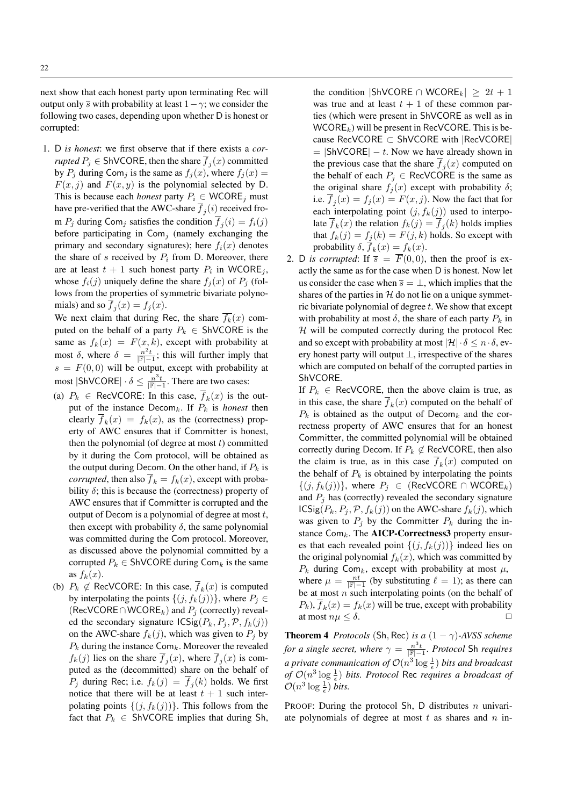next show that each honest party upon terminating Rec will output only  $\overline{s}$  with probability at least  $1-\gamma$ ; we consider the following two cases, depending upon whether D is honest or corrupted:

1. D *is honest*: we first observe that if there exists a *corrupted*  $P_j \in \mathsf{ShVCORE}$ , then the share  $\overline{f}_j(x)$  committed by  $P_i$  during Com<sub>i</sub> is the same as  $f_i(x)$ , where  $f_i(x)$  =  $F(x, j)$  and  $F(x, y)$  is the polynomial selected by D. This is because each *honest* party  $P_i \in \mathsf{WCORE}_i$  must have pre-verified that the AWC-share  $f_j(i)$  received from  $P_j$  during Com<sub>j</sub> satisfies the condition  $f_j(i) = f_i(j)$ before participating in  $Com<sub>j</sub>$  (namely exchanging the primary and secondary signatures); here  $f_i(x)$  denotes the share of s received by  $P_i$  from D. Moreover, there are at least  $t + 1$  such honest party  $P_i$  in WCORE<sub>j</sub>, whose  $f_i(j)$  uniquely define the share  $f_i(x)$  of  $P_i$  (follows from the properties of symmetric bivariate polynomials) and so  $f_j(x) = f_j(x)$ .

We next claim that during Rec, the share  $\overline{f_k}(x)$  computed on the behalf of a party  $P_k \in ShVCORE$  is the same as  $f_k(x) = F(x, k)$ , except with probability at most  $\delta$ , where  $\delta = \frac{n^2 t}{\mathbb{F}|-1}$ ; this will further imply that  $s = F(0, 0)$  will be output, except with probability at most  $|\textsf{ShVCORE}| \cdot \delta \leq \frac{n^3t}{|\mathbb{F}|-1}$ . There are two cases:

- (a)  $P_k \in \text{RecVCORE: In this case, } f_k(x)$  is the output of the instance  $Decom_k$ . If  $P_k$  is *honest* then clearly  $f_k(x) = f_k(x)$ , as the (correctness) property of AWC ensures that if Committer is honest, then the polynomial (of degree at most  $t$ ) committed by it during the Com protocol, will be obtained as the output during Decom. On the other hand, if  $P_k$  is *corrupted*, then also  $\overline{f}_k = f_k(x)$ , except with probability  $\delta$ ; this is because the (correctness) property of AWC ensures that if Committer is corrupted and the output of Decom is a polynomial of degree at most  $t$ , then except with probability  $\delta$ , the same polynomial was committed during the Com protocol. Moreover, as discussed above the polynomial committed by a corrupted  $P_k \in ShVCORE$  during  $Com_k$  is the same as  $f_k(x)$ .
- (b)  $P_k \notin \text{RecVCORE: In this case, } f_k(x)$  is computed by interpolating the points  $\{(j, f_k(j))\}$ , where  $P_j \in$ (RecVCORE∩WCORE<sub>k</sub>) and  $P_j$  (correctly) revealed the secondary signature  $\text{ICSig}(P_k, P_j, \mathcal{P}, f_k(j))$ on the AWC-share  $f_k(j)$ , which was given to  $P_i$  by  $P_k$  during the instance Com<sub>k</sub>. Moreover the revealed  $f_k(j)$  lies on the share  $f_j(x)$ , where  $f_j(x)$  is computed as the (decommitted) share on the behalf of  $P_j$  during Rec; i.e.  $f_k(j) = f_j(k)$  holds. We first notice that there will be at least  $t + 1$  such interpolating points  $\{(j, f_k(j))\}$ . This follows from the fact that  $P_k \in ShVCORE$  implies that during Sh,

the condition |ShVCORE ∩ WCORE<sub>k</sub>|  $\geq 2t + 1$ was true and at least  $t + 1$  of these common parties (which were present in ShVCORE as well as in  $WCORE_k$ ) will be present in RecVCORE. This is because RecVCORE ⊂ ShVCORE with |RecVCORE|  $=$  |ShVCORE|  $-t$ . Now we have already shown in the previous case that the share  $f_j(x)$  computed on the behalf of each  $P_i \in \text{RecVCORE}$  is the same as the original share  $f_j(x)$  except with probability  $\delta$ ; i.e.  $f_j(x) = f_j(x) = F(x, j)$ . Now the fact that for each interpolating point  $(j, f_k(j))$  used to interpolate  $f_k(x)$  the relation  $f_k(j) = f_j(k)$  holds implies that  $f_k(j) = f_j(k) = F(j, k)$  holds. So except with probability  $\delta$ ,  $f_k(x) = f_k(x)$ .

2. D *is corrupted*: If  $\overline{s} = \overline{F}(0,0)$ , then the proof is exactly the same as for the case when D is honest. Now let us consider the case when  $\overline{s} = \perp$ , which implies that the shares of the parties in  $H$  do not lie on a unique symmetric bivariate polynomial of degree  $t$ . We show that except with probability at most  $\delta$ , the share of each party  $P_k$  in  $H$  will be computed correctly during the protocol Rec and so except with probability at most  $|\mathcal{H}| \cdot \delta \leq n \cdot \delta$ , every honest party will output  $\perp$ , irrespective of the shares which are computed on behalf of the corrupted parties in ShVCORE.

If  $P_k \in \text{RecVCORE}$ , then the above claim is true, as in this case, the share  $f_k(x)$  computed on the behalf of  $P_k$  is obtained as the output of Decom<sub>k</sub> and the correctness property of AWC ensures that for an honest Committer, the committed polynomial will be obtained correctly during Decom. If  $P_k \notin \text{RecVCORE}$ , then also the claim is true, as in this case  $f_k(x)$  computed on the behalf of  $P_k$  is obtained by interpolating the points  $\{(j, f_k(j))\}$ , where  $P_j \in$  (RecVCORE ∩ WCORE<sub>k</sub>) and  $P_i$  has (correctly) revealed the secondary signature  $\text{ICSig}(P_k, P_j, \mathcal{P}, f_k(j))$  on the AWC-share  $f_k(j)$ , which was given to  $P_j$  by the Committer  $P_k$  during the instance  $Com_k$ . The AICP-Correctness3 property ensures that each revealed point  $\{(j, f_k(j))\}$  indeed lies on the original polynomial  $f_k(x)$ , which was committed by  $P_k$  during Com<sub>k</sub>, except with probability at most  $\mu$ , where  $\mu = \frac{nt}{\|\mathbb{F} - 1\|}$  (by substituting  $\ell = 1$ ); as there can be at most  $n$  such interpolating points (on the behalf of  $P_k$ ),  $f_k(x) = f_k(x)$  will be true, except with probability at most  $n\mu \leq \delta$ .

**Theorem 4** *Protocols* (Sh, Rec) *is a*  $(1 - \gamma)$ *-AVSS scheme for a single secret, where*  $\gamma = \frac{n^3t}{\|\mathbb{F}|-1}$ *. Protocol* Sh *requires a private communication of*  $\mathcal{O}(n^3 \log \frac{1}{\epsilon})$  *bits and broadcast* of  $\mathcal{O}(n^3 \log \frac{1}{\epsilon})$  bits. Protocol Rec *requires a broadcast of*  $\mathcal{O}(n^3 \log \frac{1}{\epsilon})$  *bits.* 

PROOF: During the protocol Sh, D distributes  $n$  univariate polynomials of degree at most  $t$  as shares and  $n$  in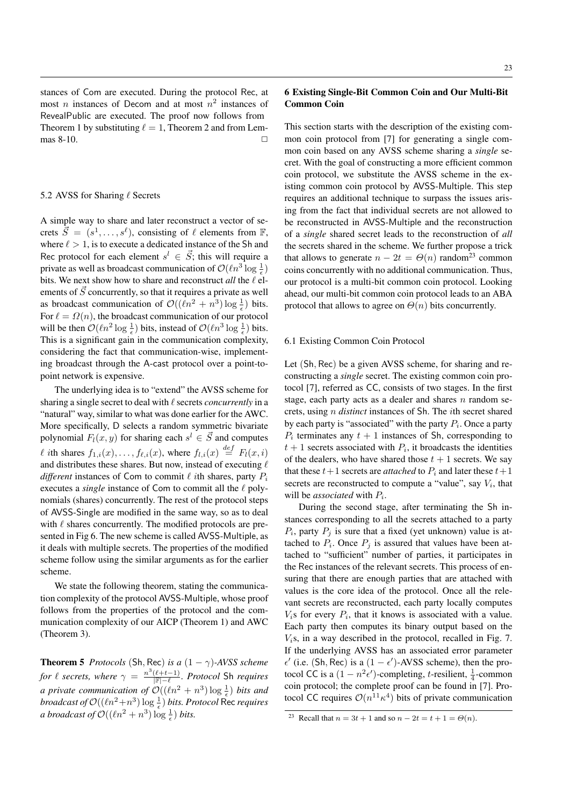stances of Com are executed. During the protocol Rec, at most *n* instances of Decom and at most  $n^2$  instances of RevealPublic are executed. The proof now follows from Theorem 1 by substituting  $\ell = 1$ , Theorem 2 and from Lemmas 8-10.

## 5.2 AVSS for Sharing  $\ell$  Secrets

A simple way to share and later reconstruct a vector of secrets  $\vec{S} = (s^1, \ldots, s^\ell)$ , consisting of  $\ell$  elements from  $\mathbb{F}$ , where  $\ell > 1$ , is to execute a dedicated instance of the Sh and Rec protocol for each element  $s^l \in \vec{S}$ ; this will require a private as well as broadcast communication of  $\mathcal{O}(\ln^3\log\frac{1}{\epsilon})$ bits. We next show how to share and reconstruct *all* the  $\ell$  elements of  $\vec{S}$  concurrently, so that it requires a private as well as broadcast communication of  $\mathcal{O}((\ell n^2 + n^3) \log \frac{1}{\epsilon})$  bits. For  $\ell = \Omega(n)$ , the broadcast communication of our protocol will be then  $\mathcal{O}(\ln^2 \log \frac{1}{\epsilon})$  bits, instead of  $\mathcal{O}(\ln^3 \log \frac{1}{\epsilon})$  bits. This is a significant gain in the communication complexity, considering the fact that communication-wise, implementing broadcast through the A-cast protocol over a point-topoint network is expensive.

The underlying idea is to "extend" the AVSS scheme for sharing a single secret to deal with  $\ell$  secrets *concurrently* in a "natural" way, similar to what was done earlier for the AWC. More specifically, D selects a random symmetric bivariate polynomial  $F_l(x, y)$  for sharing each  $s^l \in \vec{S}$  and computes  $\ell$  ith shares  $f_{1,i}(x), \ldots, f_{\ell,i}(x)$ , where  $f_{l,i}(x) \stackrel{def}{=} F_l(x,i)$ and distributes these shares. But now, instead of executing  $\ell$ *different* instances of Com to commit  $\ell$  *i*th shares, party  $P_i$ executes a *single* instance of Com to commit all the  $\ell$  polynomials (shares) concurrently. The rest of the protocol steps of AVSS-Single are modified in the same way, so as to deal with  $\ell$  shares concurrently. The modified protocols are presented in Fig 6. The new scheme is called AVSS-Multiple, as it deals with multiple secrets. The properties of the modified scheme follow using the similar arguments as for the earlier scheme.

We state the following theorem, stating the communication complexity of the protocol AVSS-Multiple, whose proof follows from the properties of the protocol and the communication complexity of our AICP (Theorem 1) and AWC (Theorem 3).

**Theorem 5** *Protocols* (Sh, Rec) *is a*  $(1 - \gamma)$ *-AVSS scheme* for  $\ell$  secrets, where  $\gamma = \frac{n^3(\ell+t-1)}{|\mathbb{F}|- \ell}$ . Protocol Sh requires *a private communication of*  $\mathcal{O}((\ell n^2 + n^3) \log \frac{1}{\epsilon})$  *bits and broadcast of*  $\mathcal{O}((\ell n^2+n^3)\log\frac{1}{\epsilon})$  *bits. Protocol Rec requires a broadcast of*  $\mathcal{O}((\ln^2 + n^3) \log \frac{1}{\epsilon})$  *bits.* 

# 6 Existing Single-Bit Common Coin and Our Multi-Bit Common Coin

This section starts with the description of the existing common coin protocol from [7] for generating a single common coin based on any AVSS scheme sharing a *single* secret. With the goal of constructing a more efficient common coin protocol, we substitute the AVSS scheme in the existing common coin protocol by AVSS-Multiple. This step requires an additional technique to surpass the issues arising from the fact that individual secrets are not allowed to be reconstructed in AVSS-Multiple and the reconstruction of a *single* shared secret leads to the reconstruction of *all* the secrets shared in the scheme. We further propose a trick that allows to generate  $n - 2t = \Theta(n)$  random<sup>23</sup> common coins concurrently with no additional communication. Thus, our protocol is a multi-bit common coin protocol. Looking ahead, our multi-bit common coin protocol leads to an ABA protocol that allows to agree on  $\Theta(n)$  bits concurrently.

## 6.1 Existing Common Coin Protocol

Let (Sh, Rec) be a given AVSS scheme, for sharing and reconstructing a *single* secret. The existing common coin protocol [7], referred as CC, consists of two stages. In the first stage, each party acts as a dealer and shares  $n$  random secrets, using n *distinct* instances of Sh. The ith secret shared by each party is "associated" with the party  $P_i$ . Once a party  $P_i$  terminates any  $t + 1$  instances of Sh, corresponding to  $t + 1$  secrets associated with  $P_i$ , it broadcasts the identities of the dealers, who have shared those  $t + 1$  secrets. We say that these  $t+1$  secrets are *attached* to  $P_i$  and later these  $t+1$ secrets are reconstructed to compute a "value", say  $V_i$ , that will be *associated* with  $P_i$ .

During the second stage, after terminating the Sh instances corresponding to all the secrets attached to a party  $P_i$ , party  $P_j$  is sure that a fixed (yet unknown) value is attached to  $P_i$ . Once  $P_j$  is assured that values have been attached to "sufficient" number of parties, it participates in the Rec instances of the relevant secrets. This process of ensuring that there are enough parties that are attached with values is the core idea of the protocol. Once all the relevant secrets are reconstructed, each party locally computes  $V_i$ s for every  $P_i$ , that it knows is associated with a value. Each party then computes its binary output based on the  $V_i$ s, in a way described in the protocol, recalled in Fig. 7. If the underlying AVSS has an associated error parameter  $\epsilon'$  (i.e. (Sh, Rec) is a (1 –  $\epsilon'$ )-AVSS scheme), then the protocol CC is a  $(1 - n^2 \epsilon')$ -completing, t-resilient,  $\frac{1}{4}$ -common coin protocol; the complete proof can be found in [7]. Protocol CC requires  $\mathcal{O}(n^{11} \kappa^4)$  bits of private communication

<sup>&</sup>lt;sup>23</sup> Recall that  $n = 3t + 1$  and so  $n - 2t = t + 1 = \Theta(n)$ .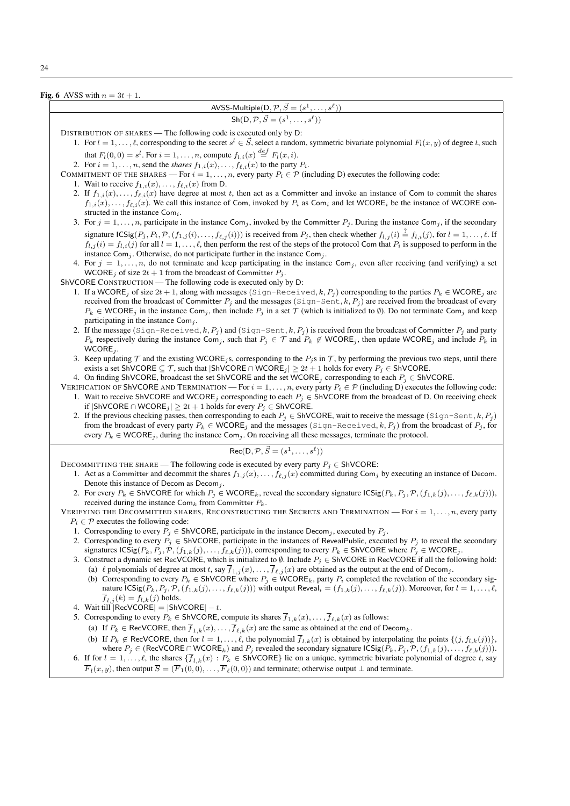Fig. 6 AVSS with  $n = 3t + 1$ .

AVSS-Multiple $(D, \mathcal{P}, \vec{S} = (s^1, \ldots, s^{\ell}))$ 

 $\text{Sh}(\mathsf{D}, \mathcal{P}, \vec{S}=(s^1,\ldots,s^\ell))$ 

DISTRIBUTION OF SHARES — The following code is executed only by D:

1. For  $l = 1, \ldots, \ell$ , corresponding to the secret  $s^l \in \mathcal{S}$ , select a random, symmetric bivariate polynomial  $F_l(x, y)$  of degree t, such that  $F_l(0,0) = s^l$ . For  $i = 1, \ldots, n$ , compute  $f_{l,i}(x) \stackrel{def}{=} F_l(x,i)$ .

2. For  $i = 1, \ldots, n$ , send the *shares*  $f_{1,i}(x), \ldots, f_{\ell,i}(x)$  to the party  $P_i$ .

COMMITMENT OF THE SHARES — For  $i = 1, ..., n$ , every party  $P_i \in \mathcal{P}$  (including D) executes the following code:

- 1. Wait to receive  $f_{1,i}(x), \ldots, f_{\ell,i}(x)$  from D.
- 2. If  $f_{1,i}(x), \ldots, f_{\ell,i}(x)$  have degree at most t, then act as a Committer and invoke an instance of Com to commit the shares  $f_{1,i}(x), \ldots, f_{\ell,i}(x)$ . We call this instance of Com, invoked by  $P_i$  as Com<sub>i</sub> and let WCORE<sub>i</sub> be the instance of WCORE constructed in the instance  $Com_i$ .
- 3. For  $j = 1, \ldots, n$ , participate in the instance Com<sub>j</sub>, invoked by the Committer  $P_j$ . During the instance Com<sub>j</sub>, if the secondary signature  $\text{ICSig}(P_j, P_i, \mathcal{P}, (f_{1,j}(i), \ldots, f_{\ell,j}(i)))$  is received from  $P_j$ , then check whether  $f_{l,j}(i) \stackrel{\text{?}}{=} f_{l,i}(j)$ , for  $l = 1, \ldots, \ell$ . If  $f_{l,i}(i) = f_{l,i}(j)$  for all  $l = 1, \ldots, \ell$ , then perform the rest of the steps of the protocol Com that  $P_i$  is supposed to perform in the instance Com<sub>j</sub>. Otherwise, do not participate further in the instance Com<sub>j</sub>.
- 4. For  $j = 1, \ldots, n$ , do not terminate and keep participating in the instance Com<sub>j</sub>, even after receiving (and verifying) a set WCORE<sub>j</sub> of size  $2t + 1$  from the broadcast of Committer  $P_i$ .
- ShVCORE CONSTRUCTION The following code is executed only by D:
	- 1. If a WCORE<sub>j</sub> of size  $2t + 1$ , along with messages (Sign-Received, k, P<sub>j</sub>) corresponding to the parties  $P_k \in WCORE_j$  are received from the broadcast of Committer  $P_j$  and the messages (Sign-Sent, k,  $P_j$ ) are received from the broadcast of every  $P_k \in \mathsf{WCORE}_i$  in the instance Com<sub>i</sub>, then include  $P_i$  in a set  $\mathcal T$  (which is initialized to  $\emptyset$ ). Do not terminate Com<sub>i</sub> and keep participating in the instance  $Com<sub>i</sub>$ .
	- 2. If the message (Sign-Received, k,  $P_j$ ) and (Sign-Sent, k,  $P_j$ ) is received from the broadcast of Committer  $P_j$  and party  $P_k$  respectively during the instance Com<sub>j</sub>, such that  $P_j \in \mathcal{T}$  and  $P_k \notin WCORE_j$ , then update WCORE<sub>j</sub> and include  $P_k$  in  $WCORE<sub>j</sub>$ .
	- 3. Keep updating  $\mathcal T$  and the existing WCORE<sub>j</sub>s, corresponding to the  $P_j$ s in  $\mathcal T$ , by performing the previous two steps, until there exists a set ShVCORE  $\subseteq \mathcal{T}$ , such that  $|\text{ShVCORE} \cap \text{WCORE}_i| \geq 2t + 1$  holds for every  $P_i \in \text{ShVCORE}$ .
	- 4. On finding ShVCORE, broadcast the set ShVCORE and the set WCORE<sub>j</sub> corresponding to each  $P_j \in ShVCORE$ .
- VERIFICATION OF ShVCORE AND TERMINATION For  $i = 1, ..., n$ , every party  $P_i \in \mathcal{P}$  (including D) executes the following code: 1. Wait to receive ShVCORE and WCORE<sub>j</sub> corresponding to each  $P_i$  ∈ ShVCORE from the broadcast of D. On receiving check if  $|{\sf ShVCORE} \cap {\sf WCORE}_j|$  ≥  $2t + 1$  holds for every  $P_j \in {\sf ShVCORE}$ .
	- 2. If the previous checking passes, then corresponding to each  $P_i \in ShVCORE$ , wait to receive the message (Sign-Sent, k,  $P_i$ ) from the broadcast of every party  $P_k \in \text{WCORE}_j$  and the messages (Sign-Received, k,  $P_j$ ) from the broadcast of  $P_j$ , for every  $P_k \in \text{WCORE}_i$ , during the instance Com<sub>j</sub>. On receiving all these messages, terminate the protocol.

$$
Rec(D, \mathcal{P}, \vec{S} = (s^1, \dots, s^\ell))
$$

DECOMMITTING THE SHARE — The following code is executed by every party  $P_i \in ShVCORE$ :

- 1. Act as a Committer and decommit the shares  $f_{1,j}(x), \ldots, f_{\ell,j}(x)$  committed during Com<sub>j</sub> by executing an instance of Decom. Denote this instance of Decom as  $Decom_j$ .
- 2. For every  $P_k \in ShVCORE$  for which  $P_j \in WCORE_k$ , reveal the secondary signature  $ICSig(P_k, P_j, \mathcal{P}, (f_{1,k}(j), \ldots, f_{\ell,k}(j)))$ , received during the instance  $\text{Com}_k$  from Committer  $P_k$ .

VERIFYING THE DECOMMITTED SHARES, RECONSTRUCTING THE SECRETS AND TERMINATION — For  $i = 1, \ldots, n$ , every party  $P_i \in \mathcal{P}$  executes the following code:

- 1. Corresponding to every  $P_i \in ShVCORE$ , participate in the instance Decom<sub>j</sub>, executed by  $P_i$ .
- 2. Corresponding to every  $P_i \in ShVCORE$ , participate in the instances of RevealPublic, executed by  $P_i$  to reveal the secondary signatures  $\text{ICSig}(P_k, P_i, \mathcal{P}, (f_{1,k}(j), \ldots, f_{\ell,k}(j)))$ , corresponding to every  $P_k \in \text{ShVCORE}$  where  $P_i \in \text{WCORE}_i$ .
- 3. Construct a dynamic set RecVCORE, which is initialized to Ø. Include  $P_j \in ShVCORE$  in RecVCORE if all the following hold: (a)  $\ell$  polynomials of degree at most t, say  $f_{1,j}(x), \ldots, f_{\ell,j}(x)$  are obtained as the output at the end of Decom<sub>j</sub>.
	- (b) Corresponding to every  $P_k \in ShVCORE$  where  $P_j \in WCORE_k$ , party  $P_i$  completed the revelation of the secondary signature  $\text{ICSig}(P_k, P_j, \mathcal{P}, (f_{1,k}(j), \ldots, f_{\ell,k}(j)))$  with output Reveal $_i = (f_{1,k}(j), \ldots, f_{\ell,k}(j))$ . Moreover, for  $l = 1, \ldots, \ell$ ,  $\overline{f}_{l,j}(k) = f_{l,k}(j)$  holds.
- 4. Wait till  $|RecVCORE| = |ShVCORE| t$ .
- 5. Corresponding to every  $P_k \in \text{ShVCORE}$ , compute its shares  $\overline{f}_{1,k}(x), \ldots, \overline{f}_{\ell,k}(x)$  as follows:
	- (a) If  $P_k \in \text{RecVCORE}$ , then  $\overline{f}_{1,k}(x), \ldots, \overline{f}_{\ell,k}(x)$  are the same as obtained at the end of Decom<sub>k</sub>.
- (b) If  $P_k \notin \text{RecVCORE}$ , then for  $l = 1, \ldots, \ell$ , the polynomial  $\overline{f}_{l,k}(x)$  is obtained by interpolating the points  $\{(j, f_{l,k}(j))\}$ , where  $P_i \in (\text{RecVCORE} \cap \text{WCORE}_k)$  and  $P_i$  revealed the secondary signature  $\text{ICSig}(P_k, P_i, \mathcal{P}, (f_{1,k}(j), \ldots, f_{\ell,k}(j)))$ . 6. If for  $l = 1, \ldots, \ell$ , the shares  $\{\overline{f}_{l,k}(x) : P_k \in \text{ShVCORE}\}$  lie on a unique, symmetric bivariate polynomial of degree t, say
- $\overline{F}_l(x, y)$ , then output  $\overline{S} = (\overline{F}_1(0, 0), \ldots, \overline{F}_\ell(0, 0))$  and terminate; otherwise output ⊥ and terminate.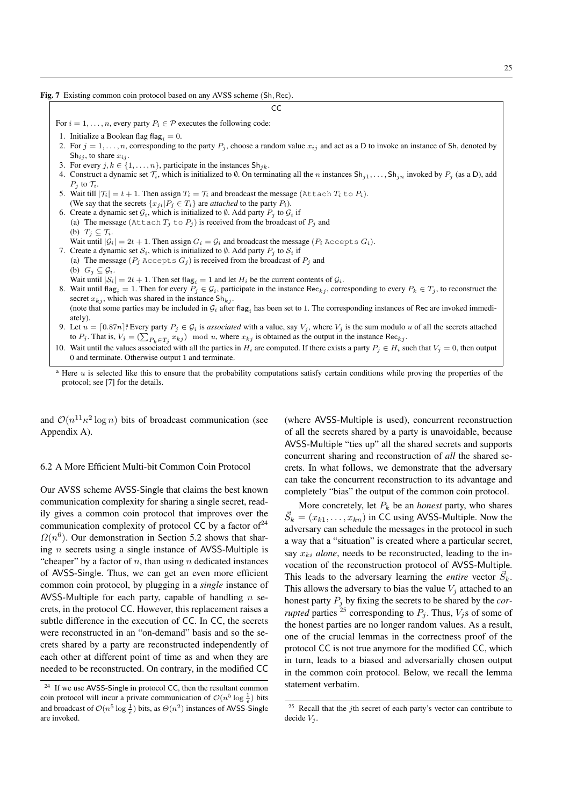Fig. 7 Existing common coin protocol based on any AVSS scheme (Sh, Rec).

CC

For  $i = 1, \ldots, n$ , every party  $P_i \in \mathcal{P}$  executes the following code:

- 1. Initialize a Boolean flag flag<sub>i</sub> = 0.
- 2. For  $j = 1, \ldots, n$ , corresponding to the party  $P_j$ , choose a random value  $x_{ij}$  and act as a D to invoke an instance of Sh, denoted by  $\text{Sh}_{ii}$ , to share  $x_{ii}$ .
- 3. For every  $j, k \in \{1, \ldots, n\}$ , participate in the instances  $\text{Sh}_{ik}$ .
- 4. Construct a dynamic set  $\mathcal{T}_i$ , which is initialized to  $\emptyset$ . On terminating all the n instances  $\text{Sh}_{i1}, \ldots, \text{Sh}_{in}$  invoked by  $P_i$  (as a D), add  $P_i$  to  $\mathcal{T}_i$ .
- 5. Wait till  $|\mathcal{T}_i| = t + 1$ . Then assign  $T_i = T_i$  and broadcast the message (Attach  $T_i$  to  $P_i$ ). (We say that the secrets  $\{x_{ji}|P_j \in T_i\}$  are *attached* to the party  $P_i$ ).
- 6. Create a dynamic set  $G_i$ , which is initialized to  $\emptyset$ . Add party  $P_i$  to  $G_i$  if (a) The message (Attach  $T_j$  to  $P_j$ ) is received from the broadcast of  $P_j$  and (b)  $T_j \subseteq \mathcal{T}_i$ .
	- Wait until  $|\mathcal{G}_i| = 2t + 1$ . Then assign  $G_i = \mathcal{G}_i$  and broadcast the message  $(P_i \cup C_i)$ .
- 7. Create a dynamic set  $S_i$ , which is initialized to  $\emptyset$ . Add party  $P_i$  to  $S_i$  if (a) The message ( $P_j$  Accepts  $G_j$ ) is received from the broadcast of  $P_j$  and (b)  $G_j \subseteq \mathcal{G}_i$ .
- Wait until  $|S_i| = 2t + 1$ . Then set flag<sub>i</sub> = 1 and let  $H_i$  be the current contents of  $\mathcal{G}_i$ . 8. Wait until flag<sub>i</sub> = 1. Then for every  $P_j \in \mathcal{G}_i$ , participate in the instance Rec<sub>kj</sub>, corresponding to every  $P_k \in T_j$ , to reconstruct the secret  $x_{ki}$ , which was shared in the instance  $\textsf{Sh}_{kj}$ . (note that some parties may be included in  $G_i$  after flag<sub>i</sub> has been set to 1. The corresponding instances of Rec are invoked immediately).
- 9. Let  $u = [0.87n]^2$  Every party  $P_j \in G_i$  is *associated* with a value, say  $V_j$ , where  $V_j$  is the sum modulo u of all the secrets attached to  $P_j$ . That is,  $V_j = (\sum_{P_k \in T_j} x_{kj}) \mod u$ , where  $x_{kj}$  is obtained as the output in the instance Rec<sub>kj</sub>.
- 10. Wait until the values associated with all the parties in  $H_i$  are computed. If there exists a party  $P_j \in H_i$  such that  $V_j = 0$ , then output 0 and terminate. Otherwise output 1 and terminate.

<sup>a</sup> Here *u* is selected like this to ensure that the probability computations satisfy certain conditions while proving the properties of the protocol; see [7] for the details.

and  $\mathcal{O}(n^{11} \kappa^2 \log n)$  bits of broadcast communication (see Appendix A).

# 6.2 A More Efficient Multi-bit Common Coin Protocol

Our AVSS scheme AVSS-Single that claims the best known communication complexity for sharing a single secret, readily gives a common coin protocol that improves over the communication complexity of protocol CC by a factor of  $24$  $\Omega(n^6)$ . Our demonstration in Section 5.2 shows that sharing n secrets using a single instance of AVSS-Multiple is "cheaper" by a factor of  $n$ , than using  $n$  dedicated instances of AVSS-Single. Thus, we can get an even more efficient common coin protocol, by plugging in a *single* instance of AVSS-Multiple for each party, capable of handling  $n$  secrets, in the protocol CC. However, this replacement raises a subtle difference in the execution of CC. In CC, the secrets were reconstructed in an "on-demand" basis and so the secrets shared by a party are reconstructed independently of each other at different point of time as and when they are needed to be reconstructed. On contrary, in the modified CC

(where AVSS-Multiple is used), concurrent reconstruction of all the secrets shared by a party is unavoidable, because AVSS-Multiple "ties up" all the shared secrets and supports concurrent sharing and reconstruction of *all* the shared secrets. In what follows, we demonstrate that the adversary can take the concurrent reconstruction to its advantage and completely "bias" the output of the common coin protocol.

More concretely, let  $P_k$  be an *honest* party, who shares  $\vec{S}_k = (x_{k1}, \dots, x_{kn})$  in CC using AVSS-Multiple. Now the adversary can schedule the messages in the protocol in such a way that a "situation" is created where a particular secret, say  $x_{ki}$  *alone*, needs to be reconstructed, leading to the invocation of the reconstruction protocol of AVSS-Multiple. This leads to the adversary learning the *entire* vector  $\vec{S}_k$ . This allows the adversary to bias the value  $V_i$  attached to an honest party P<sup>j</sup> by fixing the secrets to be shared by the *corrupted* parties <sup>25</sup> corresponding to  $P_i$ . Thus,  $V_i$ s of some of the honest parties are no longer random values. As a result, one of the crucial lemmas in the correctness proof of the protocol CC is not true anymore for the modified CC, which in turn, leads to a biased and adversarially chosen output in the common coin protocol. Below, we recall the lemma statement verbatim.

<sup>&</sup>lt;sup>24</sup> If we use AVSS-Single in protocol CC, then the resultant common coin protocol will incur a private communication of  $\mathcal{O}(n^5 \log \frac{1}{\epsilon})$  bits and broadcast of  $\mathcal{O}(n^5 \log \frac{1}{\epsilon})$  bits, as  $\Theta(n^2)$  instances of AVSS-Single are invoked.

 $25$  Recall that the *j*th secret of each party's vector can contribute to decide  $V_i$ .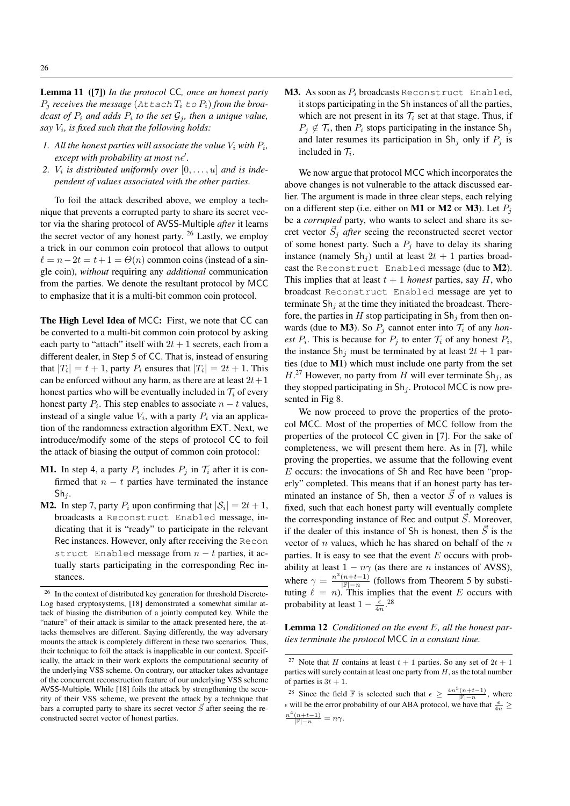Lemma 11 ([7]) *In the protocol* CC*, once an honest party*  $P_i$  *receives the message* (Attach  $T_i$  to  $P_i$ ) *from the broadcast of*  $P_i$  *and adds*  $P_i$  *to the set*  $\mathcal{G}_j$ *, then a unique value, say* V<sup>i</sup> *, is fixed such that the following holds:*

- 1. All the honest parties will associate the value  $V_i$  with  $P_i$ ,  $except with probability at most  $ne'$ .$
- 2.  $V_i$  *is distributed uniformly over*  $[0, \ldots, u]$  *and is independent of values associated with the other parties.*

To foil the attack described above, we employ a technique that prevents a corrupted party to share its secret vector via the sharing protocol of AVSS-Multiple *after* it learns the secret vector of any honest party. <sup>26</sup> Lastly, we employ a trick in our common coin protocol that allows to output  $\ell = n - 2t = t + 1 = \Theta(n)$  common coins (instead of a single coin), *without* requiring any *additional* communication from the parties. We denote the resultant protocol by MCC to emphasize that it is a multi-bit common coin protocol.

The High Level Idea of MCC: First, we note that CC can be converted to a multi-bit common coin protocol by asking each party to "attach" itself with  $2t + 1$  secrets, each from a different dealer, in Step 5 of CC. That is, instead of ensuring that  $|T_i| = t + 1$ , party  $P_i$  ensures that  $|T_i| = 2t + 1$ . This can be enforced without any harm, as there are at least  $2t+1$ honest parties who will be eventually included in  $\mathcal{T}_i$  of every honest party  $P_i$ . This step enables to associate  $n - t$  values, instead of a single value  $V_i$ , with a party  $P_i$  via an application of the randomness extraction algorithm EXT. Next, we introduce/modify some of the steps of protocol CC to foil the attack of biasing the output of common coin protocol:

- **M1.** In step 4, a party  $P_i$  includes  $P_j$  in  $\mathcal{T}_i$  after it is confirmed that  $n - t$  parties have terminated the instance  $Sh_i$ .
- **M2.** In step 7, party  $P_i$  upon confirming that  $|S_i| = 2t + 1$ , broadcasts a Reconstruct Enabled message, indicating that it is "ready" to participate in the relevant Rec instances. However, only after receiving the Recon struct Enabled message from  $n - t$  parties, it actually starts participating in the corresponding Rec instances.

**M3.** As soon as  $P_i$  broadcasts Reconstruct Enabled, it stops participating in the Sh instances of all the parties, which are not present in its  $\mathcal{T}_i$  set at that stage. Thus, if  $P_j \notin \mathcal{T}_i$ , then  $P_i$  stops participating in the instance  $\text{Sh}_j$ and later resumes its participation in  $\text{Sh}_j$  only if  $P_j$  is included in  $\mathcal{T}_i$ .

We now argue that protocol MCC which incorporates the above changes is not vulnerable to the attack discussed earlier. The argument is made in three clear steps, each relying on a different step (i.e. either on **M1** or **M2** or **M3**). Let  $P_i$ be a *corrupted* party, who wants to select and share its secret vector  $\vec{S}_j$  *after* seeing the reconstructed secret vector of some honest party. Such a  $P_j$  have to delay its sharing instance (namely  $\text{Sh}_i$ ) until at least  $2t + 1$  parties broadcast the Reconstruct Enabled message (due to M2). This implies that at least  $t + 1$  *honest* parties, say H, who broadcast Reconstruct Enabled message are yet to terminate  $\text{Sh}_j$  at the time they initiated the broadcast. Therefore, the parties in H stop participating in  $\text{Sh}_i$  from then onwards (due to **M3**). So  $P_j$  cannot enter into  $T_i$  of any *honest*  $P_i$ . This is because for  $P_j$  to enter  $\mathcal{T}_i$  of any honest  $P_i$ , the instance  $\text{Sh}_i$  must be terminated by at least  $2t + 1$  parties (due to M1) which must include one party from the set  $H<sup>27</sup>$  However, no party from H will ever terminate Sh<sub>j</sub>, as they stopped participating in  $\text{Sh}_i$ . Protocol MCC is now presented in Fig 8.

We now proceed to prove the properties of the protocol MCC. Most of the properties of MCC follow from the properties of the protocol CC given in [7]. For the sake of completeness, we will present them here. As in [7], while proving the properties, we assume that the following event E occurs: the invocations of Sh and Rec have been "properly" completed. This means that if an honest party has terminated an instance of Sh, then a vector  $\vec{S}$  of n values is fixed, such that each honest party will eventually complete the corresponding instance of Rec and output  $\vec{S}$ . Moreover, if the dealer of this instance of Sh is honest, then  $\vec{S}$  is the vector of  $n$  values, which he has shared on behalf of the  $n$ parties. It is easy to see that the event  $E$  occurs with probability at least  $1 - n\gamma$  (as there are *n* instances of AVSS), where  $\gamma = \frac{n^3(n+t-1)}{|\mathbb{F}| - n}$  (follows from Theorem 5 by substituting  $\ell = n$ ). This implies that the event E occurs with probability at least  $1 - \frac{\epsilon}{4n}$ .<sup>28</sup>

Lemma 12 *Conditioned on the event* E*, all the honest parties terminate the protocol* MCC *in a constant time.*

<sup>&</sup>lt;sup>26</sup> In the context of distributed key generation for threshold Discrete-Log based cryptosystems, [18] demonstrated a somewhat similar attack of biasing the distribution of a jointly computed key. While the "nature" of their attack is similar to the attack presented here, the attacks themselves are different. Saying differently, the way adversary mounts the attack is completely different in these two scenarios. Thus, their technique to foil the attack is inapplicable in our context. Specifically, the attack in their work exploits the computational security of the underlying VSS scheme. On contrary, our attacker takes advantage of the concurrent reconstruction feature of our underlying VSS scheme AVSS-Multiple. While [18] foils the attack by strengthening the security of their VSS scheme, we prevent the attack by a technique that bars a corrupted party to share its secret vector  $\vec{S}$  after seeing the reconstructed secret vector of honest parties.

<sup>&</sup>lt;sup>27</sup> Note that *H* contains at least  $t + 1$  parties. So any set of  $2t + 1$ parties will surely contain at least one party from  $H$ , as the total number of parties is  $3t + 1$ .

<sup>&</sup>lt;sup>28</sup> Since the field F is selected such that  $\epsilon \geq \frac{4n^5(n+t-1)}{|F|-n}$ , where  $\epsilon$  will be the error probability of our ABA protocol, we have that  $\frac{\epsilon}{4n} \geq$  $\frac{n^4(n+t-1)}{|\mathbb{F}|-n} = n\gamma.$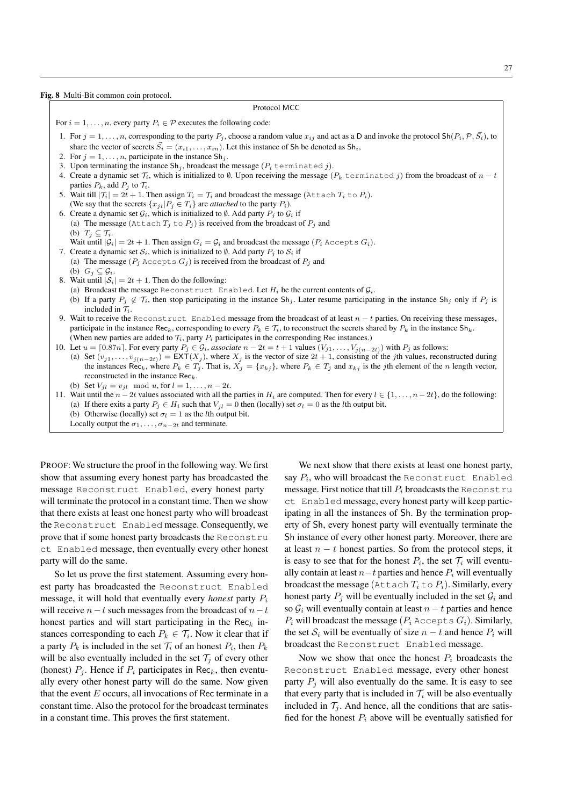Fig. 8 Multi-Bit common coin protocol.

#### Protocol MCC

For  $i = 1, \ldots, n$ , every party  $P_i \in \mathcal{P}$  executes the following code:

- 1. For  $j = 1, \ldots, n$ , corresponding to the party  $P_j$ , choose a random value  $x_{ij}$  and act as a D and invoke the protocol Sh $(P_i, \mathcal{P}, \vec{S}_i)$ , to share the vector of secrets  $\vec{S}_i = (x_{i1}, \dots, x_{in})$ . Let this instance of Sh be denoted as Sh<sub>i</sub>,
- 2. For  $j = 1, \ldots, n$ , participate in the instance  $\text{Sh}_j$ .
- 3. Upon terminating the instance  $\text{Sh}_i$ , broadcast the message  $(P_i$  terminated j).
- 4. Create a dynamic set  $\mathcal{T}_i$ , which is initialized to  $\emptyset$ . Upon receiving the message  $(P_k$  terminated j) from the broadcast of  $n t$ parties  $P_k$ , add  $P_i$  to  $\mathcal{T}_i$ .
- 5. Wait till  $|\mathcal{T}_i| = 2t + 1$ . Then assign  $T_i = T_i$  and broadcast the message (Attach  $T_i$  to  $P_i$ ).
- (We say that the secrets  $\{x_{ji}|P_j \in T_i\}$  are *attached* to the party  $P_i$ ). 6. Create a dynamic set  $G_i$ , which is initialized to  $\emptyset$ . Add party  $P_j$  to  $G_i$  if (a) The message (Attach  $T_j$  to  $P_j$ ) is received from the broadcast of  $P_j$  and (b)  $T_i \subseteq \mathcal{T}_i$ .

Wait until  $|\mathcal{G}_i| = 2t + 1$ . Then assign  $G_i = \mathcal{G}_i$  and broadcast the message  $(P_i \text{ accepts } G_i)$ .

- 7. Create a dynamic set  $S_i$ , which is initialized to  $\emptyset$ . Add party  $P_i$  to  $S_i$  if (a) The message ( $P_j$  Accepts  $G_j$ ) is received from the broadcast of  $P_j$  and (b)  $G_i \subseteq \mathcal{G}_i$ .
- 8. Wait until  $|S_i| = 2t + 1$ . Then do the following:
	- (a) Broadcast the message Reconstruct Enabled. Let  $H_i$  be the current contents of  $G_i$ .
	- (b) If a party  $P_j \notin \mathcal{T}_i$ , then stop participating in the instance  $Sh_j$ . Later resume participating in the instance  $Sh_j$  only if  $P_j$  is included in  $\mathcal{T}_i$ .
- 9. Wait to receive the Reconstruct Enabled message from the broadcast of at least  $n t$  parties. On receiving these messages, participate in the instance Rec<sub>k</sub>, corresponding to every  $P_k \in \mathcal{T}_i$ , to reconstruct the secrets shared by  $P_k$  in the instance Sh<sub>k</sub>. (When new parties are added to  $\mathcal{T}_i$ , party  $P_i$  participates in the corresponding Rec instances.)
- 10. Let  $u = [0.87n]$ . For every party  $P_j \in \mathcal{G}_i$ , *associate*  $n 2t = t + 1$  values  $(V_{j1}, \ldots, V_{j(n-2t)})$  with  $P_j$  as follows:
- (a) Set  $(v_{j1},...,v_{j(n-2t)}) = \text{EXT}(X_j)$ , where  $X_j$  is the vector of size  $2t + 1$ , consisting of the jth values, reconstructed during the instances Rec<sub>k</sub>, where  $P_k \in T_j$ . That is,  $X_j = \{x_{kj}\}$ , where  $P_k \in T_j$  and  $x_{kj}$  is the jth element of the n length vector, reconstructed in the instance  $\text{Rec}_k$ .
- (b) Set  $V_{jl} = v_{jl} \mod u$ , for  $l = 1, ..., n 2t$ .
- 11. Wait until the  $n 2t$  values associated with all the parties in  $H_i$  are computed. Then for every  $l \in \{1, \ldots, n 2t\}$ , do the following:
	- (a) If there exits a party  $P_i \in H_i$  such that  $V_{i\ell} = 0$  then (locally) set  $\sigma_{\ell} = 0$  as the *l*th output bit.
	- (b) Otherwise (locally) set  $\sigma_l = 1$  as the *l*th output bit.

Locally output the  $\sigma_1, \ldots, \sigma_{n-2t}$  and terminate.

PROOF: We structure the proof in the following way. We first show that assuming every honest party has broadcasted the message Reconstruct Enabled, every honest party will terminate the protocol in a constant time. Then we show that there exists at least one honest party who will broadcast the Reconstruct Enabled message. Consequently, we prove that if some honest party broadcasts the Reconstru ct Enabled message, then eventually every other honest party will do the same.

So let us prove the first statement. Assuming every honest party has broadcasted the Reconstruct Enabled message, it will hold that eventually every *honest* party P<sup>i</sup> will receive  $n-t$  such messages from the broadcast of  $n-t$ honest parties and will start participating in the  $\text{Rec}_k$  instances corresponding to each  $P_k \in \mathcal{T}_i$ . Now it clear that if a party  $P_k$  is included in the set  $\mathcal{T}_i$  of an honest  $P_i$ , then  $P_k$ will be also eventually included in the set  $\mathcal{T}_i$  of every other (honest)  $P_j$ . Hence if  $P_i$  participates in Rec<sub>k</sub>, then eventually every other honest party will do the same. Now given that the event  $E$  occurs, all invocations of Rec terminate in a constant time. Also the protocol for the broadcast terminates in a constant time. This proves the first statement.

We next show that there exists at least one honest party, say  $P_i$ , who will broadcast the Reconstruct Enabled message. First notice that till  $P_i$  broadcasts the Reconstru ct Enabled message, every honest party will keep participating in all the instances of Sh. By the termination property of Sh, every honest party will eventually terminate the Sh instance of every other honest party. Moreover, there are at least  $n - t$  honest parties. So from the protocol steps, it is easy to see that for the honest  $P_i$ , the set  $\mathcal{T}_i$  will eventually contain at least  $n-t$  parties and hence  $P_i$  will eventually broadcast the message (Attach  $T_i$  to  $P_i$ ). Similarly, every honest party  $P_i$  will be eventually included in the set  $G_i$  and so  $\mathcal{G}_i$  will eventually contain at least  $n - t$  parties and hence  $P_i$  will broadcast the message ( $P_i$  Accepts  $G_i$ ). Similarly, the set  $S_i$  will be eventually of size  $n - t$  and hence  $P_i$  will broadcast the Reconstruct Enabled message.

Now we show that once the honest  $P_i$  broadcasts the Reconstruct Enabled message, every other honest party  $P_i$  will also eventually do the same. It is easy to see that every party that is included in  $\mathcal{T}_i$  will be also eventually included in  $\mathcal{T}_i$ . And hence, all the conditions that are satisfied for the honest  $P_i$  above will be eventually satisfied for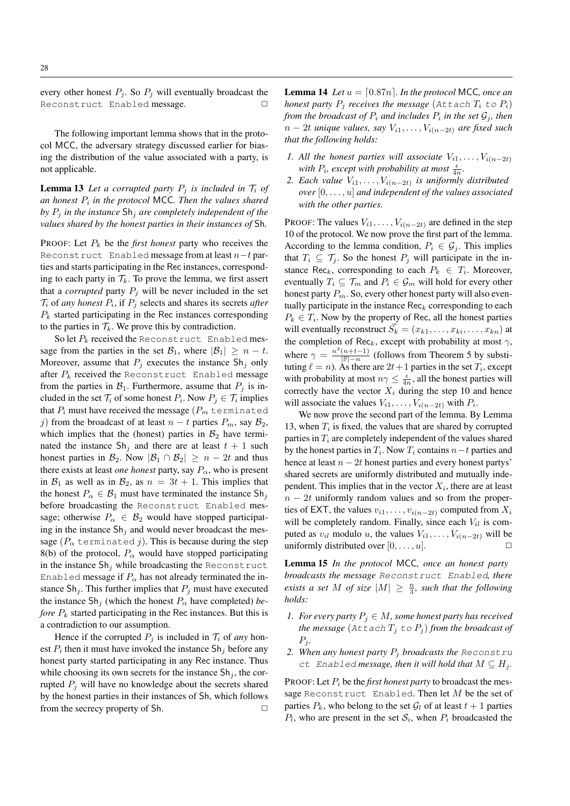every other honest  $P_j$ . So  $P_j$  will eventually broadcast the Reconstruct Enabled message.

The following important lemma shows that in the protocol MCC, the adversary strategy discussed earlier for biasing the distribution of the value associated with a party, is not applicable.

**Lemma 13** Let a corrupted party  $P_j$  is included in  $T_i$  of *an honest* P<sup>i</sup> *in the protocol* MCC*. Then the values shared by*  $P_i$  *in the instance*  $\text{Sh}_i$  *are completely independent of the values shared by the honest parties in their instances of* Sh*.*

PROOF: Let  $P_k$  be the *first honest* party who receives the Reconstruct Enabled message from at least  $n-t$  parties and starts participating in the Rec instances, corresponding to each party in  $\mathcal{T}_k$ . To prove the lemma, we first assert that a *corrupted* party  $P_j$  will be never included in the set  $\mathcal{T}_i$  of *any honest*  $P_i$ , if  $P_j$  selects and shares its secrets *after*  $P_k$  started participating in the Rec instances corresponding to the parties in  $\mathcal{T}_k$ . We prove this by contradiction.

So let  $P_k$  received the Reconstruct Enabled message from the parties in the set  $\mathcal{B}_1$ , where  $|\mathcal{B}_1| \geq n - t$ . Moreover, assume that  $P_j$  executes the instance  $\text{Sh}_j$  only after  $P_k$  received the Reconstruct Enabled message from the parties in  $\mathcal{B}_1$ . Furthermore, assume that  $P_i$  is included in the set  $\mathcal{T}_i$  of some honest  $P_i$ . Now  $P_j \in \mathcal{T}_i$  implies that  $P_i$  must have received the message  $(P_m \text{ terminaled})$ j) from the broadcast of at least  $n - t$  parties  $P_m$ , say  $\mathcal{B}_2$ , which implies that the (honest) parties in  $B_2$  have terminated the instance  $\text{Sh}_j$  and there are at least  $t + 1$  such honest parties in  $\mathcal{B}_2$ . Now  $|\mathcal{B}_1 \cap \mathcal{B}_2| \geq n - 2t$  and thus there exists at least *one honest* party, say  $P_{\alpha}$ , who is present in  $\mathcal{B}_1$  as well as in  $\mathcal{B}_2$ , as  $n = 3t + 1$ . This implies that the honest  $P_{\alpha} \in \mathcal{B}_1$  must have terminated the instance  $\text{Sh}_i$ before broadcasting the Reconstruct Enabled message; otherwise  $P_{\alpha} \in \mathcal{B}_2$  would have stopped participating in the instance  $\text{Sh}_i$  and would never broadcast the message ( $P_{\alpha}$  terminated j). This is because during the step 8(b) of the protocol,  $P_{\alpha}$  would have stopped participating in the instance  $\text{Sh}_i$  while broadcasting the Reconstruct Enabled message if  $P_\alpha$  has not already terminated the instance  $\text{Sh}_i$ . This further implies that  $P_i$  must have executed the instance  $\text{Sh}_j$  (which the honest  $P_\alpha$  have completed) *before*  $P_k$  started participating in the Rec instances. But this is a contradiction to our assumption.

Hence if the corrupted  $P_j$  is included in  $\mathcal{T}_i$  of *any* honest  $P_i$  then it must have invoked the instance  $\textsf{Sh}_j$  before any honest party started participating in any Rec instance. Thus while choosing its own secrets for the instance  $\text{Sh}_i$ , the corrupted  $P_i$  will have no knowledge about the secrets shared by the honest parties in their instances of Sh, which follows from the secrecy property of Sh.  $\Box$ 

**Lemma 14** *Let*  $u = \lfloor 0.87n \rfloor$ *. In the protocol* MCC*, once an honest party*  $P_i$  *receives the message* (Attach  $T_i$  to  $P_i$ ) *from the broadcast of*  $P_i$  *and includes*  $P_i$  *in the set*  $\mathcal{G}_j$ *, then*  $n-2t$  *unique values, say*  $V_{i1}, \ldots, V_{i(n-2t)}$  *are fixed such that the following holds:*

- *1. All the honest parties will associate*  $V_{i1}, \ldots, V_{i(n-2t)}$ with  $P_i$ , except with probability at most  $\frac{\epsilon}{4n}$ .
- *2. Each value*  $V_{i1}, \ldots, V_{i(n-2t)}$  *is uniformly distributed over* [0, . . . , u] *and independent of the values associated with the other parties.*

PROOF: The values  $V_{i1}, \ldots, V_{i(n-2t)}$  are defined in the step 10 of the protocol. We now prove the first part of the lemma. According to the lemma condition,  $P_i \in \mathcal{G}_i$ . This implies that  $T_i \subseteq \mathcal{T}_j$ . So the honest  $P_j$  will participate in the instance Rec<sub>k</sub>, corresponding to each  $P_k \in T_i$ . Moreover, eventually  $T_i \subseteq \mathcal{T}_m$  and  $P_i \in \mathcal{G}_m$  will hold for every other honest party  $P_m$ . So, every other honest party will also eventually participate in the instance  $\text{Rec}_k$  corresponding to each  $P_k \in T_i$ . Now by the property of Rec, all the honest parties will eventually reconstruct  $\vec{S_k} = (x_{k1}, \dots, x_{ki}, \dots, x_{kn})$  at the completion of Rec<sub>k</sub>, except with probability at most  $\gamma$ , where  $\gamma = \frac{n^3(n+t-1)}{|\mathbb{F}| - n}$  (follows from Theorem 5 by substituting  $\ell = n$ ). As there are  $2t + 1$  parties in the set  $T_i$ , except with probability at most  $n\gamma \leq \frac{\epsilon}{4n}$ , all the honest parties will correctly have the vector  $X_i$  during the step 10 and hence will associate the values  $V_{i1}, \ldots, V_{i(n-2t)}$  with  $P_i$ .

We now prove the second part of the lemma. By Lemma 13, when  $T_i$  is fixed, the values that are shared by corrupted parties in  $T_i$  are completely independent of the values shared by the honest parties in  $T_i$ . Now  $T_i$  contains  $n-t$  parties and hence at least  $n - 2t$  honest parties and every honest partys' shared secrets are uniformly distributed and mutually independent. This implies that in the vector  $X_i$ , there are at least  $n - 2t$  uniformly random values and so from the properties of EXT, the values  $v_{i1}, \ldots, v_{i(n-2t)}$  computed from  $X_i$ will be completely random. Finally, since each  $V_{il}$  is computed as  $v_{il}$  modulo u, the values  $V_{i1}, \ldots, V_{i(n-2t)}$  will be uniformly distributed over  $[0, \ldots, u]$ .

Lemma 15 *In the protocol* MCC*, once an honest party broadcasts the message* Reconstruct Enabled*, there exists a set* M *of size*  $|M| \geq \frac{n}{3}$ *, such that the following holds:*

- *1. For every party*  $P_i \in M$ , some honest party has received *the message* ( $\text{Attach } T_j \text{ to } P_j$ ) *from the broadcast of*  $P_i$ .
- *2. When any honest party* P<sup>j</sup> *broadcasts the* Reconstru ct Enabled *message, then it will hold that*  $M \subseteq H_i$ .

PROOF: Let  $P_i$  be the *first honest party* to broadcast the message Reconstruct Enabled. Then let  $M$  be the set of parties  $P_k$ , who belong to the set  $\mathcal{G}_l$  of at least  $t + 1$  parties  $P_l$ , who are present in the set  $S_i$ , when  $P_i$  broadcasted the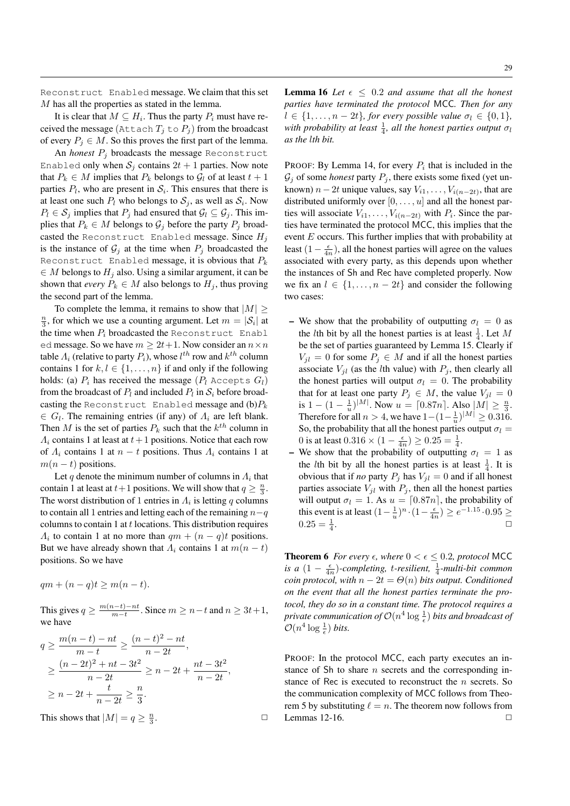Reconstruct Enabled message. We claim that this set M has all the properties as stated in the lemma.

It is clear that  $M \subseteq H_i$ . Thus the party  $P_i$  must have received the message (Attach  $T_i$  to  $P_j$ ) from the broadcast of every  $P_j \in M$ . So this proves the first part of the lemma.

An *honest*  $P_j$  broadcasts the message Reconstruct Enabled only when  $S_i$  contains  $2t + 1$  parties. Now note that  $P_k \in M$  implies that  $P_k$  belongs to  $\mathcal{G}_l$  of at least  $t + 1$ parties  $P_l$ , who are present in  $S_i$ . This ensures that there is at least one such  $P_l$  who belongs to  $S_j$ , as well as  $S_i$ . Now  $P_l \in \mathcal{S}_j$  implies that  $P_j$  had ensured that  $\mathcal{G}_l \subseteq \mathcal{G}_j$ . This implies that  $P_k \in M$  belongs to  $\mathcal{G}_i$  before the party  $P_i$  broadcasted the Reconstruct Enabled message. Since  $H_j$ is the instance of  $\mathcal{G}_i$  at the time when  $P_i$  broadcasted the Reconstruct Enabled message, it is obvious that  $P_k$  $\in M$  belongs to  $H_i$  also. Using a similar argument, it can be shown that *every*  $P_k \in M$  also belongs to  $H_j$ , thus proving the second part of the lemma.

To complete the lemma, it remains to show that  $|M| \geq$  $\frac{n}{3}$ , for which we use a counting argument. Let  $m = |\mathcal{S}_i|$  at the time when  $P_i$  broadcasted the Reconstruct Enabl ed message. So we have  $m \geq 2t+1$ . Now consider an  $n \times n$ table  $\varLambda_{i}$  (relative to party  $P_{i}$ ), whose  $l^{th}$  row and  $k^{th}$  column contains 1 for  $k, l \in \{1, \ldots, n\}$  if and only if the following holds: (a)  $P_i$  has received the message  $(P_l \; \text{Accepts } G_l)$ from the broadcast of  $P_l$  and included  $P_l$  in  $S_i$  before broadcasting the Reconstruct Enabled message and  $(b)P_k$  $\in G_l$ . The remaining entries (if any) of  $\Lambda_i$  are left blank. Then M is the set of parties  $P_k$  such that the  $k^{th}$  column in  $\Lambda_i$  contains 1 at least at  $t+1$  positions. Notice that each row of  $\Lambda_i$  contains 1 at  $n - t$  positions. Thus  $\Lambda_i$  contains 1 at  $m(n - t)$  positions.

Let q denote the minimum number of columns in  $\Lambda_i$  that contain 1 at least at  $t+1$  positions. We will show that  $q \geq \frac{n}{3}$ . The worst distribution of 1 entries in  $\Lambda_i$  is letting q columns to contain all 1 entries and letting each of the remaining  $n-q$ columns to contain 1 at t locations. This distribution requires  $\Lambda_i$  to contain 1 at no more than  $qm + (n - q)t$  positions. But we have already shown that  $\Lambda_i$  contains 1 at  $m(n - t)$ positions. So we have

 $qm+(n-q)t\geq m(n-t).$ 

This gives  $q \geq \frac{m(n-t)-nt}{m-t}$  $\frac{n-t-1}{m-t}$ . Since  $m \geq n-t$  and  $n \geq 3t+1$ , we have

$$
q \ge \frac{m(n-t) - nt}{m-t} \ge \frac{(n-t)^2 - nt}{n-2t},
$$
  
\n
$$
\ge \frac{(n-2t)^2 + nt - 3t^2}{n-2t} \ge n - 2t + \frac{nt - 3t^2}{n-2t},
$$
  
\n
$$
\ge n - 2t + \frac{t}{n-2t} \ge \frac{n}{3}.
$$
  
\nThis shows that  $|M| = q \ge \frac{n}{3}.$ 

This shows that  $|M| = q \ge \frac{n}{3}$ 

**Lemma 16** Let  $\epsilon \leq 0.2$  and assume that all the honest *parties have terminated the protocol* MCC*. Then for any*  $l \in \{1, \ldots, n-2t\}$ *, for every possible value*  $\sigma_l \in \{0, 1\}$ *,* with probability at least  $\frac{1}{4}$ , all the honest parties output  $\sigma_l$ *as the* l*th bit.*

PROOF: By Lemma 14, for every  $P_i$  that is included in the  $G_j$  of some *honest* party  $P_j$ , there exists some fixed (yet unknown)  $n-2t$  unique values, say  $V_{i1}, \ldots, V_{i(n-2t)}$ , that are distributed uniformly over  $[0, \ldots, u]$  and all the honest parties will associate  $V_{i1}, \ldots, V_{i(n-2t)}$  with  $P_i$ . Since the parties have terminated the protocol MCC, this implies that the event  $E$  occurs. This further implies that with probability at least  $(1 - \frac{\epsilon}{4n})$ , all the honest parties will agree on the values associated with every party, as this depends upon whether the instances of Sh and Rec have completed properly. Now we fix an  $l \in \{1, \ldots, n-2t\}$  and consider the following two cases:

- We show that the probability of outputting  $\sigma_l = 0$  as the *l*th bit by all the honest parties is at least  $\frac{1}{4}$ . Let M be the set of parties guaranteed by Lemma 15. Clearly if  $V_{jl} = 0$  for some  $P_j \in M$  and if all the honest parties associate  $V_{jl}$  (as the *l*th value) with  $P_j$ , then clearly all the honest parties will output  $\sigma_l = 0$ . The probability that for at least one party  $P_j \in M$ , the value  $V_{jl} = 0$ is  $1 - (1 - \frac{1}{u})^{|M|}$ . Now  $u = [0.87n]$ . Also  $|M| \ge \frac{n}{3}$ . Therefore for all  $n > 4$ , we have  $1 - (1 - \frac{1}{u})^{|M|} \ge 0.316$ . So, the probability that all the honest parties output  $\sigma_l =$ 0 is at least  $0.316 \times (1 - \frac{\epsilon}{4n}) \ge 0.25 = \frac{1}{4}$ .
- We show that the probability of outputting  $\sigma_l = 1$  as the *l*th bit by all the honest parties is at least  $\frac{1}{4}$ . It is obvious that if *no* party  $P_i$  has  $V_{il} = 0$  and if all honest parties associate  $V_{jl}$  with  $P_j$ , then all the honest parties will output  $\sigma_l = 1$ . As  $u = \lfloor 0.87n \rfloor$ , the probability of this event is at least  $(1 - \frac{1}{u})^n \cdot (1 - \frac{\epsilon}{4n}) \ge e^{-1.15} \cdot 0.95 \ge$  $0.25 = \frac{1}{4}$ . The contract of the contract of  $\Box$

**Theorem 6** For every  $\epsilon$ , where  $0 < \epsilon \leq 0.2$ , protocol MCC *is a*  $(1 - \frac{\epsilon}{4n})$ *-completing, t-resilient,*  $\frac{1}{4}$ *-multi-bit common coin protocol, with*  $n - 2t = \Theta(n)$  *bits output. Conditioned on the event that all the honest parties terminate the protocol, they do so in a constant time. The protocol requires a* private communication of  $\mathcal{O}(n^4 \log{\frac{1}{\epsilon}})$  bits and broadcast of  $\mathcal{O}(n^4 \log \frac{1}{\epsilon})$  bits.

PROOF: In the protocol MCC, each party executes an instance of Sh to share  $n$  secrets and the corresponding instance of Rec is executed to reconstruct the  $n$  secrets. So the communication complexity of MCC follows from Theorem 5 by substituting  $\ell = n$ . The theorem now follows from Lemmas 12-16.  $\Box$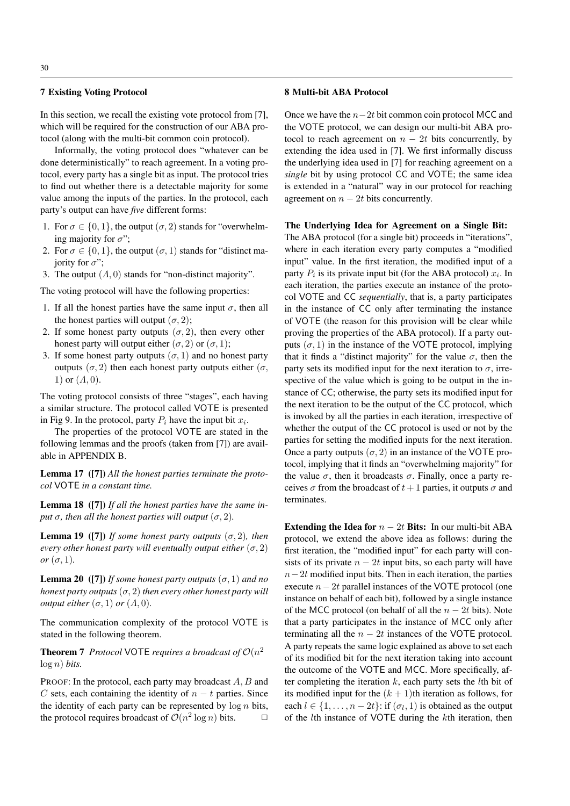# 7 Existing Voting Protocol

In this section, we recall the existing vote protocol from [7], which will be required for the construction of our ABA protocol (along with the multi-bit common coin protocol).

Informally, the voting protocol does "whatever can be done deterministically" to reach agreement. In a voting protocol, every party has a single bit as input. The protocol tries to find out whether there is a detectable majority for some value among the inputs of the parties. In the protocol, each party's output can have *five* different forms:

- 1. For  $\sigma \in \{0, 1\}$ , the output  $(\sigma, 2)$  stands for "overwhelming majority for  $\sigma$ ";
- 2. For  $\sigma \in \{0, 1\}$ , the output  $(\sigma, 1)$  stands for "distinct majority for  $\sigma$ ";
- 3. The output  $(A, 0)$  stands for "non-distinct majority".

The voting protocol will have the following properties:

- 1. If all the honest parties have the same input  $\sigma$ , then all the honest parties will output  $(\sigma, 2)$ ;
- 2. If some honest party outputs  $(\sigma, 2)$ , then every other honest party will output either  $(\sigma, 2)$  or  $(\sigma, 1)$ ;
- 3. If some honest party outputs  $(\sigma, 1)$  and no honest party outputs ( $\sigma$ , 2) then each honest party outputs either ( $\sigma$ , 1) or  $(A, 0)$ .

The voting protocol consists of three "stages", each having a similar structure. The protocol called VOTE is presented in Fig 9. In the protocol, party  $P_i$  have the input bit  $x_i$ .

The properties of the protocol VOTE are stated in the following lemmas and the proofs (taken from [7]) are available in APPENDIX B.

Lemma 17 ([7]) *All the honest parties terminate the protocol* VOTE *in a constant time.*

Lemma 18 ([7]) *If all the honest parties have the same input*  $\sigma$ *, then all the honest parties will output*  $(\sigma, 2)$ *.* 

**Lemma 19** ([7]) *If some honest party outputs*  $(\sigma, 2)$ *, then every other honest party will eventually output either*  $(\sigma, 2)$ *or*  $(\sigma, 1)$ *.* 

**Lemma 20** ([7]) *If some honest party outputs*  $(\sigma, 1)$  *and no honest party outputs*  $(\sigma, 2)$  *then every other honest party will output either*  $(\sigma, 1)$  *or*  $(\Lambda, 0)$ *.* 

The communication complexity of the protocol VOTE is stated in the following theorem.

**Theorem 7** Protocol VOTE requires a broadcast of  $\mathcal{O}(n^2)$ log n) *bits.*

PROOF: In the protocol, each party may broadcast A, B and C sets, each containing the identity of  $n - t$  parties. Since the identity of each party can be represented by  $\log n$  bits, the protocol requires broadcast of  $\mathcal{O}(n^2 \log n)$  bits.  $\Box$ 

## 8 Multi-bit ABA Protocol

Once we have the  $n-2t$  bit common coin protocol MCC and the VOTE protocol, we can design our multi-bit ABA protocol to reach agreement on  $n - 2t$  bits concurrently, by extending the idea used in [7]. We first informally discuss the underlying idea used in [7] for reaching agreement on a *single* bit by using protocol CC and VOTE; the same idea is extended in a "natural" way in our protocol for reaching agreement on  $n - 2t$  bits concurrently.

# The Underlying Idea for Agreement on a Single Bit:

The ABA protocol (for a single bit) proceeds in "iterations", where in each iteration every party computes a "modified input" value. In the first iteration, the modified input of a party  $P_i$  is its private input bit (for the ABA protocol)  $x_i$ . In each iteration, the parties execute an instance of the protocol VOTE and CC *sequentially*, that is, a party participates in the instance of CC only after terminating the instance of VOTE (the reason for this provision will be clear while proving the properties of the ABA protocol). If a party outputs  $(\sigma, 1)$  in the instance of the VOTE protocol, implying that it finds a "distinct majority" for the value  $\sigma$ , then the party sets its modified input for the next iteration to  $\sigma$ , irrespective of the value which is going to be output in the instance of CC; otherwise, the party sets its modified input for the next iteration to be the output of the CC protocol, which is invoked by all the parties in each iteration, irrespective of whether the output of the CC protocol is used or not by the parties for setting the modified inputs for the next iteration. Once a party outputs  $(\sigma, 2)$  in an instance of the VOTE protocol, implying that it finds an "overwhelming majority" for the value  $\sigma$ , then it broadcasts  $\sigma$ . Finally, once a party receives  $\sigma$  from the broadcast of  $t + 1$  parties, it outputs  $\sigma$  and terminates.

Extending the Idea for  $n - 2t$  Bits: In our multi-bit ABA protocol, we extend the above idea as follows: during the first iteration, the "modified input" for each party will consists of its private  $n - 2t$  input bits, so each party will have  $n-2t$  modified input bits. Then in each iteration, the parties execute  $n-2t$  parallel instances of the VOTE protocol (one instance on behalf of each bit), followed by a single instance of the MCC protocol (on behalf of all the  $n - 2t$  bits). Note that a party participates in the instance of MCC only after terminating all the  $n - 2t$  instances of the VOTE protocol. A party repeats the same logic explained as above to set each of its modified bit for the next iteration taking into account the outcome of the VOTE and MCC. More specifically, after completing the iteration  $k$ , each party sets the  $l$ th bit of its modified input for the  $(k + 1)$ th iteration as follows, for each  $l \in \{1, \ldots, n-2t\}$ : if  $(\sigma_l, 1)$  is obtained as the output of the lth instance of VOTE during the kth iteration, then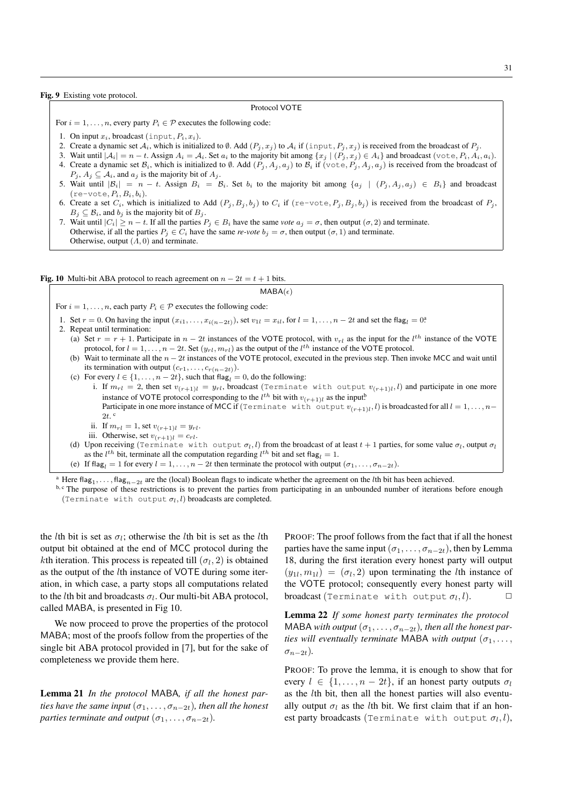Fig. 9 Existing vote protocol.

#### Protocol VOTE

For  $i = 1, \ldots, n$ , every party  $P_i \in \mathcal{P}$  executes the following code:

- 1. On input  $x_i$ , broadcast (input,  $P_i$ ,  $x_i$ ).
- 2. Create a dynamic set  $A_i$ , which is initialized to Ø. Add  $(P_j, x_j)$  to  $A_i$  if  $(\text{input}, P_j, x_j)$  is received from the broadcast of  $P_j$ .
- 3. Wait until  $|A_i| = n t$ . Assign  $A_i = A_i$ . Set  $a_i$  to the majority bit among  $\{x_j | (P_i, x_j) \in A_i\}$  and broadcast (vote,  $P_i, A_i, a_i$ ).
- 4. Create a dynamic set  $\mathcal{B}_i$ , which is initialized to Ø. Add  $(P_j, A_j, a_j)$  to  $\mathcal{B}_i$  if (vote,  $P_j, A_j, a_j$ ) is received from the broadcast of  $P_i$ ,  $A_i \subseteq A_i$ , and  $a_i$  is the majority bit of  $A_i$ .
- 5. Wait until  $|\mathcal{B}_i| = n t$ . Assign  $B_i = B_i$ . Set  $b_i$  to the majority bit among  $\{a_j \mid (P_j, A_j, a_j) \in B_i\}$  and broadcast  $(re$ -vote,  $P_i, B_i, b_i)$ .
- 6. Create a set  $C_i$ , which is initialized to Add  $(P_j, B_j, b_j)$  to  $C_i$  if  $(re-vote, P_j, B_j, b_j)$  is received from the broadcast of  $P_j$ ,  $B_j \subseteq \mathcal{B}_i$ , and  $b_j$  is the majority bit of  $B_j$ .
- 7. Wait until  $|C_i| \ge n t$ . If all the parties  $P_j \in B_i$  have the same *vote*  $a_j = \sigma$ , then output  $(\sigma, 2)$  and terminate. Otherwise, if all the parties  $P_j \in C_i$  have the same *re-vote*  $b_j = \sigma$ , then output  $(\sigma, 1)$  and terminate. Otherwise, output  $(A, 0)$  and terminate.

Fig. 10 Multi-bit ABA protocol to reach agreement on  $n - 2t = t + 1$  bits.

### $MABA(\epsilon)$

For  $i = 1, \ldots, n$ , each party  $P_i \in \mathcal{P}$  executes the following code:

- 1. Set  $r = 0$ . On having the input  $(x_{i1},...,x_{i(n-2t)})$ , set  $v_{1l} = x_{il}$ , for  $l = 1,...,n-2t$  and set the flag<sub>l</sub> = 0<sup>2</sup>.
- 2. Repeat until termination:
	- (a) Set  $r = r + 1$ . Participate in  $n 2t$  instances of the VOTE protocol, with  $v_{rl}$  as the input for the  $l^{th}$  instance of the VOTE protocol, for  $l = 1, ..., n - 2t$ . Set  $(y_{rl}, m_{rl})$  as the output of the  $l^{th}$  instance of the VOTE protocol.
	- (b) Wait to terminate all the  $n 2t$  instances of the VOTE protocol, executed in the previous step. Then invoke MCC and wait until its termination with output  $(c_{r1}, \ldots, c_{r(n-2t)})$ .
	- (c) For every  $l \in \{1, \ldots, n-2t\}$ , such that  $\text{flag}_l = 0$ , do the following:
		- i. If  $m_{rl} = 2$ , then set  $v_{(r+1)l} = y_{rl}$ , broadcast (Terminate with output  $v_{(r+1)l}$ , l) and participate in one more instance of VOTE protocol corresponding to the  $l^{th}$  bit with  $v_{(r+1)l}$  as the input! Participate in one more instance of MCC if (Terminate with output  $v_{(r+1)l}$ , l) is broadcasted for all  $l = 1, ..., n-1$  $2t$ . ii. If  $m_{rl} = 1$ , set  $v_{(r+1)l} = y_{rl}$ .
		- iii. Otherwise, set  $v_{(r+1)l} = c_{rl}$ .
	- (d) Upon receiving (Terminate with output  $\sigma_l, l$ ) from the broadcast of at least  $t+1$  parties, for some value  $\sigma_l$ , output  $\sigma_l$ as the  $l^{th}$  bit, terminate all the computation regarding  $l^{th}$  bit and set flag<sub>l</sub> = 1.
	- (e) If flag<sub>l</sub> = 1 for every  $l = 1, \ldots, n 2t$  then terminate the protocol with output  $(\sigma_1, \ldots, \sigma_{n-2t})$ .

<sup>a</sup> Here flag<sub>1</sub>,..., flag<sub>n−2t</sub> are the (local) Boolean flags to indicate whether the agreement on the *l*th bit has been achieved.

 $b, c$  The purpose of these restrictions is to prevent the parties from participating in an unbounded number of iterations before enough (Terminate with output  $\sigma_l$ , l) broadcasts are completed.

the *l*th bit is set as  $\sigma_l$ ; otherwise the *l*th bit is set as the *l*th output bit obtained at the end of MCC protocol during the *k*th iteration. This process is repeated till  $(\sigma_l, 2)$  is obtained as the output of the lth instance of VOTE during some iteration, in which case, a party stops all computations related to the *l*th bit and broadcasts  $\sigma_l$ . Our multi-bit ABA protocol, called MABA, is presented in Fig 10.

We now proceed to prove the properties of the protocol MABA; most of the proofs follow from the properties of the single bit ABA protocol provided in [7], but for the sake of completeness we provide them here.

Lemma 21 *In the protocol* MABA*, if all the honest parties have the same input*  $(\sigma_1, \ldots, \sigma_{n-2t})$ *, then all the honest parties terminate and output*  $(\sigma_1, \ldots, \sigma_{n-2t})$ *.* 

PROOF: The proof follows from the fact that if all the honest parties have the same input  $(\sigma_1, \ldots, \sigma_{n-2t})$ , then by Lemma 18, during the first iteration every honest party will output  $(y_{1l}, m_{1l}) = (\sigma_l, 2)$  upon terminating the *l*th instance of the VOTE protocol; consequently every honest party will broadcast (Terminate with output  $\sigma_l, l$ ).

Lemma 22 *If some honest party terminates the protocol* MABA *with output*  $(\sigma_1, \ldots, \sigma_{n-2t})$ , then all the honest par*ties will eventually terminate* MABA *with output*  $(\sigma_1, \ldots, \sigma_n)$  $\sigma_{n-2t}$ ).

PROOF: To prove the lemma, it is enough to show that for every  $l \in \{1, \ldots, n-2t\}$ , if an honest party outputs  $\sigma_l$ as the lth bit, then all the honest parties will also eventually output  $\sigma_l$  as the *l*th bit. We first claim that if an honest party broadcasts (Terminate with output  $\sigma_l, l$ ),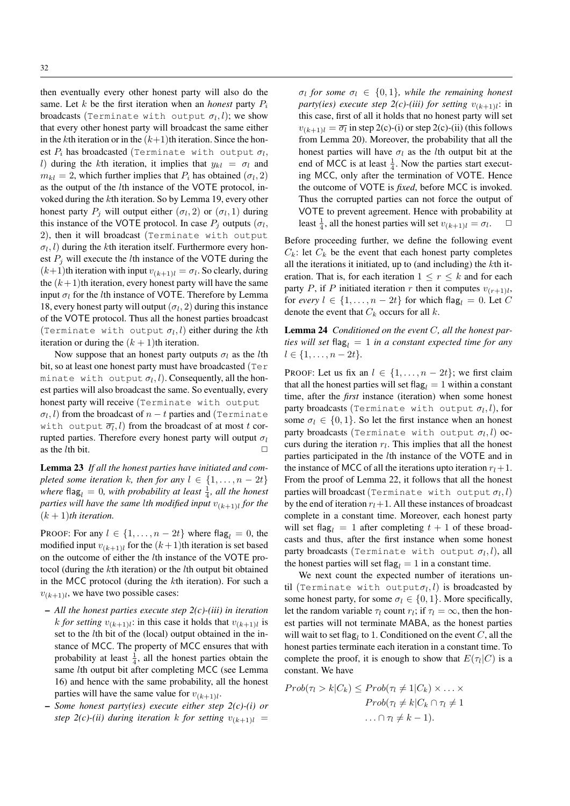then eventually every other honest party will also do the same. Let  $k$  be the first iteration when an *honest* party  $P_i$ broadcasts (Terminate with output  $\sigma_l, l$ ); we show that every other honest party will broadcast the same either in the kth iteration or in the  $(k+1)$ th iteration. Since the honest  $P_i$  has broadcasted (Terminate with output  $\sigma_l,$ l) during the kth iteration, it implies that  $y_{kl} = \sigma_l$  and  $m_{kl} = 2$ , which further implies that  $P_i$  has obtained  $(\sigma_l, 2)$ as the output of the lth instance of the VOTE protocol, invoked during the kth iteration. So by Lemma 19, every other honest party  $P_j$  will output either  $(\sigma_l, 2)$  or  $(\sigma_l, 1)$  during this instance of the VOTE protocol. In case  $P_j$  outputs  $(\sigma_l, \sigma_l)$ 2), then it will broadcast (Terminate with output  $\sigma_l$ , l) during the kth iteration itself. Furthermore every honest  $P_i$  will execute the *l*th instance of the VOTE during the  $(k+1)$ th iteration with input  $v_{(k+1)l} = \sigma_l$ . So clearly, during the  $(k + 1)$ th iteration, every honest party will have the same input  $\sigma_l$  for the *l*th instance of VOTE. Therefore by Lemma 18, every honest party will output  $(\sigma_l, 2)$  during this instance of the VOTE protocol. Thus all the honest parties broadcast (Terminate with output  $\sigma_l$ , l) either during the kth iteration or during the  $(k + 1)$ th iteration.

Now suppose that an honest party outputs  $\sigma_l$  as the *l*th bit, so at least one honest party must have broadcasted (Ter minate with output  $\sigma_l, l$ ). Consequently, all the honest parties will also broadcast the same. So eventually, every honest party will receive (Terminate with output  $\sigma_l, l)$  from the broadcast of  $n-t$  parties and (Terminate with output  $\overline{\sigma_l}, l)$  from the broadcast of at most  $t$  corrupted parties. Therefore every honest party will output  $\sigma_l$ as the *l*th bit.  $\square$ 

Lemma 23 *If all the honest parties have initiated and completed some iteration* k, then for any  $l \in \{1, ..., n-2t\}$ where flag<sub>l</sub>  $= 0$ , with probability at least  $\frac{1}{4}$ , all the honest *parties will have the same* l*th modified input* v(k+1)<sup>l</sup> *for the*  $(k + 1)$ <sup>th</sup> iteration.

PROOF: For any  $l \in \{1, \ldots, n-2t\}$  where flag<sub>l</sub> = 0, the modified input  $v_{(k+1)l}$  for the  $(k+1)$ th iteration is set based on the outcome of either the lth instance of the VOTE protocol (during the kth iteration) or the lth output bit obtained in the MCC protocol (during the kth iteration). For such a  $v_{(k+1)l}$ , we have two possible cases:

- *All the honest parties execute step 2(c)-(iii) in iteration* k for setting  $v_{(k+1)l}$ : in this case it holds that  $v_{(k+1)l}$  is set to the *l*th bit of the (local) output obtained in the instance of MCC. The property of MCC ensures that with probability at least  $\frac{1}{4}$ , all the honest parties obtain the same lth output bit after completing MCC (see Lemma 16) and hence with the same probability, all the honest parties will have the same value for  $v_{(k+1)l}$ .
- *Some honest party(ies) execute either step 2(c)-(i) or step 2(c)-(ii) during iteration* k *for setting*  $v_{(k+1)l}$  =

 $\sigma_l$  for some  $\sigma_l \in \{0,1\}$ , while the remaining honest *party(ies) execute step 2(c)-(iii) for setting*  $v_{(k+1)l}$ : in this case, first of all it holds that no honest party will set  $v_{(k+1)l} = \overline{\sigma_l}$  in step 2(c)-(i) or step 2(c)-(ii) (this follows from Lemma 20). Moreover, the probability that all the honest parties will have  $\sigma_l$  as the *l*th output bit at the end of MCC is at least  $\frac{1}{4}$ . Now the parties start executing MCC, only after the termination of VOTE. Hence the outcome of VOTE is *fixed*, before MCC is invoked. Thus the corrupted parties can not force the output of VOTE to prevent agreement. Hence with probability at least  $\frac{1}{4}$ , all the honest parties will set  $v_{(k+1)l} = \sigma_l$  $\Box$ 

Before proceeding further, we define the following event  $C_k$ : let  $C_k$  be the event that each honest party completes all the iterations it initiated, up to (and including) the  $k$ th iteration. That is, for each iteration  $1 \leq r \leq k$  and for each party P, if P initiated iteration r then it computes  $v_{(r+1)l}$ , for *every*  $l \in \{1, \ldots, n-2t\}$  for which flag<sub>l</sub> = 0. Let C denote the event that  $C_k$  occurs for all k.

Lemma 24 *Conditioned on the event* C*, all the honest parties will set*  $flag<sub>l</sub> = 1$  *in a constant expected time for any*  $l \in \{1, \ldots, n-2t\}.$ 

PROOF: Let us fix an  $l \in \{1, \ldots, n-2t\}$ ; we first claim that all the honest parties will set flag<sub>l</sub> = 1 within a constant time, after the *first* instance (iteration) when some honest party broadcasts (Terminate with output  $\sigma_l$ , l), for some  $\sigma_l \in \{0, 1\}$ . So let the first instance when an honest party broadcasts (Terminate with output  $\sigma_l$ , l) occurs during the iteration  $r_l$ . This implies that all the honest parties participated in the lth instance of the VOTE and in the instance of MCC of all the iterations upto iteration  $r_l+1$ . From the proof of Lemma 22, it follows that all the honest parties will broadcast (Terminate with output  $\sigma_l, l$ ) by the end of iteration  $r_l+1$ . All these instances of broadcast complete in a constant time. Moreover, each honest party will set flag<sub>l</sub> = 1 after completing  $t + 1$  of these broadcasts and thus, after the first instance when some honest party broadcasts (Terminate with output  $\sigma_l$ , l), all the honest parties will set flag<sub>l</sub> = 1 in a constant time.

We next count the expected number of iterations until (Terminate with output $\sigma_l, l$ ) is broadcasted by some honest party, for some  $\sigma_l \in \{0, 1\}$ . More specifically, let the random variable  $\tau_l$  count  $r_l$ ; if  $\tau_l = \infty$ , then the honest parties will not terminate MABA, as the honest parties will wait to set flag<sub>l</sub> to 1. Conditioned on the event C, all the honest parties terminate each iteration in a constant time. To complete the proof, it is enough to show that  $E(\tau_i|C)$  is a constant. We have

$$
Prob(\tau_l > k | C_k) \leq Prob(\tau_l \neq 1 | C_k) \times \dots \times
$$

$$
Prob(\tau_l \neq k | C_k \cap \tau_l \neq 1
$$

$$
\dots \cap \tau_l \neq k - 1).
$$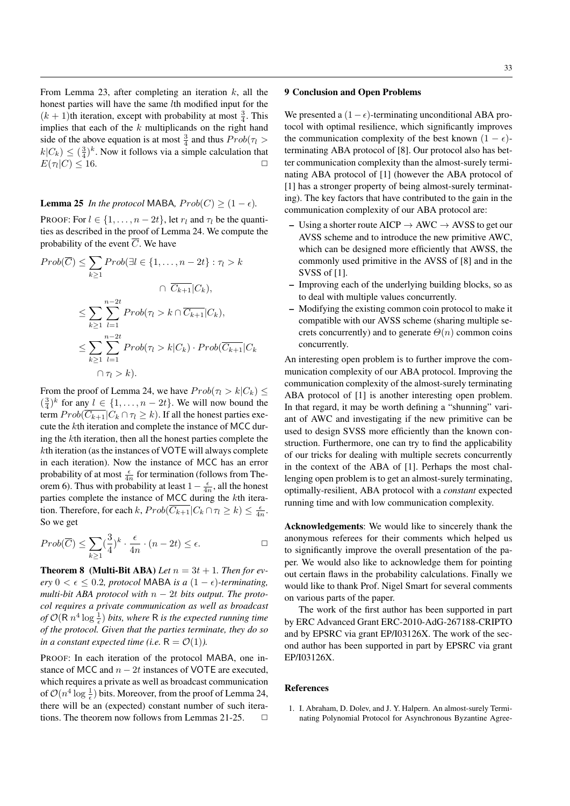From Lemma 23, after completing an iteration  $k$ , all the honest parties will have the same *l*th modified input for the  $(k + 1)$ th iteration, except with probability at most  $\frac{3}{4}$ . This implies that each of the  $k$  multiplicands on the right hand side of the above equation is at most  $\frac{3}{4}$  and thus  $Prob(\tau_l >$  $k|C_k| \leq (\frac{3}{4})^k$ . Now it follows via a simple calculation that  $E(\tau_l|C) \leq 16.$ 

# **Lemma 25** *In the protocol* MABA,  $Prob(C) \geq (1 - \epsilon)$ *.*

PROOF: For  $l \in \{1, \ldots, n-2t\}$ , let  $r_l$  and  $\tau_l$  be the quantities as described in the proof of Lemma 24. We compute the probability of the event  $\overline{C}$ . We have

$$
Prob(\overline{C}) \le \sum_{k\ge 1} Prob(\exists l \in \{1, ..., n-2t\} : \tau_l > k
$$

$$
\cap \overline{C_{k+1}} | C_k),
$$

$$
\le \sum_{k\ge 1} \sum_{l=1}^{n-2t} Prob(\tau_l > k \cap \overline{C_{k+1}} | C_k),
$$

$$
\le \sum_{k\ge 1} \sum_{l=1}^{n-2t} Prob(\tau_l > k | C_k) \cdot Prob(\overline{C_{k+1}} | C_k)
$$

$$
\cap \tau_l > k).
$$

From the proof of Lemma 24, we have  $Prob(\tau_l > k | C_k) \le$  $(\frac{3}{4})^k$  for any  $l \in \{1, ..., n-2t\}$ . We will now bound the term  $Prob(\overline{C_{k+1}}|C_k \cap \tau_l \geq k)$ . If all the honest parties execute the kth iteration and complete the instance of MCC during the kth iteration, then all the honest parties complete the kth iteration (as the instances of VOTE will always complete in each iteration). Now the instance of MCC has an error probability of at most  $\frac{\epsilon}{4n}$  for termination (follows from Theorem 6). Thus with probability at least  $1 - \frac{\epsilon}{4n}$ , all the honest parties complete the instance of MCC during the kth iteration. Therefore, for each  $k$ ,  $Prob(\overline{C_{k+1}} | C_k \cap \tau_l \geq k) \leq \frac{\epsilon}{4n}$ . So we get

$$
Prob(\overline{C}) \le \sum_{k \ge 1} \left(\frac{3}{4}\right)^k \cdot \frac{\epsilon}{4n} \cdot (n - 2t) \le \epsilon.
$$

**Theorem 8** (Multi-Bit ABA) Let  $n = 3t + 1$ . Then for ev- $\text{ery } 0 \leq \epsilon \leq 0.2$ , protocol MABA *is a*  $(1 - \epsilon)$ -terminating, *multi-bit ABA protocol with* n − 2t *bits output. The protocol requires a private communication as well as broadcast* of  $\mathcal{O}(\mathsf{R} \, n^4 \log{\frac{1}{\epsilon}})$  bits, where  $\mathsf{R}$  is the expected running time *of the protocol. Given that the parties terminate, they do so in a constant expected time (i.e.*  $R = \mathcal{O}(1)$ *).* 

PROOF: In each iteration of the protocol MABA, one instance of MCC and  $n - 2t$  instances of VOTE are executed, which requires a private as well as broadcast communication of  $\mathcal{O}(n^4 \log \frac{1}{\epsilon})$  bits. Moreover, from the proof of Lemma 24, there will be an (expected) constant number of such iterations. The theorem now follows from Lemmas 21-25.  $\Box$ 

# 9 Conclusion and Open Problems

We presented a  $(1-\epsilon)$ -terminating unconditional ABA protocol with optimal resilience, which significantly improves the communication complexity of the best known  $(1 - \epsilon)$ terminating ABA protocol of [8]. Our protocol also has better communication complexity than the almost-surely terminating ABA protocol of [1] (however the ABA protocol of [1] has a stronger property of being almost-surely terminating). The key factors that have contributed to the gain in the communication complexity of our ABA protocol are:

- Using a shorter route AICP  $\rightarrow$  AWC  $\rightarrow$  AVSS to get our AVSS scheme and to introduce the new primitive AWC, which can be designed more efficiently that AWSS, the commonly used primitive in the AVSS of [8] and in the SVSS of [1].
- Improving each of the underlying building blocks, so as to deal with multiple values concurrently.
- Modifying the existing common coin protocol to make it compatible with our AVSS scheme (sharing multiple secrets concurrently) and to generate  $\Theta(n)$  common coins concurrently.

An interesting open problem is to further improve the communication complexity of our ABA protocol. Improving the communication complexity of the almost-surely terminating ABA protocol of [1] is another interesting open problem. In that regard, it may be worth defining a "shunning" variant of AWC and investigating if the new primitive can be used to design SVSS more efficiently than the known construction. Furthermore, one can try to find the applicability of our tricks for dealing with multiple secrets concurrently in the context of the ABA of [1]. Perhaps the most challenging open problem is to get an almost-surely terminating, optimally-resilient, ABA protocol with a *constant* expected running time and with low communication complexity.

Acknowledgements: We would like to sincerely thank the anonymous referees for their comments which helped us to significantly improve the overall presentation of the paper. We would also like to acknowledge them for pointing out certain flaws in the probability calculations. Finally we would like to thank Prof. Nigel Smart for several comments on various parts of the paper.

The work of the first author has been supported in part by ERC Advanced Grant ERC-2010-AdG-267188-CRIPTO and by EPSRC via grant EP/I03126X. The work of the second author has been supported in part by EPSRC via grant EP/I03126X.

#### References

1. I. Abraham, D. Dolev, and J. Y. Halpern. An almost-surely Terminating Polynomial Protocol for Asynchronous Byzantine Agree-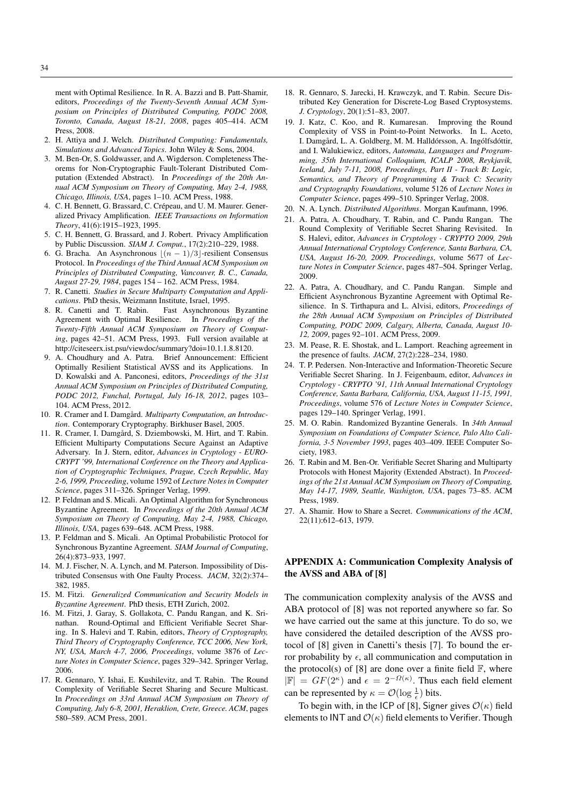ment with Optimal Resilience. In R. A. Bazzi and B. Patt-Shamir, editors, *Proceedings of the Twenty-Seventh Annual ACM Symposium on Principles of Distributed Computing, PODC 2008, Toronto, Canada, August 18-21, 2008*, pages 405–414. ACM Press, 2008.

- 2. H. Attiya and J. Welch. *Distributed Computing: Fundamentals, Simulations and Advanced Topics*. John Wiley & Sons, 2004.
- 3. M. Ben-Or, S. Goldwasser, and A. Wigderson. Completeness Theorems for Non-Cryptographic Fault-Tolerant Distributed Computation (Extended Abstract). In *Proceedings of the 20th Annual ACM Symposium on Theory of Computing, May 2-4, 1988, Chicago, Illinois, USA*, pages 1–10. ACM Press, 1988.
- 4. C. H. Bennett, G. Brassard, C. Crépeau, and U. M. Maurer. Generalized Privacy Amplification. *IEEE Transactions on Information Theory*, 41(6):1915–1923, 1995.
- 5. C. H. Bennett, G. Brassard, and J. Robert. Privacy Amplification by Public Discussion. *SIAM J. Comput.*, 17(2):210–229, 1988.
- 6. G. Bracha. An Asynchronous  $\lfloor (n 1)/3 \rfloor$ -resilient Consensus Protocol. In *Proceedings of the Third Annual ACM Symposium on Principles of Distributed Computing, Vancouver, B. C., Canada, August 27-29, 1984*, pages 154 – 162. ACM Press, 1984.
- 7. R. Canetti. *Studies in Secure Multiparty Computation and Applications*. PhD thesis, Weizmann Institute, Israel, 1995.<br>8. R. Canetti and T. Rabin. Fast Asynchronous
- Fast Asynchronous Byzantine Agreement with Optimal Resilience. In *Proceedings of the Twenty-Fifth Annual ACM Symposium on Theory of Computing*, pages 42–51. ACM Press, 1993. Full version available at http://citeseerx.ist.psu/viewdoc/summary?doi=10.1.1.8.8120.
- 9. A. Choudhury and A. Patra. Brief Announcement: Efficient Optimally Resilient Statistical AVSS and its Applications. In D. Kowalski and A. Panconesi, editors, *Proceedings of the 31st Annual ACM Symposium on Principles of Distributed Computing, PODC 2012, Funchal, Portugal, July 16-18, 2012*, pages 103– 104. ACM Press, 2012.
- 10. R. Cramer and I. Damgård. *Multiparty Computation, an Introduction*. Contemporary Cryptography. Birkhuser Basel, 2005.
- 11. R. Cramer, I. Damgård, S. Dziembowski, M. Hirt, and T. Rabin. Efficient Multiparty Computations Secure Against an Adaptive Adversary. In J. Stern, editor, *Advances in Cryptology - EURO-CRYPT '99, International Conference on the Theory and Application of Cryptographic Techniques, Prague, Czech Republic, May 2-6, 1999, Proceeding*, volume 1592 of *Lecture Notes in Computer Science*, pages 311–326. Springer Verlag, 1999.
- 12. P. Feldman and S. Micali. An Optimal Algorithm for Synchronous Byzantine Agreement. In *Proceedings of the 20th Annual ACM Symposium on Theory of Computing, May 2-4, 1988, Chicago, Illinois, USA*, pages 639–648. ACM Press, 1988.
- 13. P. Feldman and S. Micali. An Optimal Probabilistic Protocol for Synchronous Byzantine Agreement. *SIAM Journal of Computing*, 26(4):873–933, 1997.
- 14. M. J. Fischer, N. A. Lynch, and M. Paterson. Impossibility of Distributed Consensus with One Faulty Process. *JACM*, 32(2):374– 382, 1985.
- 15. M. Fitzi. *Generalized Communication and Security Models in Byzantine Agreement*. PhD thesis, ETH Zurich, 2002.
- 16. M. Fitzi, J. Garay, S. Gollakota, C. Pandu Rangan, and K. Srinathan. Round-Optimal and Efficient Verifiable Secret Sharing. In S. Halevi and T. Rabin, editors, *Theory of Cryptography, Third Theory of Cryptography Conference, TCC 2006, New York, NY, USA, March 4-7, 2006, Proceedings*, volume 3876 of *Lecture Notes in Computer Science*, pages 329–342. Springer Verlag, 2006.
- 17. R. Gennaro, Y. Ishai, E. Kushilevitz, and T. Rabin. The Round Complexity of Verifiable Secret Sharing and Secure Multicast. In *Proceedings on 33rd Annual ACM Symposium on Theory of Computing, July 6-8, 2001, Heraklion, Crete, Greece. ACM*, pages 580–589. ACM Press, 2001.
- 18. R. Gennaro, S. Jarecki, H. Krawczyk, and T. Rabin. Secure Distributed Key Generation for Discrete-Log Based Cryptosystems. *J. Cryptology*, 20(1):51–83, 2007.
- 19. J. Katz, C. Koo, and R. Kumaresan. Improving the Round Complexity of VSS in Point-to-Point Networks. In L. Aceto, I. Damgård, L. A. Goldberg, M. M. Halldórsson, A. Ingólfsdóttir, and I. Walukiewicz, editors, *Automata, Languages and Programming, 35th International Colloquium, ICALP 2008, Reykjavik, Iceland, July 7-11, 2008, Proceedings, Part II - Track B: Logic, Semantics, and Theory of Programming & Track C: Security and Cryptography Foundations*, volume 5126 of *Lecture Notes in Computer Science*, pages 499–510. Springer Verlag, 2008.
- 20. N. A. Lynch. *Distributed Algorithms*. Morgan Kaufmann, 1996.
- 21. A. Patra, A. Choudhary, T. Rabin, and C. Pandu Rangan. The Round Complexity of Verifiable Secret Sharing Revisited. In S. Halevi, editor, *Advances in Cryptology - CRYPTO 2009, 29th Annual International Cryptology Conference, Santa Barbara, CA, USA, August 16-20, 2009. Proceedings*, volume 5677 of *Lecture Notes in Computer Science*, pages 487–504. Springer Verlag, 2009.
- 22. A. Patra, A. Choudhary, and C. Pandu Rangan. Simple and Efficient Asynchronous Byzantine Agreement with Optimal Resilience. In S. Tirthapura and L. Alvisi, editors, *Proceedings of the 28th Annual ACM Symposium on Principles of Distributed Computing, PODC 2009, Calgary, Alberta, Canada, August 10- 12, 2009*, pages 92–101. ACM Press, 2009.
- 23. M. Pease, R. E. Shostak, and L. Lamport. Reaching agreement in the presence of faults. *JACM*, 27(2):228–234, 1980.
- 24. T. P. Pedersen. Non-Interactive and Information-Theoretic Secure Verifiable Secret Sharing. In J. Feigenbaum, editor, *Advances in Cryptology - CRYPTO '91, 11th Annual International Cryptology Conference, Santa Barbara, California, USA, August 11-15, 1991, Proceedings*, volume 576 of *Lecture Notes in Computer Science*, pages 129–140. Springer Verlag, 1991.
- 25. M. O. Rabin. Randomized Byzantine Generals. In *34th Annual Symposium on Foundations of Computer Science, Palo Alto California, 3-5 November 1993*, pages 403–409. IEEE Computer Society, 1983.
- 26. T. Rabin and M. Ben-Or. Verifiable Secret Sharing and Multiparty Protocols with Honest Majority (Extended Abstract). In *Proceedings of the 21st Annual ACM Symposium on Theory of Computing, May 14-17, 1989, Seattle, Washigton, USA*, pages 73–85. ACM Press, 1989.
- 27. A. Shamir. How to Share a Secret. *Communications of the ACM*, 22(11):612–613, 1979.

# APPENDIX A: Communication Complexity Analysis of the AVSS and ABA of [8]

The communication complexity analysis of the AVSS and ABA protocol of [8] was not reported anywhere so far. So we have carried out the same at this juncture. To do so, we have considered the detailed description of the AVSS protocol of [8] given in Canetti's thesis [7]. To bound the error probability by  $\epsilon$ , all communication and computation in the protocol(s) of [8] are done over a finite field  $\mathbb{F}$ , where  $|\mathbb{F}| = GF(2^{\kappa})$  and  $\epsilon = 2^{-\Omega(\kappa)}$ . Thus each field element can be represented by  $\kappa = \mathcal{O}(\log \frac{1}{\epsilon})$  bits.

To begin with, in the ICP of [8], Signer gives  $\mathcal{O}(\kappa)$  field elements to INT and  $\mathcal{O}(\kappa)$  field elements to Verifier. Though